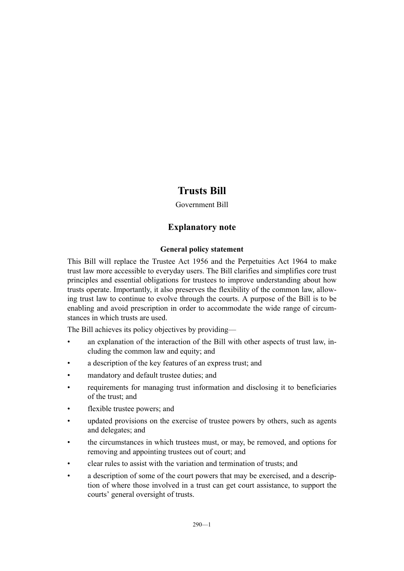## **Trusts Bill**

Government Bill

## **Explanatory note**

## **General policy statement**

This Bill will replace the Trustee Act 1956 and the Perpetuities Act 1964 to make trust law more accessible to everyday users. The Bill clarifies and simplifies core trust principles and essential obligations for trustees to improve understanding about how trusts operate. Importantly, it also preserves the flexibility of the common law, allowing trust law to continue to evolve through the courts. A purpose of the Bill is to be enabling and avoid prescription in order to accommodate the wide range of circumstances in which trusts are used.

The Bill achieves its policy objectives by providing—

- an explanation of the interaction of the Bill with other aspects of trust law, including the common law and equity; and
- a description of the key features of an express trust; and
- mandatory and default trustee duties; and
- requirements for managing trust information and disclosing it to beneficiaries of the trust; and
- flexible trustee powers; and
- updated provisions on the exercise of trustee powers by others, such as agents and delegates; and
- the circumstances in which trustees must, or may, be removed, and options for removing and appointing trustees out of court; and
- clear rules to assist with the variation and termination of trusts; and
- a description of some of the court powers that may be exercised, and a description of where those involved in a trust can get court assistance, to support the courts' general oversight of trusts.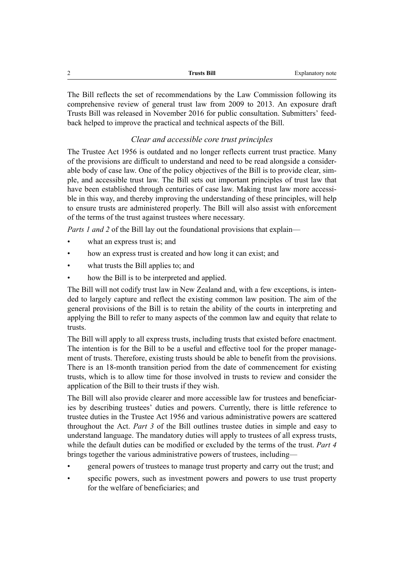| $\sim$<br>- | <b>Trusts Bill</b> | Explanatory note |
|-------------|--------------------|------------------|
|             |                    |                  |

The Bill reflects the set of recommendations by the Law Commission following its comprehensive review of general trust law from 2009 to 2013. An exposure draft Trusts Bill was released in November 2016 for public consultation. Submitters' feedback helped to improve the practical and technical aspects of the Bill.

## *Clear and accessible core trust principles*

The Trustee Act 1956 is outdated and no longer reflects current trust practice. Many of the provisions are difficult to understand and need to be read alongside a considerable body of case law. One of the policy objectives of the Bill is to provide clear, simple, and accessible trust law. The Bill sets out important principles of trust law that have been established through centuries of case law. Making trust law more accessible in this way, and thereby improving the understanding of these principles, will help to ensure trusts are administered properly. The Bill will also assist with enforcement of the terms of the trust against trustees where necessary.

*Parts 1 and 2* of the Bill lay out the foundational provisions that explain—

- what an express trust is; and
- how an express trust is created and how long it can exist; and
- what trusts the Bill applies to; and
- how the Bill is to be interpreted and applied.

The Bill will not codify trust law in New Zealand and, with a few exceptions, is intended to largely capture and reflect the existing common law position. The aim of the general provisions of the Bill is to retain the ability of the courts in interpreting and applying the Bill to refer to many aspects of the common law and equity that relate to trusts.

The Bill will apply to all express trusts, including trusts that existed before enactment. The intention is for the Bill to be a useful and effective tool for the proper management of trusts. Therefore, existing trusts should be able to benefit from the provisions. There is an 18-month transition period from the date of commencement for existing trusts, which is to allow time for those involved in trusts to review and consider the application of the Bill to their trusts if they wish.

The Bill will also provide clearer and more accessible law for trustees and beneficiaries by describing trustees' duties and powers. Currently, there is little reference to trustee duties in the Trustee Act 1956 and various administrative powers are scattered throughout the Act. *Part 3* of the Bill outlines trustee duties in simple and easy to understand language. The mandatory duties will apply to trustees of all express trusts, while the default duties can be modified or excluded by the terms of the trust. *Part 4* brings together the various administrative powers of trustees, including—

- general powers of trustees to manage trust property and carry out the trust; and
- specific powers, such as investment powers and powers to use trust property for the welfare of beneficiaries; and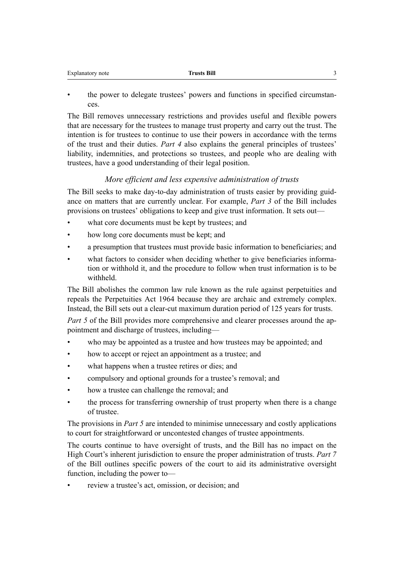| Explanatory note | lrusts Bill |  |
|------------------|-------------|--|
|                  |             |  |

• the power to delegate trustees' powers and functions in specified circumstances.

The Bill removes unnecessary restrictions and provides useful and flexible powers that are necessary for the trustees to manage trust property and carry out the trust. The intention is for trustees to continue to use their powers in accordance with the terms of the trust and their duties. *Part 4* also explains the general principles of trustees' liability, indemnities, and protections so trustees, and people who are dealing with trustees, have a good understanding of their legal position.

## *More efficient and less expensive administration of trusts*

The Bill seeks to make day-to-day administration of trusts easier by providing guidance on matters that are currently unclear. For example, *Part 3* of the Bill includes provisions on trustees' obligations to keep and give trust information. It sets out—

- what core documents must be kept by trustees; and
- how long core documents must be kept; and
- a presumption that trustees must provide basic information to beneficiaries; and
- what factors to consider when deciding whether to give beneficiaries information or withhold it, and the procedure to follow when trust information is to be withheld.

The Bill abolishes the common law rule known as the rule against perpetuities and repeals the Perpetuities Act 1964 because they are archaic and extremely complex. Instead, the Bill sets out a clear-cut maximum duration period of 125 years for trusts.

*Part 5* of the Bill provides more comprehensive and clearer processes around the appointment and discharge of trustees, including—

- who may be appointed as a trustee and how trustees may be appointed; and
- how to accept or reject an appointment as a trustee; and
- what happens when a trustee retires or dies; and
- compulsory and optional grounds for a trustee's removal; and
- how a trustee can challenge the removal; and
- the process for transferring ownership of trust property when there is a change of trustee.

The provisions in *Part 5* are intended to minimise unnecessary and costly applications to court for straightforward or uncontested changes of trustee appointments.

The courts continue to have oversight of trusts, and the Bill has no impact on the High Court's inherent jurisdiction to ensure the proper administration of trusts. *Part 7* of the Bill outlines specific powers of the court to aid its administrative oversight function, including the power to—

• review a trustee's act, omission, or decision; and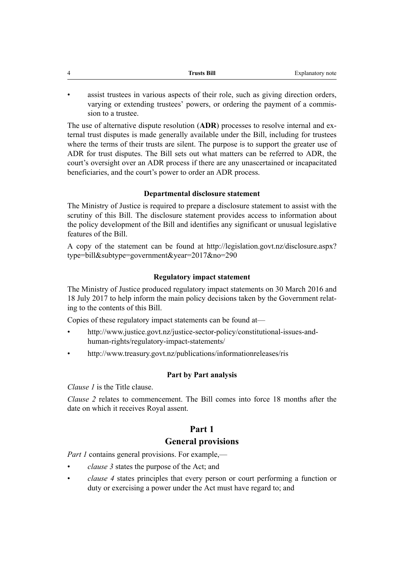| $\Delta$ | Trusts Bill<br>______ | Explanatory note |
|----------|-----------------------|------------------|
|          |                       |                  |

assist trustees in various aspects of their role, such as giving direction orders, varying or extending trustees' powers, or ordering the payment of a commission to a trustee.

The use of alternative dispute resolution (**ADR**) processes to resolve internal and external trust disputes is made generally available under the Bill, including for trustees where the terms of their trusts are silent. The purpose is to support the greater use of ADR for trust disputes. The Bill sets out what matters can be referred to ADR, the court's oversight over an ADR process if there are any unascertained or incapacitated beneficiaries, and the court's power to order an ADR process.

## **Departmental disclosure statement**

The Ministry of Justice is required to prepare a disclosure statement to assist with the scrutiny of this Bill. The disclosure statement provides access to information about the policy development of the Bill and identifies any significant or unusual legislative features of the Bill.

A copy of the statement can be found at [http://legislation.govt.nz/disclosure.aspx?](http://legislation.govt.nz/disclosure.aspx?type=bill&subtype=government&year=2017&no=290) [type=bill&subtype=government&year=2017&no=290](http://legislation.govt.nz/disclosure.aspx?type=bill&subtype=government&year=2017&no=290)

## **Regulatory impact statement**

The Ministry of Justice produced regulatory impact statements on 30 March 2016 and 18 July 2017 to help inform the main policy decisions taken by the Government relating to the contents of this Bill.

Copies of these regulatory impact statements can be found at—

- [http://www.justice.govt.nz/justice-sector-policy/constitutional-issues-and](http://www.justice.govt.nz/justice-sector-policy/constitutional-issues-and-human-rights/regulatory-impact-statements/)[human-rights/regulatory-impact-statements/](http://www.justice.govt.nz/justice-sector-policy/constitutional-issues-and-human-rights/regulatory-impact-statements/)
- <http://www.treasury.govt.nz/publications/informationreleases/ris>

## **Part by Part analysis**

*Clause 1* is the Title clause.

*Clause 2* relates to commencement. The Bill comes into force 18 months after the date on which it receives Royal assent.

## **Part 1**

## **General provisions**

*Part 1* contains general provisions. For example,—

- *clause 3* states the purpose of the Act; and
- *clause 4* states principles that every person or court performing a function or duty or exercising a power under the Act must have regard to; and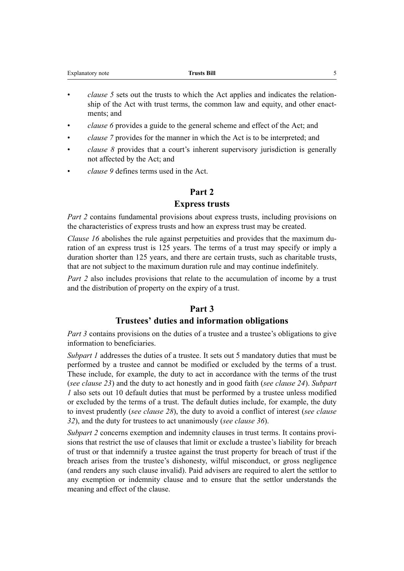| Explanatory note | <b>Trusts Bill</b> |  |
|------------------|--------------------|--|
|                  |                    |  |

- *clause 5* sets out the trusts to which the Act applies and indicates the relationship of the Act with trust terms, the common law and equity, and other enactments; and
- *clause 6* provides a guide to the general scheme and effect of the Act; and
- *clause 7* provides for the manner in which the Act is to be interpreted; and
- *clause 8* provides that a court's inherent supervisory jurisdiction is generally not affected by the Act; and
- *clause 9* defines terms used in the Act.

## **Part 2**

## **Express trusts**

*Part 2* contains fundamental provisions about express trusts, including provisions on the characteristics of express trusts and how an express trust may be created.

*Clause 16* abolishes the rule against perpetuities and provides that the maximum duration of an express trust is 125 years. The terms of a trust may specify or imply a duration shorter than 125 years, and there are certain trusts, such as charitable trusts, that are not subject to the maximum duration rule and may continue indefinitely.

*Part 2* also includes provisions that relate to the accumulation of income by a trust and the distribution of property on the expiry of a trust.

## **Part 3**

## **Trustees' duties and information obligations**

*Part 3* contains provisions on the duties of a trustee and a trustee's obligations to give information to beneficiaries.

*Subpart 1* addresses the duties of a trustee. It sets out 5 mandatory duties that must be performed by a trustee and cannot be modified or excluded by the terms of a trust. These include, for example, the duty to act in accordance with the terms of the trust (*see clause 23*) and the duty to act honestly and in good faith (*see clause 24*). *Subpart 1* also sets out 10 default duties that must be performed by a trustee unless modified or excluded by the terms of a trust. The default duties include, for example, the duty to invest prudently (*see clause 28*), the duty to avoid a conflict of interest (*see clause 32*), and the duty for trustees to act unanimously (*see clause 36*).

*Subpart 2* concerns exemption and indemnity clauses in trust terms. It contains provisions that restrict the use of clauses that limit or exclude a trustee's liability for breach of trust or that indemnify a trustee against the trust property for breach of trust if the breach arises from the trustee's dishonesty, wilful misconduct, or gross negligence (and renders any such clause invalid). Paid advisers are required to alert the settlor to any exemption or indemnity clause and to ensure that the settlor understands the meaning and effect of the clause.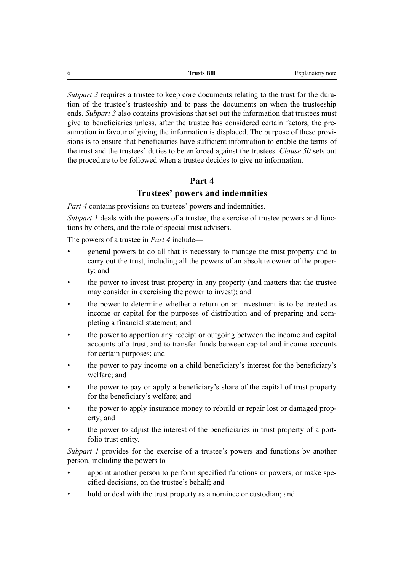| 6 | <b>Trusts Bill</b> | Explanatory note |
|---|--------------------|------------------|
|   |                    |                  |

*Subpart 3* requires a trustee to keep core documents relating to the trust for the duration of the trustee's trusteeship and to pass the documents on when the trusteeship ends. *Subpart 3* also contains provisions that set out the information that trustees must give to beneficiaries unless, after the trustee has considered certain factors, the presumption in favour of giving the information is displaced. The purpose of these provisions is to ensure that beneficiaries have sufficient information to enable the terms of the trust and the trustees' duties to be enforced against the trustees. *Clause 50* sets out the procedure to be followed when a trustee decides to give no information.

## **Part 4**

## **Trustees' powers and indemnities**

*Part 4* contains provisions on trustees' powers and indemnities.

*Subpart 1* deals with the powers of a trustee, the exercise of trustee powers and functions by others, and the role of special trust advisers.

The powers of a trustee in *Part 4* include—

- general powers to do all that is necessary to manage the trust property and to carry out the trust, including all the powers of an absolute owner of the property; and
- the power to invest trust property in any property (and matters that the trustee may consider in exercising the power to invest); and
- the power to determine whether a return on an investment is to be treated as income or capital for the purposes of distribution and of preparing and completing a financial statement; and
- the power to apportion any receipt or outgoing between the income and capital accounts of a trust, and to transfer funds between capital and income accounts for certain purposes; and
- the power to pay income on a child beneficiary's interest for the beneficiary's welfare; and
- the power to pay or apply a beneficiary's share of the capital of trust property for the beneficiary's welfare; and
- the power to apply insurance money to rebuild or repair lost or damaged property; and
- the power to adjust the interest of the beneficiaries in trust property of a portfolio trust entity.

*Subpart 1* provides for the exercise of a trustee's powers and functions by another person, including the powers to—

- appoint another person to perform specified functions or powers, or make specified decisions, on the trustee's behalf; and
- hold or deal with the trust property as a nominee or custodian; and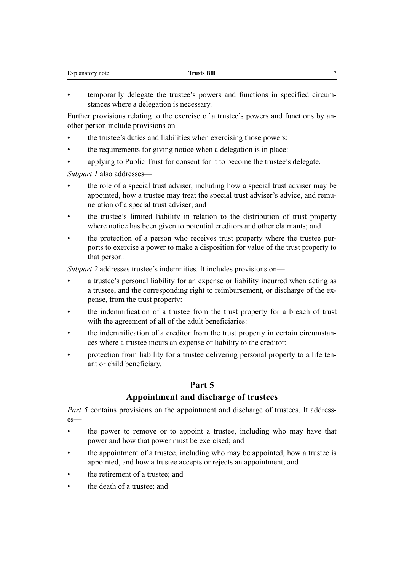| Explanatory note | <b>Trusts Bill</b> |
|------------------|--------------------|
|                  |                    |

• temporarily delegate the trustee's powers and functions in specified circumstances where a delegation is necessary.

Further provisions relating to the exercise of a trustee's powers and functions by another person include provisions on—

- the trustee's duties and liabilities when exercising those powers:
- the requirements for giving notice when a delegation is in place:
- applying to Public Trust for consent for it to become the trustee's delegate.

*Subpart 1* also addresses—

- the role of a special trust adviser, including how a special trust adviser may be appointed, how a trustee may treat the special trust adviser's advice, and remuneration of a special trust adviser; and
- the trustee's limited liability in relation to the distribution of trust property where notice has been given to potential creditors and other claimants; and
- the protection of a person who receives trust property where the trustee purports to exercise a power to make a disposition for value of the trust property to that person.

*Subpart 2* addresses trustee's indemnities. It includes provisions on—

- a trustee's personal liability for an expense or liability incurred when acting as a trustee, and the corresponding right to reimbursement, or discharge of the expense, from the trust property:
- the indemnification of a trustee from the trust property for a breach of trust with the agreement of all of the adult beneficiaries:
- the indemnification of a creditor from the trust property in certain circumstances where a trustee incurs an expense or liability to the creditor:
- protection from liability for a trustee delivering personal property to a life tenant or child beneficiary.

## **Part 5**

## **Appointment and discharge of trustees**

*Part 5* contains provisions on the appointment and discharge of trustees. It addresses—

- the power to remove or to appoint a trustee, including who may have that power and how that power must be exercised; and
- the appointment of a trustee, including who may be appointed, how a trustee is appointed, and how a trustee accepts or rejects an appointment; and
- the retirement of a trustee; and
- the death of a trustee; and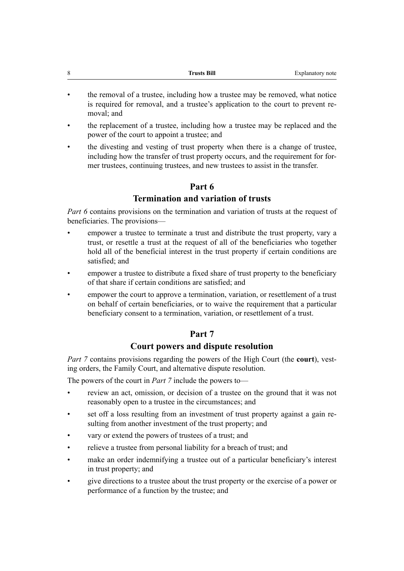- the removal of a trustee, including how a trustee may be removed, what notice is required for removal, and a trustee's application to the court to prevent removal; and
- the replacement of a trustee, including how a trustee may be replaced and the power of the court to appoint a trustee; and
- the divesting and vesting of trust property when there is a change of trustee, including how the transfer of trust property occurs, and the requirement for former trustees, continuing trustees, and new trustees to assist in the transfer.

## **Part 6**

## **Termination and variation of trusts**

*Part 6* contains provisions on the termination and variation of trusts at the request of beneficiaries. The provisions—

- empower a trustee to terminate a trust and distribute the trust property, vary a trust, or resettle a trust at the request of all of the beneficiaries who together hold all of the beneficial interest in the trust property if certain conditions are satisfied; and
- empower a trustee to distribute a fixed share of trust property to the beneficiary of that share if certain conditions are satisfied; and
- empower the court to approve a termination, variation, or resettlement of a trust on behalf of certain beneficiaries, or to waive the requirement that a particular beneficiary consent to a termination, variation, or resettlement of a trust.

## **Part 7**

## **Court powers and dispute resolution**

*Part 7* contains provisions regarding the powers of the High Court (the **court**), vesting orders, the Family Court, and alternative dispute resolution.

The powers of the court in *Part 7* include the powers to—

- review an act, omission, or decision of a trustee on the ground that it was not reasonably open to a trustee in the circumstances; and
- set off a loss resulting from an investment of trust property against a gain resulting from another investment of the trust property; and
- vary or extend the powers of trustees of a trust; and
- relieve a trustee from personal liability for a breach of trust; and
- make an order indemnifying a trustee out of a particular beneficiary's interest in trust property; and
- give directions to a trustee about the trust property or the exercise of a power or performance of a function by the trustee; and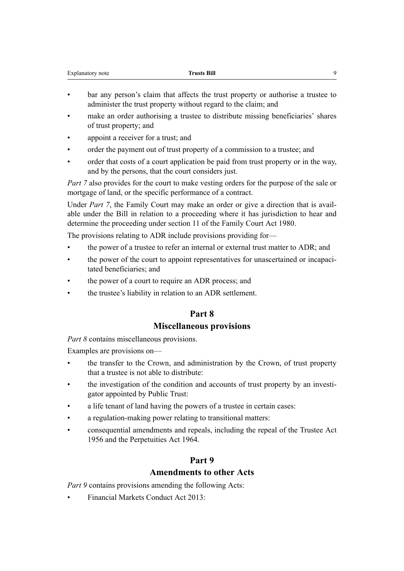| Explanatory note | <b>Trusts Bill</b> |  |
|------------------|--------------------|--|
|                  |                    |  |

- bar any person's claim that affects the trust property or authorise a trustee to administer the trust property without regard to the claim; and
- make an order authorising a trustee to distribute missing beneficiaries' shares of trust property; and
- appoint a receiver for a trust; and
- order the payment out of trust property of a commission to a trustee; and
- order that costs of a court application be paid from trust property or in the way, and by the persons, that the court considers just.

*Part 7* also provides for the court to make vesting orders for the purpose of the sale or mortgage of land, or the specific performance of a contract.

Under *Part 7*, the Family Court may make an order or give a direction that is available under the Bill in relation to a proceeding where it has jurisdiction to hear and determine the proceeding under section 11 of the Family Court Act 1980.

The provisions relating to ADR include provisions providing for—

- the power of a trustee to refer an internal or external trust matter to ADR; and
- the power of the court to appoint representatives for unascertained or incapacitated beneficiaries; and
- the power of a court to require an ADR process; and
- the trustee's liability in relation to an ADR settlement.

## **Part 8**

## **Miscellaneous provisions**

*Part 8* contains miscellaneous provisions.

Examples are provisions on—

- the transfer to the Crown, and administration by the Crown, of trust property that a trustee is not able to distribute:
- the investigation of the condition and accounts of trust property by an investigator appointed by Public Trust:
- a life tenant of land having the powers of a trustee in certain cases:
- a regulation-making power relating to transitional matters:
- consequential amendments and repeals, including the repeal of the Trustee Act 1956 and the Perpetuities Act 1964.

## **Part 9**

## **Amendments to other Acts**

*Part 9* contains provisions amending the following Acts:

• Financial Markets Conduct Act 2013: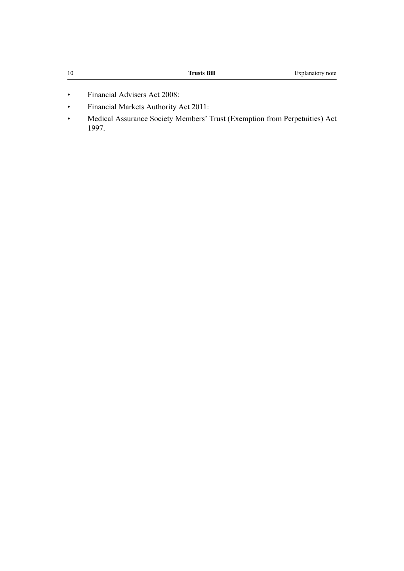- Financial Advisers Act 2008:
- Financial Markets Authority Act 2011:
- Medical Assurance Society Members' Trust (Exemption from Perpetuities) Act 1997.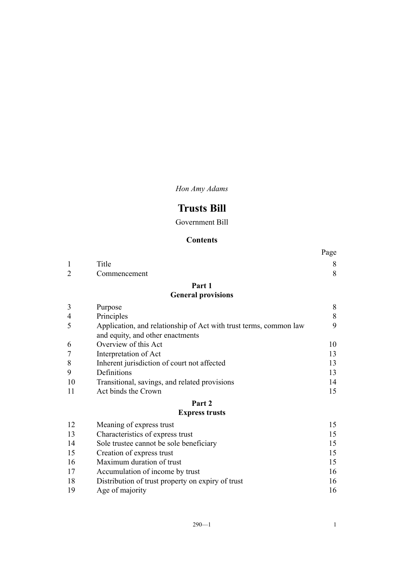*Hon Amy Adams*

# **Trusts Bill**

Government Bill

## **Contents**

|                |                                                                                                       | Page      |
|----------------|-------------------------------------------------------------------------------------------------------|-----------|
| 1              | Title                                                                                                 | 8         |
| $\overline{2}$ | Commencement                                                                                          | 8         |
|                | Part 1                                                                                                |           |
|                | <b>General provisions</b>                                                                             |           |
| $\mathfrak{Z}$ | Purpose                                                                                               | $\,$ $\,$ |
| 4              | Principles                                                                                            | $\,8\,$   |
| 5              | Application, and relationship of Act with trust terms, common law<br>and equity, and other enactments | 9         |
| 6              | Overview of this Act                                                                                  | 10        |
| 7              | Interpretation of Act                                                                                 | 13        |
| 8              | Inherent jurisdiction of court not affected                                                           | 13        |
| 9              | Definitions                                                                                           | 13        |
| 10             | Transitional, savings, and related provisions                                                         | 14        |
| 11             | Act binds the Crown                                                                                   | 15        |
|                | Part 2                                                                                                |           |
|                | <b>Express trusts</b>                                                                                 |           |
| 12             | Meaning of express trust                                                                              | 15        |
| 13             | Characteristics of express trust                                                                      | 15        |
| 14             | Sole trustee cannot be sole beneficiary                                                               | 15        |
| 15             | Creation of express trust                                                                             | 15        |
| 16             | Maximum duration of trust                                                                             | 15        |
| 17             | Accumulation of income by trust                                                                       | 16        |
| 18             | Distribution of trust property on expiry of trust                                                     | 16        |

18 Distribution of these property on expiry of these<br>[19](#page-25-0) [Age of majority](#page-25-0) [16](#page-25-0)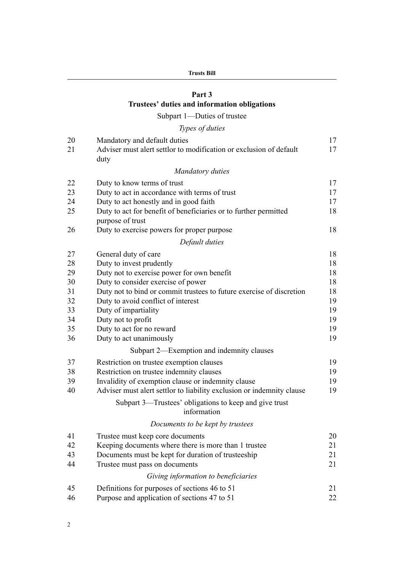## **[Part 3](#page-26-0) [Trustees' duties and information obligations](#page-26-0)**

## [Subpart 1—Duties of trustee](#page-26-0)

|  | Types of duties |
|--|-----------------|
|  |                 |

| 20<br>21 | Mandatory and default duties<br>Adviser must alert settlor to modification or exclusion of default<br>duty | 17<br>17 |
|----------|------------------------------------------------------------------------------------------------------------|----------|
|          | <b>Mandatory duties</b>                                                                                    |          |
| 22       | Duty to know terms of trust                                                                                | 17       |
| 23       | Duty to act in accordance with terms of trust                                                              | 17       |
| 24       | Duty to act honestly and in good faith                                                                     | 17       |
| 25       | Duty to act for benefit of beneficiaries or to further permitted<br>purpose of trust                       | 18       |
| 26       | Duty to exercise powers for proper purpose                                                                 | 18       |
|          | Default duties                                                                                             |          |
| 27       | General duty of care                                                                                       | 18       |
| 28       | Duty to invest prudently                                                                                   | 18       |
| 29       | Duty not to exercise power for own benefit                                                                 | 18       |
| 30       | Duty to consider exercise of power                                                                         | 18       |
| 31       | Duty not to bind or commit trustees to future exercise of discretion                                       | 18       |
| 32       | Duty to avoid conflict of interest                                                                         | 19       |
| 33       | Duty of impartiality                                                                                       | 19       |
| 34       | Duty not to profit                                                                                         | 19       |
| 35       | Duty to act for no reward                                                                                  | 19       |
| 36       | Duty to act unanimously                                                                                    | 19       |
|          | Subpart 2—Exemption and indemnity clauses                                                                  |          |
| 37       | Restriction on trustee exemption clauses                                                                   | 19       |
| 38       | Restriction on trustee indemnity clauses                                                                   | 19       |
| 39       | Invalidity of exemption clause or indemnity clause                                                         | 19       |
| 40       | Adviser must alert settlor to liability exclusion or indemnity clause                                      | 19       |
|          | Subpart 3—Trustees' obligations to keep and give trust<br>information                                      |          |
|          | Documents to be kept by trustees                                                                           |          |
| 41       | Trustee must keep core documents                                                                           | 20       |
| 42       | Keeping documents where there is more than 1 trustee                                                       | 21       |
| 43       | Documents must be kept for duration of trusteeship                                                         | 21       |
| 44       | Trustee must pass on documents                                                                             | 21       |
|          | Giving information to beneficiaries                                                                        |          |
| 45       | Definitions for purposes of sections 46 to 51                                                              | 21       |
| 46       | Purpose and application of sections 47 to 51                                                               | $22\,$   |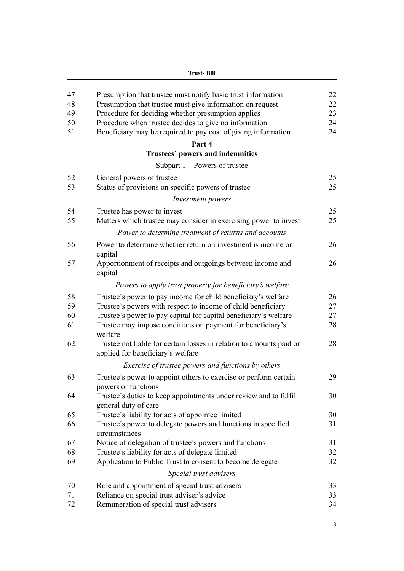|    | <b>Trusts Bill</b>                                                                                        |          |
|----|-----------------------------------------------------------------------------------------------------------|----------|
| 47 | Presumption that trustee must notify basic trust information                                              | 22       |
| 48 | Presumption that trustee must give information on request                                                 | 22       |
| 49 | Procedure for deciding whether presumption applies                                                        | 23       |
| 50 | Procedure when trustee decides to give no information                                                     | 24       |
| 51 | Beneficiary may be required to pay cost of giving information                                             | 24       |
|    | Part 4                                                                                                    |          |
|    | <b>Trustees' powers and indemnities</b>                                                                   |          |
|    | Subpart 1-Powers of trustee                                                                               |          |
| 52 | General powers of trustee                                                                                 | 25       |
| 53 | Status of provisions on specific powers of trustee                                                        | 25       |
|    | Investment powers                                                                                         |          |
| 54 |                                                                                                           |          |
| 55 | Trustee has power to invest<br>Matters which trustee may consider in exercising power to invest           | 25<br>25 |
|    |                                                                                                           |          |
|    | Power to determine treatment of returns and accounts                                                      |          |
| 56 | Power to determine whether return on investment is income or<br>capital                                   | 26       |
| 57 | Apportionment of receipts and outgoings between income and<br>capital                                     | 26       |
|    | Powers to apply trust property for beneficiary's welfare                                                  |          |
| 58 | Trustee's power to pay income for child beneficiary's welfare                                             | 26       |
| 59 | Trustee's powers with respect to income of child beneficiary                                              | 27       |
| 60 | Trustee's power to pay capital for capital beneficiary's welfare                                          | 27       |
| 61 | Trustee may impose conditions on payment for beneficiary's<br>welfare                                     | 28       |
| 62 | Trustee not liable for certain losses in relation to amounts paid or<br>applied for beneficiary's welfare | 28       |
|    | Exercise of trustee powers and functions by others                                                        |          |
| 63 | Trustee's power to appoint others to exercise or perform certain<br>powers or functions                   | 29       |
| 64 | Trustee's duties to keep appointments under review and to fulfil<br>general duty of care                  | 30       |
| 65 | Trustee's liability for acts of appointee limited                                                         | 30       |
| 66 | Trustee's power to delegate powers and functions in specified<br>circumstances                            | 31       |
| 67 | Notice of delegation of trustee's powers and functions                                                    | 31       |
| 68 | Trustee's liability for acts of delegate limited                                                          | 32       |
| 69 | Application to Public Trust to consent to become delegate                                                 | 32       |
|    | Special trust advisers                                                                                    |          |
| 70 | Role and appointment of special trust advisers                                                            | 33       |
| 71 | Reliance on special trust adviser's advice                                                                | 33       |
| 72 | Remuneration of special trust advisers                                                                    | 34       |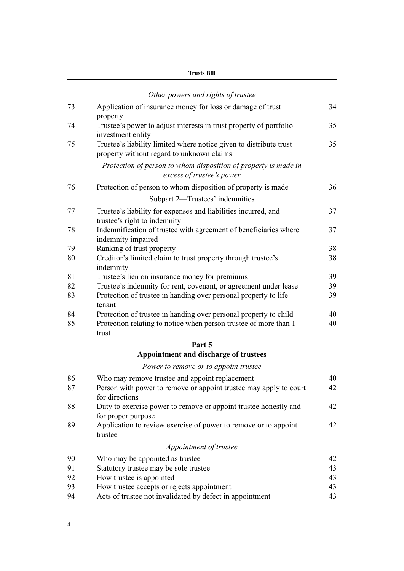| Frusts Bill |
|-------------|
|-------------|

|    | Other powers and rights of trustee                                                                                                   |    |
|----|--------------------------------------------------------------------------------------------------------------------------------------|----|
| 73 | Application of insurance money for loss or damage of trust                                                                           | 34 |
| 74 | property<br>Trustee's power to adjust interests in trust property of portfolio                                                       | 35 |
| 75 | investment entity<br>Trustee's liability limited where notice given to distribute trust<br>property without regard to unknown claims | 35 |
|    | Protection of person to whom disposition of property is made in<br>excess of trustee's power                                         |    |
| 76 | Protection of person to whom disposition of property is made                                                                         | 36 |
|    | Subpart 2-Trustees' indemnities                                                                                                      |    |
| 77 | Trustee's liability for expenses and liabilities incurred, and<br>trustee's right to indemnity                                       | 37 |
| 78 | Indemnification of trustee with agreement of beneficiaries where<br>indemnity impaired                                               | 37 |
| 79 | Ranking of trust property                                                                                                            | 38 |
| 80 | Creditor's limited claim to trust property through trustee's<br>indemnity                                                            | 38 |
| 81 | Trustee's lien on insurance money for premiums                                                                                       | 39 |
| 82 | Trustee's indemnity for rent, covenant, or agreement under lease                                                                     | 39 |
| 83 | Protection of trustee in handing over personal property to life<br>tenant                                                            | 39 |
| 84 | Protection of trustee in handing over personal property to child                                                                     | 40 |
| 85 | Protection relating to notice when person trustee of more than 1<br>trust                                                            | 40 |
|    | Part 5                                                                                                                               |    |
|    | Appointment and discharge of trustees                                                                                                |    |
|    | Power to remove or to appoint trustee                                                                                                |    |
| 86 | Who may remove trustee and appoint replacement                                                                                       | 40 |
| 87 | Person with power to remove or appoint trustee may apply to court<br>for directions                                                  | 42 |
| 88 | Duty to exercise power to remove or appoint trustee honestly and<br>for proper purpose                                               | 42 |
| 89 | Application to review exercise of power to remove or to appoint<br>trustee                                                           | 42 |
|    | Appointment of trustee                                                                                                               |    |
| 90 | Who may be appointed as trustee                                                                                                      | 42 |
| 91 | Statutory trustee may be sole trustee                                                                                                | 43 |
| 92 | How trustee is appointed                                                                                                             | 43 |
| 93 | How trustee accepts or rejects appointment                                                                                           | 43 |
| 94 | Acts of trustee not invalidated by defect in appointment                                                                             | 43 |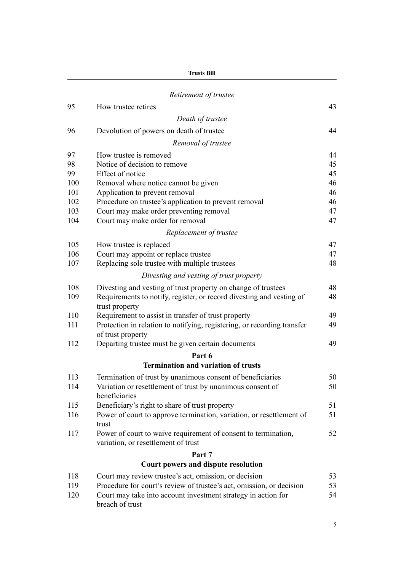| Trusts Bill |  |
|-------------|--|
|-------------|--|

|     | Retirement of trustee                                                                                 |    |
|-----|-------------------------------------------------------------------------------------------------------|----|
| 95  | How trustee retires                                                                                   | 43 |
|     | Death of trustee                                                                                      |    |
| 96  | Devolution of powers on death of trustee                                                              | 44 |
|     | Removal of trustee                                                                                    |    |
| 97  | How trustee is removed                                                                                | 44 |
| 98  | Notice of decision to remove                                                                          | 45 |
| 99  | Effect of notice                                                                                      | 45 |
| 100 | Removal where notice cannot be given                                                                  | 46 |
| 101 | Application to prevent removal                                                                        | 46 |
| 102 | Procedure on trustee's application to prevent removal                                                 | 46 |
| 103 | Court may make order preventing removal                                                               | 47 |
| 104 | Court may make order for removal                                                                      | 47 |
|     | Replacement of trustee                                                                                |    |
| 105 | How trustee is replaced                                                                               | 47 |
| 106 | Court may appoint or replace trustee                                                                  | 47 |
| 107 | Replacing sole trustee with multiple trustees                                                         | 48 |
|     | Divesting and vesting of trust property                                                               |    |
| 108 | Divesting and vesting of trust property on change of trustees                                         | 48 |
| 109 | Requirements to notify, register, or record divesting and vesting of<br>trust property                | 48 |
| 110 | Requirement to assist in transfer of trust property                                                   | 49 |
| 111 | Protection in relation to notifying, registering, or recording transfer<br>of trust property          | 49 |
| 112 | Departing trustee must be given certain documents                                                     | 49 |
|     | Part 6                                                                                                |    |
|     | <b>Termination and variation of trusts</b>                                                            |    |
| 113 | Termination of trust by unanimous consent of beneficiaries                                            | 50 |
| 114 | Variation or resettlement of trust by unanimous consent of<br>beneficiaries                           | 50 |
| 115 | Beneficiary's right to share of trust property                                                        | 51 |
| 116 | Power of court to approve termination, variation, or resettlement of<br>trust                         | 51 |
| 117 | Power of court to waive requirement of consent to termination,<br>variation, or resettlement of trust | 52 |
|     | Part 7                                                                                                |    |
|     | Court powers and dispute resolution                                                                   |    |
| 118 | Court may review trustee's act, omission, or decision                                                 | 53 |
| 119 | Procedure for court's review of trustee's act, omission, or decision                                  | 53 |
| 120 | Court may take into account investment strategy in action for<br>breach of trust                      | 54 |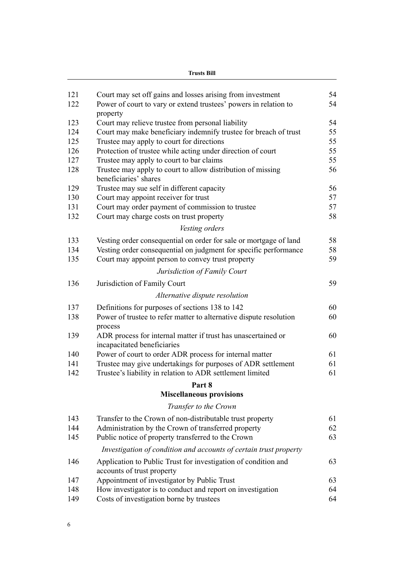| Frusts Bill |  |
|-------------|--|
|-------------|--|

| 121<br>122 | Court may set off gains and losses arising from investment                                   | 54<br>54 |
|------------|----------------------------------------------------------------------------------------------|----------|
|            | Power of court to vary or extend trustees' powers in relation to                             |          |
| 123        | property<br>Court may relieve trustee from personal liability                                | 54       |
| 124        | Court may make beneficiary indemnify trustee for breach of trust                             | 55       |
| 125        | Trustee may apply to court for directions                                                    | 55       |
| 126        | Protection of trustee while acting under direction of court                                  | 55       |
| 127        | Trustee may apply to court to bar claims                                                     | 55       |
| 128        | Trustee may apply to court to allow distribution of missing                                  | 56       |
|            | beneficiaries' shares                                                                        |          |
| 129        | Trustee may sue self in different capacity                                                   | 56       |
| 130        | Court may appoint receiver for trust                                                         | 57       |
| 131        | Court may order payment of commission to trustee                                             | 57       |
| 132        | Court may charge costs on trust property                                                     | 58       |
|            | Vesting orders                                                                               |          |
| 133        | Vesting order consequential on order for sale or mortgage of land                            | 58       |
| 134        | Vesting order consequential on judgment for specific performance                             | 58       |
| 135        | Court may appoint person to convey trust property                                            | 59       |
|            |                                                                                              |          |
|            | Jurisdiction of Family Court                                                                 |          |
| 136        | Jurisdiction of Family Court                                                                 | 59       |
|            | Alternative dispute resolution                                                               |          |
| 137        | Definitions for purposes of sections 138 to 142                                              | 60       |
| 138        | Power of trustee to refer matter to alternative dispute resolution<br>process                | 60       |
| 139        | ADR process for internal matter if trust has unascertained or<br>incapacitated beneficiaries | 60       |
| 140        | Power of court to order ADR process for internal matter                                      | 61       |
| 141        | Trustee may give undertakings for purposes of ADR settlement                                 | 61       |
| 142        | Trustee's liability in relation to ADR settlement limited                                    | 61       |
|            | Part 8                                                                                       |          |
|            | <b>Miscellaneous provisions</b>                                                              |          |
|            | Transfer to the Crown                                                                        |          |
| 143        | Transfer to the Crown of non-distributable trust property                                    | 61       |
| 144        | Administration by the Crown of transferred property                                          | 62       |
| 145        | Public notice of property transferred to the Crown                                           | 63       |
|            | Investigation of condition and accounts of certain trust property                            |          |
| 146        | Application to Public Trust for investigation of condition and                               | 63       |
|            | accounts of trust property                                                                   |          |
| 147        | Appointment of investigator by Public Trust                                                  | 63       |
| 148        | How investigator is to conduct and report on investigation                                   | 64       |
| 149        | Costs of investigation borne by trustees                                                     | 64       |
|            |                                                                                              |          |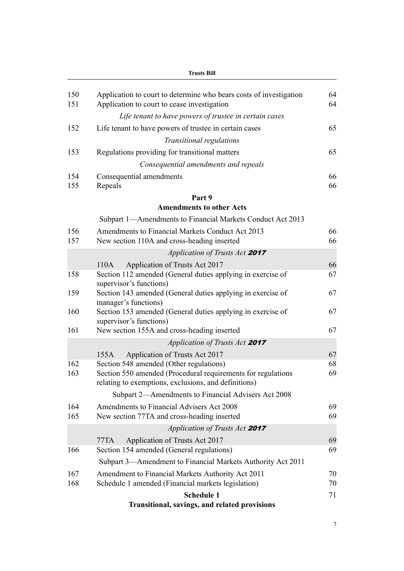|            | <b>Trusts Bill</b>                                                                                                                                              |          |
|------------|-----------------------------------------------------------------------------------------------------------------------------------------------------------------|----------|
| 150<br>151 | Application to court to determine who bears costs of investigation<br>Application to court to cease investigation                                               | 64<br>64 |
|            | Life tenant to have powers of trustee in certain cases                                                                                                          |          |
| 152        | Life tenant to have powers of trustee in certain cases                                                                                                          | 65       |
|            | Transitional regulations                                                                                                                                        |          |
| 153        | Regulations providing for transitional matters                                                                                                                  | 65       |
|            | Consequential amendments and repeals                                                                                                                            |          |
| 154<br>155 | Consequential amendments<br>Repeals                                                                                                                             | 66<br>66 |
|            | Part 9                                                                                                                                                          |          |
|            | <b>Amendments to other Acts</b>                                                                                                                                 |          |
|            | Subpart 1—Amendments to Financial Markets Conduct Act 2013                                                                                                      |          |
| 156        | Amendments to Financial Markets Conduct Act 2013                                                                                                                | 66       |
| 157        | New section 110A and cross-heading inserted                                                                                                                     | 66       |
|            | Application of Trusts Act 2017                                                                                                                                  |          |
|            | Application of Trusts Act 2017<br>110A                                                                                                                          | 66       |
| 158        | Section 112 amended (General duties applying in exercise of<br>supervisor's functions)                                                                          | 67       |
| 159        | Section 143 amended (General duties applying in exercise of<br>manager's functions)                                                                             | 67       |
| 160        | Section 153 amended (General duties applying in exercise of<br>supervisor's functions)                                                                          | 67       |
| 161        | New section 155A and cross-heading inserted                                                                                                                     | 67       |
|            | Application of Trusts Act 2017                                                                                                                                  |          |
|            | Application of Trusts Act 2017<br>155A                                                                                                                          | 67       |
| 162<br>163 | Section 548 amended (Other regulations)<br>Section 550 amended (Procedural requirements for regulations<br>relating to exemptions, exclusions, and definitions) | 68<br>69 |
|            | Subpart 2—Amendments to Financial Advisers Act 2008                                                                                                             |          |
| 164<br>165 | Amendments to Financial Advisers Act 2008<br>New section 77TA and cross-heading inserted                                                                        | 69<br>69 |
|            | Application of Trusts Act 2017                                                                                                                                  |          |
| 166        | Application of Trusts Act 2017<br>77TA<br>Section 154 amended (General regulations)                                                                             | 69<br>69 |
|            |                                                                                                                                                                 |          |
|            | Subpart 3—Amendment to Financial Markets Authority Act 2011                                                                                                     |          |
| 167<br>168 | Amendment to Financial Markets Authority Act 2011<br>Schedule 1 amended (Financial markets legislation)                                                         | 70<br>70 |
|            | <b>Schedule 1</b>                                                                                                                                               | 71       |
|            | Transitional, savings, and related provisions                                                                                                                   |          |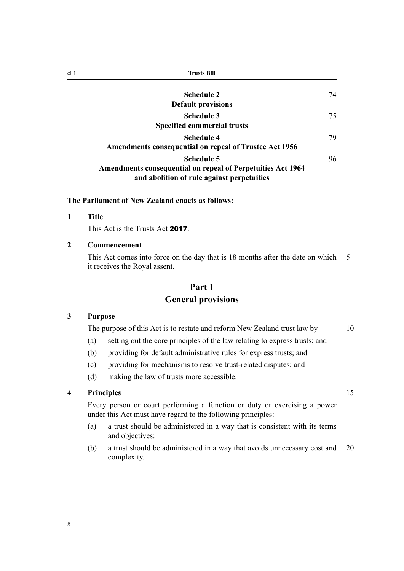<span id="page-17-0"></span>

| cl 1 | <b>Trusts Bill</b>                                                                                                             |    |
|------|--------------------------------------------------------------------------------------------------------------------------------|----|
|      | <b>Schedule 2</b><br><b>Default provisions</b>                                                                                 | 74 |
|      | <b>Schedule 3</b><br><b>Specified commercial trusts</b>                                                                        | 75 |
|      | Schedule 4<br><b>Amendments consequential on repeal of Trustee Act 1956</b>                                                    | 79 |
|      | Schedule 5<br><b>Amendments consequential on repeal of Perpetuities Act 1964</b><br>and abolition of rule against perpetuities | 96 |

### **The Parliament of New Zealand enacts as follows:**

#### **1 Title**

This Act is the Trusts Act 2017.

## **2 Commencement**

This Act comes into force on the day that is 18 months after the date on which 5 it receives the Royal assent.

## **Part 1 General provisions**

## **3 Purpose**

The purpose of this Act is to restate and reform New Zealand trust law by- $\sim$  10

- (a) setting out the core principles of the law relating to express trusts; and
- (b) providing for default administrative rules for express trusts; and
- (c) providing for mechanisms to resolve trust-related disputes; and
- (d) making the law of trusts more accessible.

## **4 Principles** 15

Every person or court performing a function or duty or exercising a power under this Act must have regard to the following principles:

- (a) a trust should be administered in a way that is consistent with its terms and objectives:
- (b) a trust should be administered in a way that avoids unnecessary cost and 20 complexity.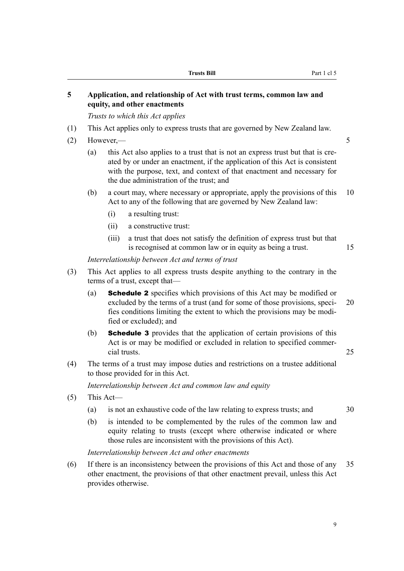## <span id="page-18-0"></span>**5 Application, and relationship of Act with trust terms, common law and equity, and other enactments**

*Trusts to which this Act applies*

- (1) This Act applies only to express trusts that are governed by New Zealand law.
- $(2)$  However,  $\frac{5}{5}$ 
	- (a) this Act also applies to a trust that is not an express trust but that is created by or under an enactment, if the application of this Act is consistent with the purpose, text, and context of that enactment and necessary for the due administration of the trust; and
	- (b) a court may, where necessary or appropriate, apply the provisions of this 10 Act to any of the following that are governed by New Zealand law:
		- (i) a resulting trust:
		- (ii) a constructive trust:
		- (iii) a trust that does not satisfy the definition of express trust but that is recognised at common law or in equity as being a trust. 15

*Interrelationship between Act and terms of trust*

- (3) This Act applies to all express trusts despite anything to the contrary in the terms of a trust, except that—
	- (a) Schedule 2 specifies which provisions of this Act may be modified or excluded by the terms of a trust (and for some of those provisions, speci- 20 fies conditions limiting the extent to which the provisions may be modified or excluded); and
	- (b) Schedule 3 provides that the application of certain provisions of this Act is or may be modified or excluded in relation to specified commercial trusts. 25
- (4) The terms of a trust may impose duties and restrictions on a trustee additional to those provided for in this Act.

*Interrelationship between Act and common law and equity*

- (5) This Act—
	- (a) is not an exhaustive code of the law relating to express trusts; and 30
	- (b) is intended to be complemented by the rules of the common law and equity relating to trusts (except where otherwise indicated or where those rules are inconsistent with the provisions of this Act).

*Interrelationship between Act and other enactments*

(6) If there is an inconsistency between the provisions of this Act and those of any 35 other enactment, the provisions of that other enactment prevail, unless this Act provides otherwise.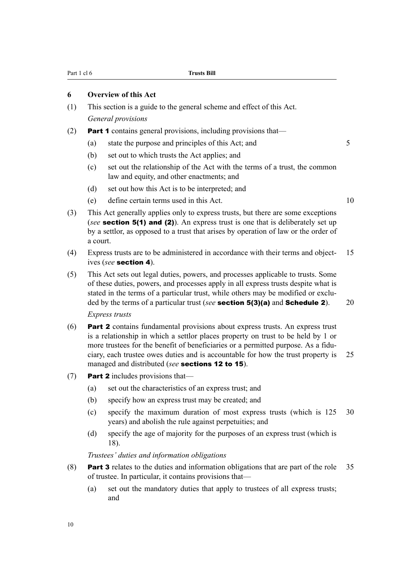#### <span id="page-19-0"></span>**6 Overview of this Act**

- (1) This section is a guide to the general scheme and effect of this Act. *General provisions*
- (2) Part 1 contains general provisions, including provisions that—
	- (a) state the purpose and principles of this Act; and 5
	- (b) set out to which trusts the Act applies; and
	- (c) set out the relationship of the Act with the terms of a trust, the common law and equity, and other enactments; and
	- (d) set out how this Act is to be interpreted; and
	- (e) define certain terms used in this Act. 10
- (3) This Act generally applies only to express trusts, but there are some exceptions (*see* **section 5(1) and (2)**). An express trust is one that is deliberately set up by a settlor, as opposed to a trust that arises by operation of law or the order of a court.
- (4) Express trusts are to be administered in accordance with their terms and object- 15 ives (*see* section 4).
- (5) This Act sets out legal duties, powers, and processes applicable to trusts. Some of these duties, powers, and processes apply in all express trusts despite what is stated in the terms of a particular trust, while others may be modified or excluded by the terms of a particular trust (*see* **section 5(3)(a)** and **Schedule 2**). 20 *Express trusts*
- (6) Part 2 contains fundamental provisions about express trusts. An express trust is a relationship in which a settlor places property on trust to be held by 1 or more trustees for the benefit of beneficiaries or a permitted purpose. As a fiduciary, each trustee owes duties and is accountable for how the trust property is 25 managed and distributed (*see* sections 12 to 15).
- (7) **Part 2** includes provisions that—
	- (a) set out the characteristics of an express trust; and
	- (b) specify how an express trust may be created; and
	- (c) specify the maximum duration of most express trusts (which is 125 30 years) and abolish the rule against perpetuities; and
	- (d) specify the age of majority for the purposes of an express trust (which is 18).

*Trustees' duties and information obligations*

- (8) Part 3 relates to the duties and information obligations that are part of the role 35 of trustee. In particular, it contains provisions that—
	- (a) set out the mandatory duties that apply to trustees of all express trusts; and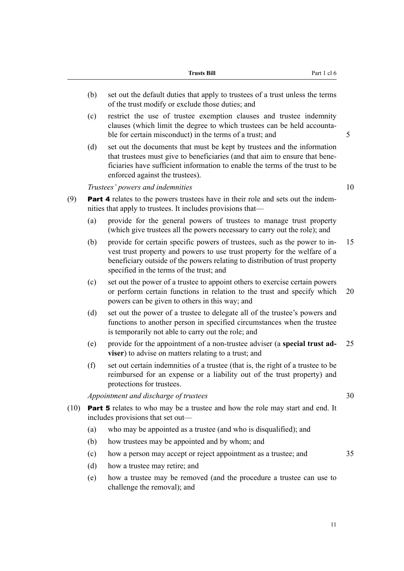|      |     | <b>Trusts Bill</b><br>Part 1 cl 6                                                                                                                                                                                                                                                  |    |
|------|-----|------------------------------------------------------------------------------------------------------------------------------------------------------------------------------------------------------------------------------------------------------------------------------------|----|
|      | (b) | set out the default duties that apply to trustees of a trust unless the terms<br>of the trust modify or exclude those duties; and                                                                                                                                                  |    |
|      | (c) | restrict the use of trustee exemption clauses and trustee indemnity<br>clauses (which limit the degree to which trustees can be held accounta-<br>ble for certain misconduct) in the terms of a trust; and                                                                         | 5  |
|      | (d) | set out the documents that must be kept by trustees and the information<br>that trustees must give to beneficiaries (and that aim to ensure that bene-<br>ficiaries have sufficient information to enable the terms of the trust to be<br>enforced against the trustees).          |    |
|      |     | Trustees' powers and indemnities                                                                                                                                                                                                                                                   | 10 |
| (9)  |     | <b>Part 4</b> relates to the powers trustees have in their role and sets out the indem-<br>nities that apply to trustees. It includes provisions that—                                                                                                                             |    |
|      | (a) | provide for the general powers of trustees to manage trust property<br>(which give trustees all the powers necessary to carry out the role); and                                                                                                                                   |    |
|      | (b) | provide for certain specific powers of trustees, such as the power to in-<br>vest trust property and powers to use trust property for the welfare of a<br>beneficiary outside of the powers relating to distribution of trust property<br>specified in the terms of the trust; and | 15 |
|      | (c) | set out the power of a trustee to appoint others to exercise certain powers<br>or perform certain functions in relation to the trust and specify which<br>powers can be given to others in this way; and                                                                           | 20 |
|      | (d) | set out the power of a trustee to delegate all of the trustee's powers and<br>functions to another person in specified circumstances when the trustee<br>is temporarily not able to carry out the role; and                                                                        |    |
|      | (e) | provide for the appointment of a non-trustee adviser (a special trust ad-<br>viser) to advise on matters relating to a trust; and                                                                                                                                                  | 25 |
|      | (f) | set out certain indemnities of a trustee (that is, the right of a trustee to be<br>reimbursed for an expense or a liability out of the trust property) and<br>protections for trustees.                                                                                            |    |
|      |     | Appointment and discharge of trustees                                                                                                                                                                                                                                              | 30 |
| (10) |     | <b>Part 5</b> relates to who may be a trustee and how the role may start and end. It<br>includes provisions that set out—                                                                                                                                                          |    |
|      | (a) | who may be appointed as a trustee (and who is disqualified); and                                                                                                                                                                                                                   |    |
|      | (b) | how trustees may be appointed and by whom; and                                                                                                                                                                                                                                     |    |
|      | (c) | how a person may accept or reject appointment as a trustee; and                                                                                                                                                                                                                    | 35 |
|      | (d) | how a trustee may retire; and                                                                                                                                                                                                                                                      |    |
|      | (e) | how a trustee may be removed (and the procedure a trustee can use to<br>challenge the removal); and                                                                                                                                                                                |    |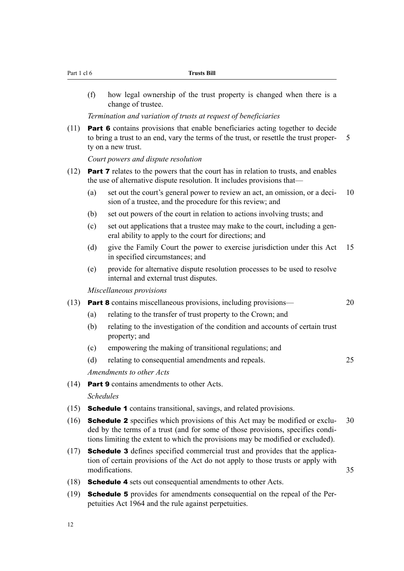| Part 1 cl 6 |     | <b>Trusts Bill</b>                                                                                                                                                                                                                                       |   |
|-------------|-----|----------------------------------------------------------------------------------------------------------------------------------------------------------------------------------------------------------------------------------------------------------|---|
|             | (f) | how legal ownership of the trust property is changed when there is a<br>change of trustee.                                                                                                                                                               |   |
|             |     | Termination and variation of trusts at request of beneficiaries                                                                                                                                                                                          |   |
| (11)        |     | <b>Part 6</b> contains provisions that enable beneficiaries acting together to decide<br>to bring a trust to an end, vary the terms of the trust, or resettle the trust proper-<br>ty on a new trust.                                                    | 5 |
|             |     | Court powers and dispute resolution                                                                                                                                                                                                                      |   |
| (12)        |     | <b>Part 7</b> relates to the powers that the court has in relation to trusts, and enables<br>the use of alternative dispute resolution. It includes provisions that—                                                                                     |   |
|             | (a) | set out the court's general power to review an act, an omission, or a deci-<br>sion of a trustee, and the procedure for this review; and                                                                                                                 |   |
|             | (b) | set out powers of the court in relation to actions involving trusts; and                                                                                                                                                                                 |   |
|             | (c) | set out applications that a trustee may make to the court, including a gen-<br>eral ability to apply to the court for directions; and                                                                                                                    |   |
|             | (d) | give the Family Court the power to exercise jurisdiction under this Act<br>in specified circumstances; and                                                                                                                                               |   |
|             | (e) | provide for alternative dispute resolution processes to be used to resolve<br>internal and external trust disputes.                                                                                                                                      |   |
|             |     | Miscellaneous provisions                                                                                                                                                                                                                                 |   |
| (13)        |     | <b>Part 8</b> contains miscellaneous provisions, including provisions—                                                                                                                                                                                   |   |
|             | (a) | relating to the transfer of trust property to the Crown; and                                                                                                                                                                                             |   |
|             | (b) | relating to the investigation of the condition and accounts of certain trust<br>property; and                                                                                                                                                            |   |
|             | (c) | empowering the making of transitional regulations; and                                                                                                                                                                                                   |   |
|             | (d) | relating to consequential amendments and repeals.                                                                                                                                                                                                        |   |
|             |     | Amendments to other Acts                                                                                                                                                                                                                                 |   |
| (14)        |     | <b>Part 9</b> contains amendments to other Acts.                                                                                                                                                                                                         |   |
|             |     | <b>Schedules</b>                                                                                                                                                                                                                                         |   |
| (15)        |     | <b>Schedule 1</b> contains transitional, savings, and related provisions.                                                                                                                                                                                |   |
| (16)        |     | <b>Schedule 2</b> specifies which provisions of this Act may be modified or exclu-<br>ded by the terms of a trust (and for some of those provisions, specifies condi-<br>tions limiting the extent to which the provisions may be modified or excluded). |   |
| (17)        |     | <b>Schedule 3</b> defines specified commercial trust and provides that the applica-<br>tion of certain provisions of the Act do not apply to those trusts or apply with<br>modifications.                                                                |   |
| (18)        |     | <b>Schedule 4</b> sets out consequential amendments to other Acts.                                                                                                                                                                                       |   |
|             |     | $(19)$ <b>Schedule 5</b> provides for amendments consequential on the repeal of the Per-                                                                                                                                                                 |   |

(19) Schedule 5 provides for amendments consequential on the repeal of the Perpetuities Act 1964 and the rule against perpetuities.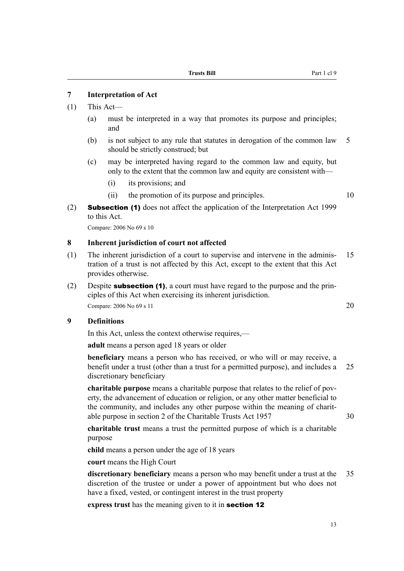### <span id="page-22-0"></span>**7 Interpretation of Act**

#### (1) This Act—

- (a) must be interpreted in a way that promotes its purpose and principles; and
- (b) is not subject to any rule that statutes in derogation of the common law 5 should be strictly construed; but
- (c) may be interpreted having regard to the common law and equity, but only to the extent that the common law and equity are consistent with—
	- (i) its provisions; and
	- (ii) the promotion of its purpose and principles. 10
- (2) **Subsection (1)** does not affect the application of the Interpretation Act 1999 to this Act.

Compare: 2006 No 69 s 10

#### **8 Inherent jurisdiction of court not affected**

- (1) The inherent jurisdiction of a court to supervise and intervene in the adminis- 15 tration of a trust is not affected by this Act, except to the extent that this Act provides otherwise.
- (2) Despite **subsection (1)**, a court must have regard to the purpose and the principles of this Act when exercising its inherent jurisdiction. Compare: 2006 No 69 s 11 20

#### **9 Definitions**

In this Act, unless the context otherwise requires,—

**adult** means a person aged 18 years or older

**beneficiary** means a person who has received, or who will or may receive, a benefit under a trust (other than a trust for a permitted purpose), and includes a 25 discretionary beneficiary

**charitable purpose** means a charitable purpose that relates to the relief of poverty, the advancement of education or religion, or any other matter beneficial to the community, and includes any other purpose within the meaning of charitable purpose in section 2 of the Charitable Trusts Act 1957 30

**charitable trust** means a trust the permitted purpose of which is a charitable purpose

**child** means a person under the age of 18 years

**court** means the High Court

**discretionary beneficiary** means a person who may benefit under a trust at the 35 discretion of the trustee or under a power of appointment but who does not have a fixed, vested, or contingent interest in the trust property

**express trust** has the meaning given to it in section 12

13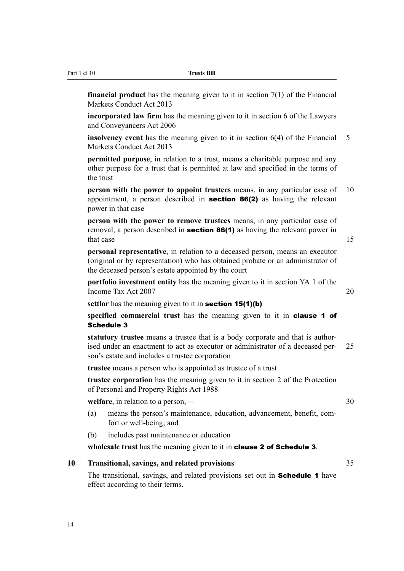<span id="page-23-0"></span>Part 1 cl 10 **Trusts Bill**

**financial product** has the meaning given to it in section 7(1) of the Financial Markets Conduct Act 2013

**incorporated law firm** has the meaning given to it in section 6 of the Lawyers and Conveyancers Act 2006

**insolvency event** has the meaning given to it in section 6(4) of the Financial 5 Markets Conduct Act 2013

**permitted purpose**, in relation to a trust, means a charitable purpose and any other purpose for a trust that is permitted at law and specified in the terms of the trust

**person with the power to appoint trustees** means, in any particular case of 10 appointment, a person described in section 86(2) as having the relevant power in that case

**person with the power to remove trustees** means, in any particular case of removal, a person described in **section 86(1)** as having the relevant power in that case 15

**personal representative**, in relation to a deceased person, means an executor (original or by representation) who has obtained probate or an administrator of the deceased person's estate appointed by the court

**portfolio investment entity** has the meaning given to it in section YA 1 of the Income Tax Act 2007 20

settlor has the meaning given to it in **section 15(1)(b)** 

**specified commercial trust** has the meaning given to it in **clause 1 of** Schedule 3

**statutory trustee** means a trustee that is a body corporate and that is authorised under an enactment to act as executor or administrator of a deceased per- 25 son's estate and includes a trustee corporation

**trustee** means a person who is appointed as trustee of a trust

**trustee corporation** has the meaning given to it in section 2 of the Protection of Personal and Property Rights Act 1988

**welfare**, in relation to a person,—

- (a) means the person's maintenance, education, advancement, benefit, comfort or well-being; and
- (b) includes past maintenance or education

**wholesale trust** has the meaning given to it in clause 2 of Schedule 3.

### **10 Transitional, savings, and related provisions** 35

The transitional, savings, and related provisions set out in **Schedule 1** have effect according to their terms.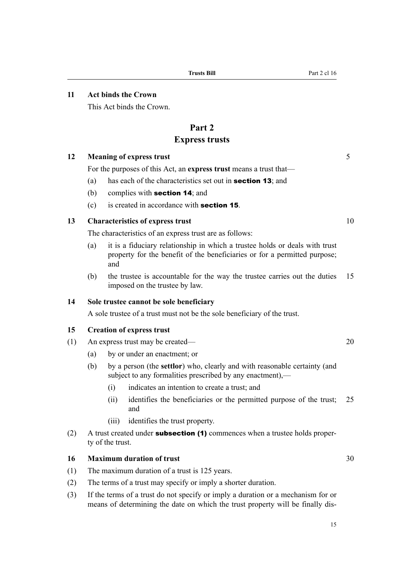#### <span id="page-24-0"></span>**11 Act binds the Crown**

This Act binds the Crown.

## **Part 2**

## **Express trusts**

### **12 Meaning of express trust** 5

For the purposes of this Act, an **express trust** means a trust that—

- (a) has each of the characteristics set out in section 13; and
- (b) complies with section 14; and
- (c) is created in accordance with **section 15**.

## **13 Characteristics of express trust** 10

The characteristics of an express trust are as follows:

- (a) it is a fiduciary relationship in which a trustee holds or deals with trust property for the benefit of the beneficiaries or for a permitted purpose; and
- (b) the trustee is accountable for the way the trustee carries out the duties 15 imposed on the trustee by law.

## **14 Sole trustee cannot be sole beneficiary**

A sole trustee of a trust must not be the sole beneficiary of the trust.

#### **15 Creation of express trust**

- (1) An express trust may be created— 20
	- (a) by or under an enactment; or
	- (b) by a person (the **settlor**) who, clearly and with reasonable certainty (and subject to any formalities prescribed by any enactment).—
		- (i) indicates an intention to create a trust; and
		- (ii) identifies the beneficiaries or the permitted purpose of the trust; 25 and
		- (iii) identifies the trust property.
- (2) A trust created under **subsection (1)** commences when a trustee holds property of the trust.

#### **16 Maximum duration of trust** 30

- (1) The maximum duration of a trust is 125 years.
- (2) The terms of a trust may specify or imply a shorter duration.
- (3) If the terms of a trust do not specify or imply a duration or a mechanism for or means of determining the date on which the trust property will be finally dis-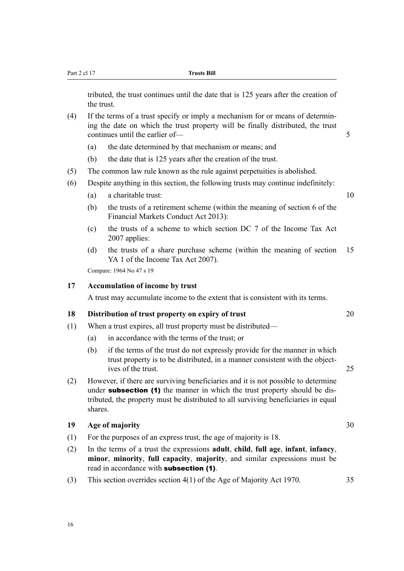<span id="page-25-0"></span>tributed, the trust continues until the date that is 125 years after the creation of the trust.

- (4) If the terms of a trust specify or imply a mechanism for or means of determining the date on which the trust property will be finally distributed, the trust continues until the earlier of — 5
	- (a) the date determined by that mechanism or means; and
	- (b) the date that is 125 years after the creation of the trust.
- (5) The common law rule known as the rule against perpetuities is abolished.
- (6) Despite anything in this section, the following trusts may continue indefinitely:
	- (a) a charitable trust: 10
	- (b) the trusts of a retirement scheme (within the meaning of section 6 of the Financial Markets Conduct Act 2013):
	- (c) the trusts of a scheme to which section DC 7 of the Income Tax Act 2007 applies:
	- (d) the trusts of a share purchase scheme (within the meaning of section 15 YA 1 of the Income Tax Act 2007).

Compare: 1964 No 47 s 19

#### **17 Accumulation of income by trust**

A trust may accumulate income to the extent that is consistent with its terms.

#### **18 Distribution of trust property on expiry of trust** 20

- (1) When a trust expires, all trust property must be distributed—
	- (a) in accordance with the terms of the trust; or
	- (b) if the terms of the trust do not expressly provide for the manner in which trust property is to be distributed, in a manner consistent with the objectives of the trust. 25
- (2) However, if there are surviving beneficiaries and it is not possible to determine under **subsection** (1) the manner in which the trust property should be distributed, the property must be distributed to all surviving beneficiaries in equal shares.

#### **19 Age of majority** 30

- (1) For the purposes of an express trust, the age of majority is 18.
- (2) In the terms of a trust the expressions **adult**, **child**, **full age**, **infant**, **infancy**, **minor**, **minority**, **full capacity**, **majority**, and similar expressions must be read in accordance with subsection (1).
- (3) This section overrides section 4(1) of the Age of Majority Act 1970. 35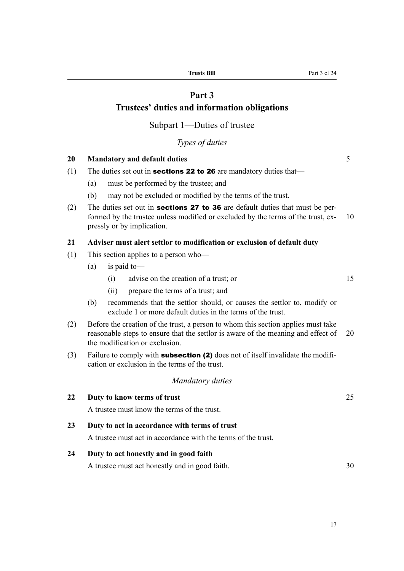## **Part 3**

## <span id="page-26-0"></span>**Trustees' duties and information obligations**

Subpart 1—Duties of trustee

*Types of duties*

#### **20 Mandatory and default duties** 5

- (1) The duties set out in **sections 22 to 26** are mandatory duties that—
	- (a) must be performed by the trustee; and
	- (b) may not be excluded or modified by the terms of the trust.
- (2) The duties set out in **sections 27 to 36** are default duties that must be performed by the trustee unless modified or excluded by the terms of the trust, ex- 10 pressly or by implication.

#### **21 Adviser must alert settlor to modification or exclusion of default duty**

- (1) This section applies to a person who—
	- (a) is paid to—
		- (i) advise on the creation of a trust; or 15
		- (ii) prepare the terms of a trust; and
	- (b) recommends that the settlor should, or causes the settlor to, modify or exclude 1 or more default duties in the terms of the trust.
- (2) Before the creation of the trust, a person to whom this section applies must take reasonable steps to ensure that the settlor is aware of the meaning and effect of 20 the modification or exclusion.
- (3) Failure to comply with **subsection (2)** does not of itself invalidate the modification or exclusion in the terms of the trust.

#### *Mandatory duties*

**22 Duty to know terms of trust** 25 A trustee must know the terms of the trust. **23 Duty to act in accordance with terms of trust** A trustee must act in accordance with the terms of the trust. **24 Duty to act honestly and in good faith** A trustee must act honestly and in good faith. 30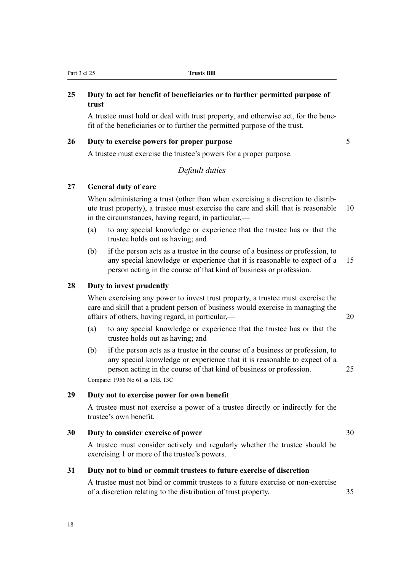## <span id="page-27-0"></span>**25 Duty to act for benefit of beneficiaries or to further permitted purpose of trust**

A trustee must hold or deal with trust property, and otherwise act, for the benefit of the beneficiaries or to further the permitted purpose of the trust.

### **26 Duty to exercise powers for proper purpose** 5

A trustee must exercise the trustee's powers for a proper purpose.

## *Default duties*

#### **27 General duty of care**

When administering a trust (other than when exercising a discretion to distribute trust property), a trustee must exercise the care and skill that is reasonable 10 in the circumstances, having regard, in particular,—

- (a) to any special knowledge or experience that the trustee has or that the trustee holds out as having; and
- (b) if the person acts as a trustee in the course of a business or profession, to any special knowledge or experience that it is reasonable to expect of a 15 person acting in the course of that kind of business or profession.

#### **28 Duty to invest prudently**

When exercising any power to invest trust property, a trustee must exercise the care and skill that a prudent person of business would exercise in managing the affairs of others, having regard, in particular,— 20

- (a) to any special knowledge or experience that the trustee has or that the trustee holds out as having; and
- (b) if the person acts as a trustee in the course of a business or profession, to any special knowledge or experience that it is reasonable to expect of a person acting in the course of that kind of business or profession. 25 Compare: 1956 No 61 ss 13B, 13C

#### **29 Duty not to exercise power for own benefit**

A trustee must not exercise a power of a trustee directly or indirectly for the trustee's own benefit.

### **30 Duty to consider exercise of power** 30

A trustee must consider actively and regularly whether the trustee should be exercising 1 or more of the trustee's powers.

#### **31 Duty not to bind or commit trustees to future exercise of discretion**

A trustee must not bind or commit trustees to a future exercise or non-exercise of a discretion relating to the distribution of trust property. 35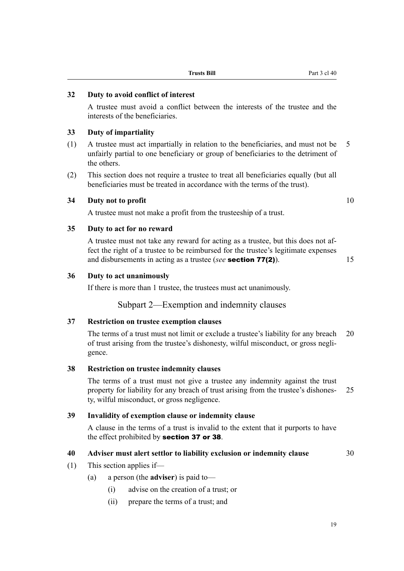| I<br>ë<br>۰,<br>٧ |
|-------------------|
|-------------------|

#### **Trusts Bill** Part 3 cl 40

#### <span id="page-28-0"></span>**32 Duty to avoid conflict of interest**

A trustee must avoid a conflict between the interests of the trustee and the interests of the beneficiaries.

#### **33 Duty of impartiality**

- (1) A trustee must act impartially in relation to the beneficiaries, and must not be 5 unfairly partial to one beneficiary or group of beneficiaries to the detriment of the others.
- (2) This section does not require a trustee to treat all beneficiaries equally (but all beneficiaries must be treated in accordance with the terms of the trust).

## **34 Duty not to profit** 10

A trustee must not make a profit from the trusteeship of a trust.

#### **35 Duty to act for no reward**

A trustee must not take any reward for acting as a trustee, but this does not affect the right of a trustee to be reimbursed for the trustee's legitimate expenses and disbursements in acting as a trustee (*see* **section 77(2)**). 15

#### **36 Duty to act unanimously**

If there is more than 1 trustee, the trustees must act unanimously.

## Subpart 2—Exemption and indemnity clauses

#### **37 Restriction on trustee exemption clauses**

The terms of a trust must not limit or exclude a trustee's liability for any breach 20 of trust arising from the trustee's dishonesty, wilful misconduct, or gross negligence.

#### **38 Restriction on trustee indemnity clauses**

The terms of a trust must not give a trustee any indemnity against the trust property for liability for any breach of trust arising from the trustee's dishones- 25 ty, wilful misconduct, or gross negligence.

#### **39 Invalidity of exemption clause or indemnity clause**

A clause in the terms of a trust is invalid to the extent that it purports to have the effect prohibited by section 37 or 38.

## **40 Adviser must alert settlor to liability exclusion or indemnity clause** 30

- (1) This section applies if—
	- (a) a person (the **adviser**) is paid to—
		- (i) advise on the creation of a trust; or
		- (ii) prepare the terms of a trust; and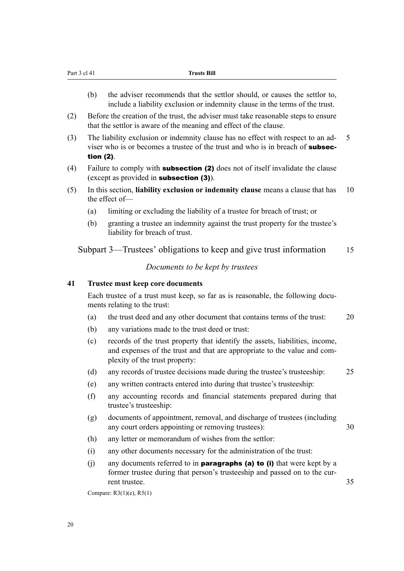- <span id="page-29-0"></span>(b) the adviser recommends that the settlor should, or causes the settlor to, include a liability exclusion or indemnity clause in the terms of the trust.
- (2) Before the creation of the trust, the adviser must take reasonable steps to ensure that the settlor is aware of the meaning and effect of the clause.
- (3) The liability exclusion or indemnity clause has no effect with respect to an ad- 5 viser who is or becomes a trustee of the trust and who is in breach of **subsec**tion (2).
- (4) Failure to comply with **subsection (2)** does not of itself invalidate the clause (except as provided in subsection (3)).
- (5) In this section, **liability exclusion or indemnity clause** means a clause that has 10 the effect of—
	- (a) limiting or excluding the liability of a trustee for breach of trust; or
	- (b) granting a trustee an indemnity against the trust property for the trustee's liability for breach of trust.

Subpart 3—Trustees' obligations to keep and give trust information 15

#### *Documents to be kept by trustees*

#### **41 Trustee must keep core documents**

Each trustee of a trust must keep, so far as is reasonable, the following documents relating to the trust:

- (a) the trust deed and any other document that contains terms of the trust: 20
- (b) any variations made to the trust deed or trust:
- (c) records of the trust property that identify the assets, liabilities, income, and expenses of the trust and that are appropriate to the value and complexity of the trust property:
- (d) any records of trustee decisions made during the trustee's trusteeship: 25
- (e) any written contracts entered into during that trustee's trusteeship:
- (f) any accounting records and financial statements prepared during that trustee's trusteeship:
- (g) documents of appointment, removal, and discharge of trustees (including any court orders appointing or removing trustees): 30
- (h) any letter or memorandum of wishes from the settlor:
- (i) any other documents necessary for the administration of the trust:
- (i) any documents referred to in **paragraphs (a) to (i)** that were kept by a former trustee during that person's trusteeship and passed on to the current trustee. 35

Compare: R3(1)(e), R5(1)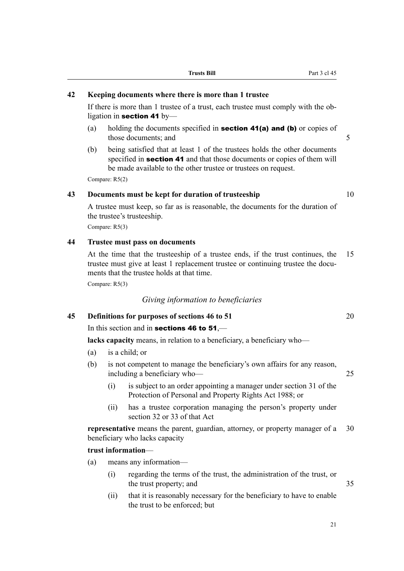## <span id="page-30-0"></span>**42 Keeping documents where there is more than 1 trustee**

If there is more than 1 trustee of a trust, each trustee must comply with the obligation in section 41 by-

- (a) holding the documents specified in **section 41(a) and (b)** or copies of those documents; and 5
- (b) being satisfied that at least 1 of the trustees holds the other documents specified in **section 41** and that those documents or copies of them will be made available to the other trustee or trustees on request.

Compare: R5(2)

### **43 Documents must be kept for duration of trusteeship** 10

A trustee must keep, so far as is reasonable, the documents for the duration of the trustee's trusteeship.

Compare: R5(3)

#### **44 Trustee must pass on documents**

At the time that the trusteeship of a trustee ends, if the trust continues, the 15 trustee must give at least 1 replacement trustee or continuing trustee the documents that the trustee holds at that time.

Compare: R5(3)

#### *Giving information to beneficiaries*

**45 Definitions for purposes of sections 46 to 51** 20

## In this section and in **sections 46 to 51**,—

**lacks capacity** means, in relation to a beneficiary, a beneficiary who—

- (a) is a child; or
- (b) is not competent to manage the beneficiary's own affairs for any reason, including a beneficiary who— 25
	- (i) is subject to an order appointing a manager under section 31 of the Protection of Personal and Property Rights Act 1988; or
	- (ii) has a trustee corporation managing the person's property under section 32 or 33 of that Act

**representative** means the parent, guardian, attorney, or property manager of a 30 beneficiary who lacks capacity

#### **trust information**—

- (a) means any information—
	- (i) regarding the terms of the trust, the administration of the trust, or the trust property; and 35
	- (ii) that it is reasonably necessary for the beneficiary to have to enable the trust to be enforced; but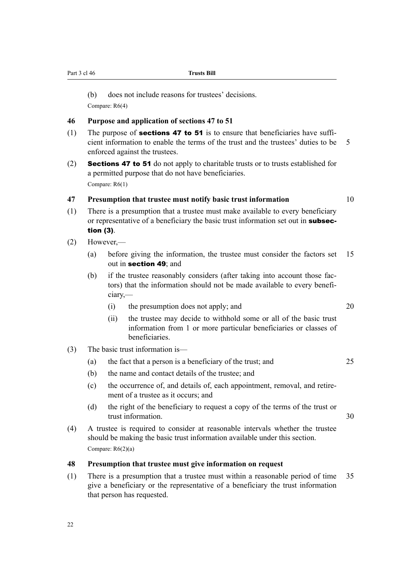<span id="page-31-0"></span>Part 3 cl 46 **Trusts Bill**

(b) does not include reasons for trustees' decisions.

Compare: R6(4)

#### **46 Purpose and application of sections 47 to 51**

- (1) The purpose of **sections 47 to 51** is to ensure that beneficiaries have sufficient information to enable the terms of the trust and the trustees' duties to be 5 enforced against the trustees.
- (2) Sections 47 to 51 do not apply to charitable trusts or to trusts established for a permitted purpose that do not have beneficiaries. Compare: R6(1)

## **47 Presumption that trustee must notify basic trust information** 10

- (1) There is a presumption that a trustee must make available to every beneficiary or representative of a beneficiary the basic trust information set out in **subsec**tion (3).
- (2) However,—
	- (a) before giving the information, the trustee must consider the factors set 15 out in section 49; and
	- (b) if the trustee reasonably considers (after taking into account those factors) that the information should not be made available to every beneficiary,—
		- (i) the presumption does not apply; and 20
		- (ii) the trustee may decide to withhold some or all of the basic trust information from 1 or more particular beneficiaries or classes of beneficiaries.
- (3) The basic trust information is—
	- (a) the fact that a person is a beneficiary of the trust; and 25
	- (b) the name and contact details of the trustee; and
	- (c) the occurrence of, and details of, each appointment, removal, and retirement of a trustee as it occurs; and
	- (d) the right of the beneficiary to request a copy of the terms of the trust or trust information. 30
- (4) A trustee is required to consider at reasonable intervals whether the trustee should be making the basic trust information available under this section. Compare: R6(2)(a)

### **48 Presumption that trustee must give information on request**

(1) There is a presumption that a trustee must within a reasonable period of time 35 give a beneficiary or the representative of a beneficiary the trust information that person has requested.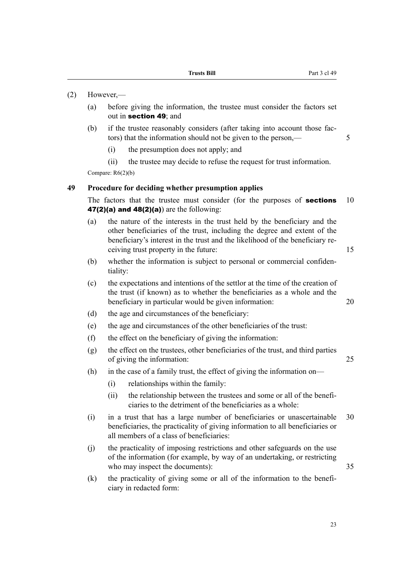- <span id="page-32-0"></span>(2) However,—
	- (a) before giving the information, the trustee must consider the factors set out in section 49; and
	- (b) if the trustee reasonably considers (after taking into account those factors) that the information should not be given to the person,— 5
		- (i) the presumption does not apply; and
		- (ii) the trustee may decide to refuse the request for trust information.

Compare: R6(2)(b)

#### **49 Procedure for deciding whether presumption applies**

The factors that the trustee must consider (for the purposes of **sections** 10 47(2)(a) and  $48(2)(a)$  are the following:

- (a) the nature of the interests in the trust held by the beneficiary and the other beneficiaries of the trust, including the degree and extent of the beneficiary's interest in the trust and the likelihood of the beneficiary receiving trust property in the future: 15
- (b) whether the information is subject to personal or commercial confidentiality:
- (c) the expectations and intentions of the settlor at the time of the creation of the trust (if known) as to whether the beneficiaries as a whole and the beneficiary in particular would be given information: 20
- (d) the age and circumstances of the beneficiary:
- (e) the age and circumstances of the other beneficiaries of the trust:
- (f) the effect on the beneficiary of giving the information:
- (g) the effect on the trustees, other beneficiaries of the trust, and third parties of giving the information: 25
- (h) in the case of a family trust, the effect of giving the information on—
	- (i) relationships within the family:
	- (ii) the relationship between the trustees and some or all of the beneficiaries to the detriment of the beneficiaries as a whole:
- (i) in a trust that has a large number of beneficiaries or unascertainable 30 beneficiaries, the practicality of giving information to all beneficiaries or all members of a class of beneficiaries:
- (j) the practicality of imposing restrictions and other safeguards on the use of the information (for example, by way of an undertaking, or restricting who may inspect the documents):  $35$
- (k) the practicality of giving some or all of the information to the beneficiary in redacted form: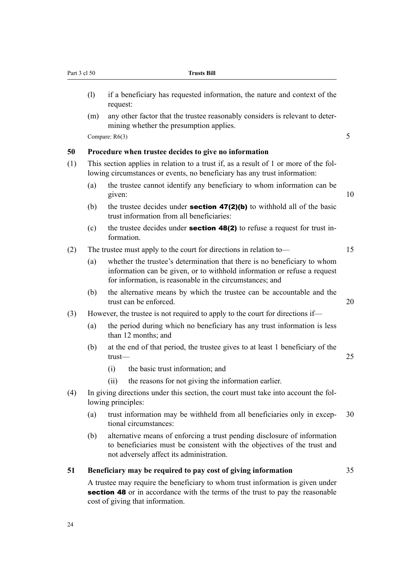- <span id="page-33-0"></span>(l) if a beneficiary has requested information, the nature and context of the request:
- (m) any other factor that the trustee reasonably considers is relevant to determining whether the presumption applies.

Compare:  $R6(3)$  5

#### **50 Procedure when trustee decides to give no information**

- (1) This section applies in relation to a trust if, as a result of 1 or more of the following circumstances or events, no beneficiary has any trust information:
	- (a) the trustee cannot identify any beneficiary to whom information can be given: 10
	- (b) the trustee decides under **section 47(2)(b)** to withhold all of the basic trust information from all beneficiaries:
	- (c) the trustee decides under **section 48(2)** to refuse a request for trust information.
- (2) The trustee must apply to the court for directions in relation to— 15
	- (a) whether the trustee's determination that there is no beneficiary to whom information can be given, or to withhold information or refuse a request for information, is reasonable in the circumstances; and
	- (b) the alternative means by which the trustee can be accountable and the trust can be enforced 20 and 20 and 20 and 20 and 20 and 20 and 20 and 20 and 20 and 20 and 20 and 20 and 20 and 20 and 20 and 20 and 20 and 20 and 20 and 20 and 20 and 20 and 20 and 20 and 20 and 20 and 20 and 20 and 20 a
- (3) However, the trustee is not required to apply to the court for directions if—
	- (a) the period during which no beneficiary has any trust information is less than 12 months; and
	- (b) at the end of that period, the trustee gives to at least 1 beneficiary of the trust— 25
		- (i) the basic trust information; and
		- (ii) the reasons for not giving the information earlier.
- (4) In giving directions under this section, the court must take into account the following principles:
	- (a) trust information may be withheld from all beneficiaries only in excep- 30 tional circumstances:
	- (b) alternative means of enforcing a trust pending disclosure of information to beneficiaries must be consistent with the objectives of the trust and not adversely affect its administration.

#### **51 Beneficiary may be required to pay cost of giving information** 35

A trustee may require the beneficiary to whom trust information is given under section 48 or in accordance with the terms of the trust to pay the reasonable cost of giving that information.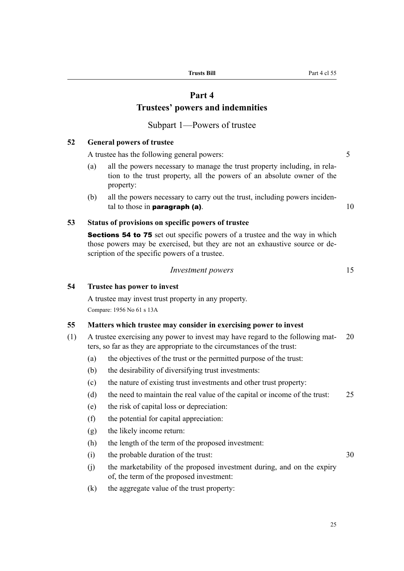### **Part 4**

## **Trustees' powers and indemnities**

## Subpart 1—Powers of trustee

### <span id="page-34-0"></span>**52 General powers of trustee**

A trustee has the following general powers:  $\frac{5}{5}$ 

- (a) all the powers necessary to manage the trust property including, in relation to the trust property, all the powers of an absolute owner of the property:
- (b) all the powers necessary to carry out the trust, including powers incidental to those in **paragraph (a)**.  $10$

#### **53 Status of provisions on specific powers of trustee**

Sections 54 to 75 set out specific powers of a trustee and the way in which those powers may be exercised, but they are not an exhaustive source or description of the specific powers of a trustee.

#### *Investment powers* 15

## **54 Trustee has power to invest**

A trustee may invest trust property in any property. Compare: 1956 No 61 s 13A

#### **55 Matters which trustee may consider in exercising power to invest**

- (1) A trustee exercising any power to invest may have regard to the following mat- 20 ters, so far as they are appropriate to the circumstances of the trust:
	- (a) the objectives of the trust or the permitted purpose of the trust:
	- (b) the desirability of diversifying trust investments:
	- (c) the nature of existing trust investments and other trust property:
	- (d) the need to maintain the real value of the capital or income of the trust: 25
	- (e) the risk of capital loss or depreciation:
	- (f) the potential for capital appreciation:
	- (g) the likely income return:
	- (h) the length of the term of the proposed investment:
	- (i) the probable duration of the trust: 30
	- (j) the marketability of the proposed investment during, and on the expiry of, the term of the proposed investment:
	- (k) the aggregate value of the trust property:

**Trusts Bill** Part 4 cl 55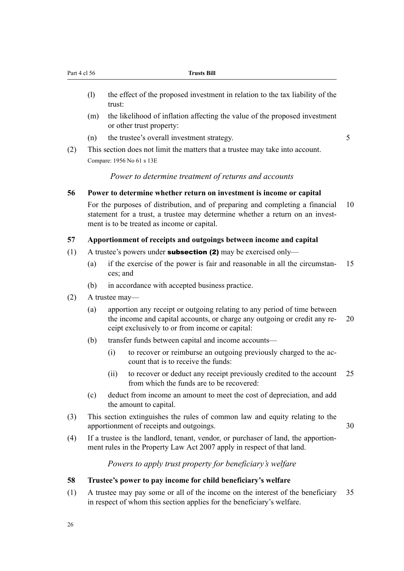- <span id="page-35-0"></span>(l) the effect of the proposed investment in relation to the tax liability of the trust:
- (m) the likelihood of inflation affecting the value of the proposed investment or other trust property:
- (n) the trustee's overall investment strategy. 5

(2) This section does not limit the matters that a trustee may take into account. Compare: 1956 No 61 s 13E

*Power to determine treatment of returns and accounts*

#### **56 Power to determine whether return on investment is income or capital**

For the purposes of distribution, and of preparing and completing a financial 10 statement for a trust, a trustee may determine whether a return on an investment is to be treated as income or capital.

#### **57 Apportionment of receipts and outgoings between income and capital**

- (1) A trustee's powers under **subsection (2)** may be exercised only—
	- (a) if the exercise of the power is fair and reasonable in all the circumstan- 15 ces; and
	- (b) in accordance with accepted business practice.
- (2) A trustee may—
	- (a) apportion any receipt or outgoing relating to any period of time between the income and capital accounts, or charge any outgoing or credit any re- 20 ceipt exclusively to or from income or capital:
	- (b) transfer funds between capital and income accounts—
		- (i) to recover or reimburse an outgoing previously charged to the account that is to receive the funds:
		- (ii) to recover or deduct any receipt previously credited to the account 25 from which the funds are to be recovered:
	- (c) deduct from income an amount to meet the cost of depreciation, and add the amount to capital.
- (3) This section extinguishes the rules of common law and equity relating to the apportionment of receipts and outgoings. 30
- (4) If a trustee is the landlord, tenant, vendor, or purchaser of land, the apportionment rules in the Property Law Act 2007 apply in respect of that land.

*Powers to apply trust property for beneficiary's welfare*

#### **58 Trustee's power to pay income for child beneficiary's welfare**

(1) A trustee may pay some or all of the income on the interest of the beneficiary 35 in respect of whom this section applies for the beneficiary's welfare.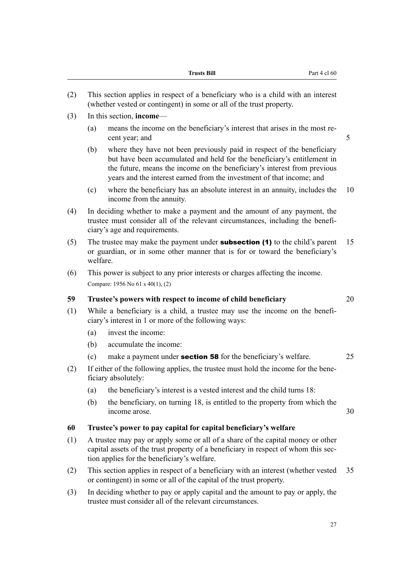|     |          | <b>Trusts Bill</b><br>Part 4 cl 60                                                                                                                                                                                                                                                                     |    |
|-----|----------|--------------------------------------------------------------------------------------------------------------------------------------------------------------------------------------------------------------------------------------------------------------------------------------------------------|----|
| (2) |          | This section applies in respect of a beneficiary who is a child with an interest<br>(whether vested or contingent) in some or all of the trust property.                                                                                                                                               |    |
| (3) |          | In this section, <b>income</b> —                                                                                                                                                                                                                                                                       |    |
|     | (a)      | means the income on the beneficiary's interest that arises in the most re-<br>cent year; and                                                                                                                                                                                                           | 5  |
|     | (b)      | where they have not been previously paid in respect of the beneficiary<br>but have been accumulated and held for the beneficiary's entitlement in<br>the future, means the income on the beneficiary's interest from previous<br>years and the interest earned from the investment of that income; and |    |
|     | (c)      | where the beneficiary has an absolute interest in an annuity, includes the<br>income from the annuity.                                                                                                                                                                                                 | 10 |
| (4) |          | In deciding whether to make a payment and the amount of any payment, the<br>trustee must consider all of the relevant circumstances, including the benefi-<br>ciary's age and requirements.                                                                                                            |    |
| (5) | welfare. | The trustee may make the payment under <b>subsection (1)</b> to the child's parent<br>or guardian, or in some other manner that is for or toward the beneficiary's                                                                                                                                     | 15 |
| (6) |          | This power is subject to any prior interests or charges affecting the income.<br>Compare: 1956 No 61 s 40(1), (2)                                                                                                                                                                                      |    |
| 59  |          | Trustee's powers with respect to income of child beneficiary                                                                                                                                                                                                                                           | 20 |
| (1) |          | While a beneficiary is a child, a trustee may use the income on the benefi-<br>ciary's interest in 1 or more of the following ways:                                                                                                                                                                    |    |
|     | (a)      | invest the income:                                                                                                                                                                                                                                                                                     |    |
|     | (b)      | accumulate the income:                                                                                                                                                                                                                                                                                 |    |
|     | (c)      | make a payment under <b>section 58</b> for the beneficiary's welfare.                                                                                                                                                                                                                                  | 25 |
| (2) |          | If either of the following applies, the trustee must hold the income for the bene-<br>ficiary absolutely:                                                                                                                                                                                              |    |
|     | (a)      | the beneficiary's interest is a vested interest and the child turns 18:                                                                                                                                                                                                                                |    |
|     | (b)      | the beneficiary, on turning 18, is entitled to the property from which the<br>income arose.                                                                                                                                                                                                            | 30 |
| 60  |          | Trustee's power to pay capital for capital beneficiary's welfare                                                                                                                                                                                                                                       |    |
| (1) |          | A trustee may pay or apply some or all of a share of the capital money or other<br>capital assets of the trust property of a beneficiary in respect of whom this sec-<br>tion applies for the beneficiary's welfare.                                                                                   |    |
| (2) |          | This section applies in respect of a beneficiary with an interest (whether vested<br>or contingent) in some or all of the capital of the trust property.                                                                                                                                               | 35 |
| (3) |          | In deciding whether to pay or apply capital and the amount to pay or apply, the<br>trustee must consider all of the relevant circumstances.                                                                                                                                                            |    |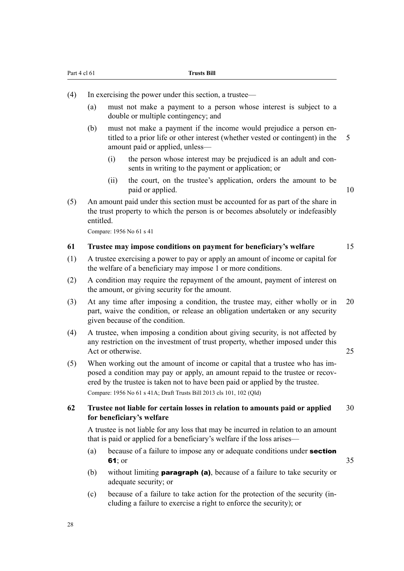- (4) In exercising the power under this section, a trustee—
	- (a) must not make a payment to a person whose interest is subject to a double or multiple contingency; and
	- (b) must not make a payment if the income would prejudice a person entitled to a prior life or other interest (whether vested or contingent) in the 5 amount paid or applied, unless—
		- (i) the person whose interest may be prejudiced is an adult and consents in writing to the payment or application; or
		- (ii) the court, on the trustee's application, orders the amount to be paid or applied. 10
- (5) An amount paid under this section must be accounted for as part of the share in the trust property to which the person is or becomes absolutely or indefeasibly entitled.

Compare: 1956 No 61 s 41

#### **61 Trustee may impose conditions on payment for beneficiary's welfare** 15

- (1) A trustee exercising a power to pay or apply an amount of income or capital for the welfare of a beneficiary may impose 1 or more conditions.
- (2) A condition may require the repayment of the amount, payment of interest on the amount, or giving security for the amount.
- (3) At any time after imposing a condition, the trustee may, either wholly or in 20 part, waive the condition, or release an obligation undertaken or any security given because of the condition.
- (4) A trustee, when imposing a condition about giving security, is not affected by any restriction on the investment of trust property, whether imposed under this Act or otherwise. 25
- (5) When working out the amount of income or capital that a trustee who has imposed a condition may pay or apply, an amount repaid to the trustee or recovered by the trustee is taken not to have been paid or applied by the trustee. Compare: 1956 No 61 s 41A; Draft Trusts Bill 2013 cls 101, 102 (Qld)

# **62 Trustee not liable for certain losses in relation to amounts paid or applied** 30 **for beneficiary's welfare**

A trustee is not liable for any loss that may be incurred in relation to an amount that is paid or applied for a beneficiary's welfare if the loss arises—

- (a) because of a failure to impose any or adequate conditions under **section 61**; or  $35$
- (b) without limiting paragraph (a), because of a failure to take security or adequate security; or
- (c) because of a failure to take action for the protection of the security (including a failure to exercise a right to enforce the security); or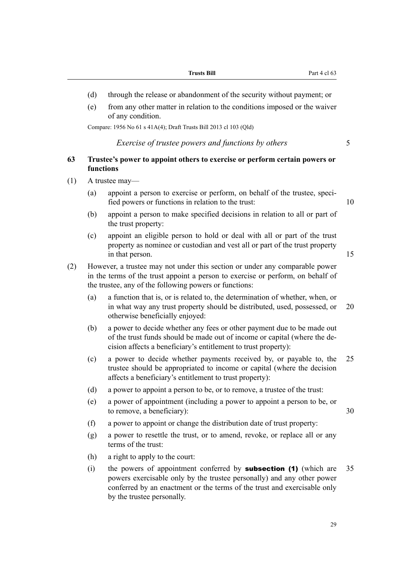- (d) through the release or abandonment of the security without payment; or
- (e) from any other matter in relation to the conditions imposed or the waiver of any condition.

Compare: 1956 No 61 s 41A(4); Draft Trusts Bill 2013 cl 103 (Qld)

#### *Exercise of trustee powers and functions by others* 5

# **63 Trustee's power to appoint others to exercise or perform certain powers or functions**

- (1) A trustee may—
	- (a) appoint a person to exercise or perform, on behalf of the trustee, specified powers or functions in relation to the trust: 10

- (b) appoint a person to make specified decisions in relation to all or part of the trust property:
- (c) appoint an eligible person to hold or deal with all or part of the trust property as nominee or custodian and vest all or part of the trust property in that person. 15
- (2) However, a trustee may not under this section or under any comparable power in the terms of the trust appoint a person to exercise or perform, on behalf of the trustee, any of the following powers or functions:
	- (a) a function that is, or is related to, the determination of whether, when, or in what way any trust property should be distributed, used, possessed, or 20 otherwise beneficially enjoyed:
	- (b) a power to decide whether any fees or other payment due to be made out of the trust funds should be made out of income or capital (where the decision affects a beneficiary's entitlement to trust property):
	- (c) a power to decide whether payments received by, or payable to, the 25 trustee should be appropriated to income or capital (where the decision affects a beneficiary's entitlement to trust property):
	- (d) a power to appoint a person to be, or to remove, a trustee of the trust:
	- (e) a power of appointment (including a power to appoint a person to be, or to remove, a beneficiary):  $30$
	- (f) a power to appoint or change the distribution date of trust property:
	- (g) a power to resettle the trust, or to amend, revoke, or replace all or any terms of the trust:
	- (h) a right to apply to the court:
	- (i) the powers of appointment conferred by **subsection (1)** (which are  $35$ powers exercisable only by the trustee personally) and any other power conferred by an enactment or the terms of the trust and exercisable only by the trustee personally.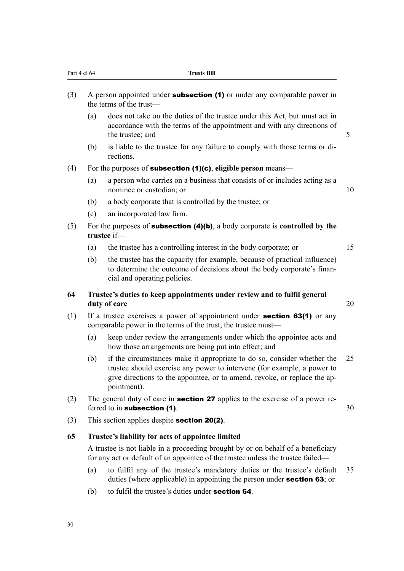| (3) |     | A person appointed under <b>subsection (1)</b> or under any comparable power in<br>the terms of the trust-                                                                                                                                     |    |
|-----|-----|------------------------------------------------------------------------------------------------------------------------------------------------------------------------------------------------------------------------------------------------|----|
|     | (a) | does not take on the duties of the trustee under this Act, but must act in<br>accordance with the terms of the appointment and with any directions of<br>the trustee; and                                                                      | 5  |
|     | (b) | is liable to the trustee for any failure to comply with those terms or di-<br>rections.                                                                                                                                                        |    |
| (4) |     | For the purposes of <b>subsection (1)(c)</b> , eligible person means—                                                                                                                                                                          |    |
|     | (a) | a person who carries on a business that consists of or includes acting as a<br>nominee or custodian; or                                                                                                                                        | 10 |
|     | (b) | a body corporate that is controlled by the trustee; or                                                                                                                                                                                         |    |
|     | (c) | an incorporated law firm.                                                                                                                                                                                                                      |    |
| (5) |     | For the purposes of <b>subsection <math>(4)(b)</math></b> , a body corporate is <b>controlled</b> by the<br>trustee if-                                                                                                                        |    |
|     | (a) | the trustee has a controlling interest in the body corporate; or                                                                                                                                                                               | 15 |
|     | (b) | the trustee has the capacity (for example, because of practical influence)<br>to determine the outcome of decisions about the body corporate's finan-<br>cial and operating policies.                                                          |    |
| 64  |     | Trustee's duties to keep appointments under review and to fulfil general<br>duty of care                                                                                                                                                       | 20 |
| (1) |     | If a trustee exercises a power of appointment under <b>section 63(1)</b> or any<br>comparable power in the terms of the trust, the trustee must—                                                                                               |    |
|     | (a) | keep under review the arrangements under which the appointee acts and<br>how those arrangements are being put into effect; and                                                                                                                 |    |
|     | (b) | if the circumstances make it appropriate to do so, consider whether the<br>trustee should exercise any power to intervene (for example, a power to<br>give directions to the appointee, or to amend, revoke, or replace the ap-<br>pointment). | 25 |
| (2) |     | The general duty of care in <b>section 27</b> applies to the exercise of a power re-<br>ferred to in subsection (1).                                                                                                                           | 30 |
| (3) |     | This section applies despite <b>section 20(2)</b> .                                                                                                                                                                                            |    |
| 65  |     | Trustee's liability for acts of appointee limited                                                                                                                                                                                              |    |
|     |     | A trustee is not liable in a proceeding brought by or on behalf of a beneficiary<br>for any act or default of an appointee of the trustee unless the trustee failed—                                                                           |    |
|     |     |                                                                                                                                                                                                                                                |    |

Part 4 cl 64 **Trusts Bill** 

- (a) to fulfil any of the trustee's mandatory duties or the trustee's default 35 duties (where applicable) in appointing the person under section 63; or
- (b) to fulfil the trustee's duties under section 64.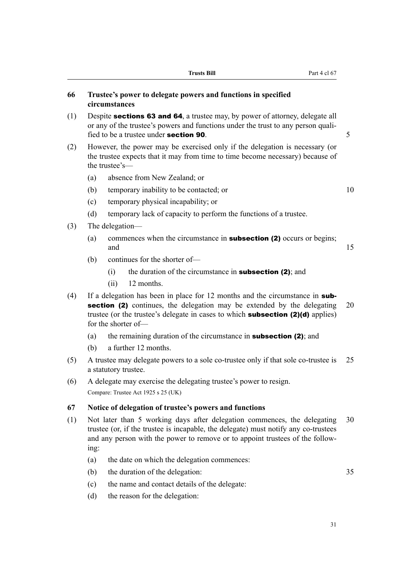|     |      | <b>Trusts Bill</b><br>Part 4 cl 67                                                                                                                                                                                                                                       |    |
|-----|------|--------------------------------------------------------------------------------------------------------------------------------------------------------------------------------------------------------------------------------------------------------------------------|----|
| 66  |      | Trustee's power to delegate powers and functions in specified<br>circumstances                                                                                                                                                                                           |    |
| (1) |      | Despite <b>sections 63 and 64</b> , a trustee may, by power of attorney, delegate all<br>or any of the trustee's powers and functions under the trust to any person quali-<br>fied to be a trustee under <b>section 90</b> .                                             | 5  |
| (2) |      | However, the power may be exercised only if the delegation is necessary (or<br>the trustee expects that it may from time to time become necessary) because of<br>the trustee's-                                                                                          |    |
|     | (a)  | absence from New Zealand; or                                                                                                                                                                                                                                             |    |
|     | (b)  | temporary inability to be contacted; or                                                                                                                                                                                                                                  | 10 |
|     | (c)  | temporary physical incapability; or                                                                                                                                                                                                                                      |    |
|     | (d)  | temporary lack of capacity to perform the functions of a trustee.                                                                                                                                                                                                        |    |
| (3) |      | The delegation—                                                                                                                                                                                                                                                          |    |
|     | (a)  | commences when the circumstance in <b>subsection (2)</b> occurs or begins;<br>and                                                                                                                                                                                        | 15 |
|     | (b)  | continues for the shorter of-                                                                                                                                                                                                                                            |    |
|     |      | the duration of the circumstance in <b>subsection (2)</b> ; and<br>(i)                                                                                                                                                                                                   |    |
|     |      | (ii)<br>12 months.                                                                                                                                                                                                                                                       |    |
| (4) |      | If a delegation has been in place for 12 months and the circumstance in sub-<br>section (2) continues, the delegation may be extended by the delegating<br>trustee (or the trustee's delegate in cases to which <b>subsection (2)(d)</b> applies)<br>for the shorter of- | 20 |
|     | (a)  | the remaining duration of the circumstance in <b>subsection (2)</b> ; and                                                                                                                                                                                                |    |
|     | (b)  | a further 12 months.                                                                                                                                                                                                                                                     |    |
| (5) |      | A trustee may delegate powers to a sole co-trustee only if that sole co-trustee is<br>a statutory trustee.                                                                                                                                                               | 25 |
| (6) |      | A delegate may exercise the delegating trustee's power to resign.                                                                                                                                                                                                        |    |
|     |      | Compare: Trustee Act 1925 s 25 (UK)                                                                                                                                                                                                                                      |    |
| 67  |      | Notice of delegation of trustee's powers and functions                                                                                                                                                                                                                   |    |
| (1) | ing: | Not later than 5 working days after delegation commences, the delegating<br>trustee (or, if the trustee is incapable, the delegate) must notify any co-trustees<br>and any person with the power to remove or to appoint trustees of the follow-                         | 30 |
|     | (a)  | the date on which the delegation commences:                                                                                                                                                                                                                              |    |
|     | (b)  | the duration of the delegation:                                                                                                                                                                                                                                          | 35 |

- (c) the name and contact details of the delegate:
- (d) the reason for the delegation: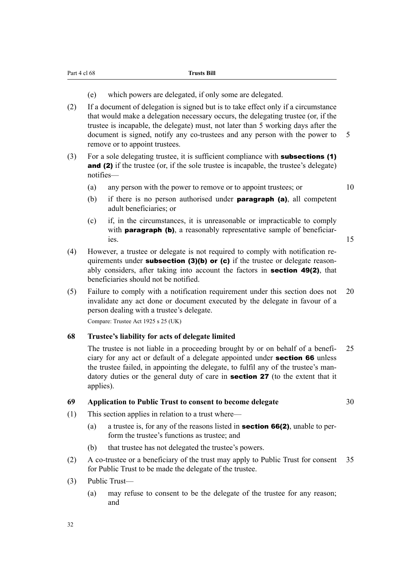- (e) which powers are delegated, if only some are delegated.
- (2) If a document of delegation is signed but is to take effect only if a circumstance that would make a delegation necessary occurs, the delegating trustee (or, if the trustee is incapable, the delegate) must, not later than 5 working days after the document is signed, notify any co-trustees and any person with the power to 5 remove or to appoint trustees.
- (3) For a sole delegating trustee, it is sufficient compliance with subsections (1) and (2) if the trustee (or, if the sole trustee is incapable, the trustee's delegate) notifies—

(a) any person with the power to remove or to appoint trustees; or 10

- (b) if there is no person authorised under **paragraph (a)**, all competent adult beneficiaries; or
- (c) if, in the circumstances, it is unreasonable or impracticable to comply with **paragraph (b)**, a reasonably representative sample of beneficiaries. 15
- (4) However, a trustee or delegate is not required to comply with notification requirements under **subsection (3)(b)** or (c) if the trustee or delegate reasonably considers, after taking into account the factors in section 49(2), that beneficiaries should not be notified.
- (5) Failure to comply with a notification requirement under this section does not 20 invalidate any act done or document executed by the delegate in favour of a person dealing with a trustee's delegate.

Compare: Trustee Act 1925 s 25 (UK)

# **68 Trustee's liability for acts of delegate limited**

The trustee is not liable in a proceeding brought by or on behalf of a benefi- 25 ciary for any act or default of a delegate appointed under section 66 unless the trustee failed, in appointing the delegate, to fulfil any of the trustee's mandatory duties or the general duty of care in section 27 (to the extent that it applies).

# **69 Application to Public Trust to consent to become delegate** 30

- (1) This section applies in relation to a trust where—
	- (a) a trustee is, for any of the reasons listed in **section 66(2)**, unable to perform the trustee's functions as trustee; and
	- (b) that trustee has not delegated the trustee's powers.
- (2) A co-trustee or a beneficiary of the trust may apply to Public Trust for consent 35 for Public Trust to be made the delegate of the trustee.
- (3) Public Trust—
	- (a) may refuse to consent to be the delegate of the trustee for any reason; and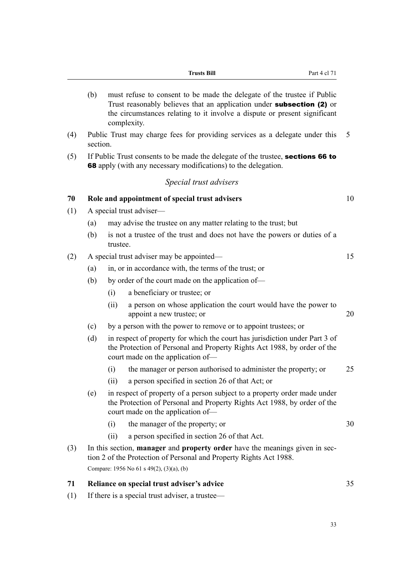|     |          |          | Part 4 cl 71<br><b>Trusts Bill</b>                                                                                                                                                                                                                  |    |
|-----|----------|----------|-----------------------------------------------------------------------------------------------------------------------------------------------------------------------------------------------------------------------------------------------------|----|
|     | (b)      |          | must refuse to consent to be made the delegate of the trustee if Public<br>Trust reasonably believes that an application under <b>subsection (2)</b> or<br>the circumstances relating to it involve a dispute or present significant<br>complexity. |    |
| (4) | section. |          | Public Trust may charge fees for providing services as a delegate under this                                                                                                                                                                        | 5  |
| (5) |          |          | If Public Trust consents to be made the delegate of the trustee, sections 66 to<br><b>68</b> apply (with any necessary modifications) to the delegation.                                                                                            |    |
|     |          |          | Special trust advisers                                                                                                                                                                                                                              |    |
| 70  |          |          | Role and appointment of special trust advisers                                                                                                                                                                                                      | 10 |
| (1) |          |          | A special trust adviser—                                                                                                                                                                                                                            |    |
|     | (a)      |          | may advise the trustee on any matter relating to the trust; but                                                                                                                                                                                     |    |
|     | (b)      | trustee. | is not a trustee of the trust and does not have the powers or duties of a                                                                                                                                                                           |    |
| (2) |          |          | A special trust adviser may be appointed—                                                                                                                                                                                                           | 15 |
|     | (a)      |          | in, or in accordance with, the terms of the trust; or                                                                                                                                                                                               |    |
|     | (b)      |          | by order of the court made on the application of—                                                                                                                                                                                                   |    |
|     |          | (i)      | a beneficiary or trustee; or                                                                                                                                                                                                                        |    |
|     |          | (ii)     | a person on whose application the court would have the power to<br>appoint a new trustee; or                                                                                                                                                        | 20 |
|     | (c)      |          | by a person with the power to remove or to appoint trustees; or                                                                                                                                                                                     |    |
|     | (d)      |          | in respect of property for which the court has jurisdiction under Part 3 of<br>the Protection of Personal and Property Rights Act 1988, by order of the<br>court made on the application of-                                                        |    |
|     |          | (i)      | the manager or person authorised to administer the property; or                                                                                                                                                                                     | 25 |
|     |          | (ii)     | a person specified in section 26 of that Act; or                                                                                                                                                                                                    |    |
|     | (e)      |          | in respect of property of a person subject to a property order made under<br>the Protection of Personal and Property Rights Act 1988, by order of the<br>court made on the application of-                                                          |    |
|     |          | (i)      | the manager of the property; or                                                                                                                                                                                                                     | 30 |
|     |          | (ii)     | a person specified in section 26 of that Act.                                                                                                                                                                                                       |    |
| (3) |          |          | In this section, <b>manager</b> and <b>property order</b> have the meanings given in sec-<br>tion 2 of the Protection of Personal and Property Rights Act 1988.                                                                                     |    |
|     |          |          | Compare: 1956 No 61 s 49(2), (3)(a), (b)                                                                                                                                                                                                            |    |
| 71  |          |          | Reliance on special trust adviser's advice                                                                                                                                                                                                          | 35 |
| (1) |          |          | If there is a special trust adviser, a trustee—                                                                                                                                                                                                     |    |
|     |          |          |                                                                                                                                                                                                                                                     |    |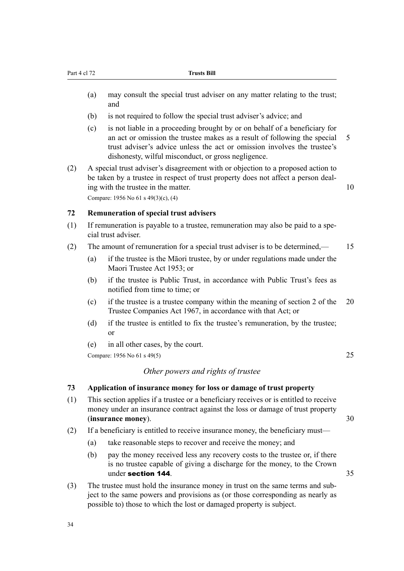- (a) may consult the special trust adviser on any matter relating to the trust; and
- (b) is not required to follow the special trust adviser's advice; and
- (c) is not liable in a proceeding brought by or on behalf of a beneficiary for an act or omission the trustee makes as a result of following the special 5 trust adviser's advice unless the act or omission involves the trustee's dishonesty, wilful misconduct, or gross negligence.
- (2) A special trust adviser's disagreement with or objection to a proposed action to be taken by a trustee in respect of trust property does not affect a person dealing with the trustee in the matter. 10

Compare: 1956 No 61 s 49(3)(c), (4)

# **72 Remuneration of special trust advisers**

- (1) If remuneration is payable to a trustee, remuneration may also be paid to a special trust adviser.
- (2) The amount of remuneration for a special trust adviser is to be determined,— 15
	- (a) if the trustee is the Māori trustee, by or under regulations made under the Maori Trustee Act 1953; or
	- (b) if the trustee is Public Trust, in accordance with Public Trust's fees as notified from time to time; or
	- (c) if the trustee is a trustee company within the meaning of section 2 of the 20 Trustee Companies Act 1967, in accordance with that Act; or
	- (d) if the trustee is entitled to fix the trustee's remuneration, by the trustee; or
	- (e) in all other cases, by the court.

Compare: 1956 No 61 s 49(5) 25

# *Other powers and rights of trustee*

#### **73 Application of insurance money for loss or damage of trust property**

- (1) This section applies if a trustee or a beneficiary receives or is entitled to receive money under an insurance contract against the loss or damage of trust property (**insurance money**). 30
- (2) If a beneficiary is entitled to receive insurance money, the beneficiary must—
	- (a) take reasonable steps to recover and receive the money; and
	- (b) pay the money received less any recovery costs to the trustee or, if there is no trustee capable of giving a discharge for the money, to the Crown under section 144. 35
- (3) The trustee must hold the insurance money in trust on the same terms and subject to the same powers and provisions as (or those corresponding as nearly as possible to) those to which the lost or damaged property is subject.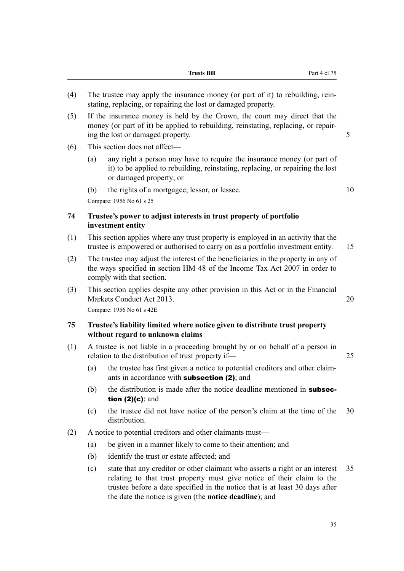| (4) |                                                                                                                                                                                                       | The trustee may apply the insurance money (or part of it) to rebuilding, rein-<br>stating, replacing, or repairing the lost or damaged property.                                                                                                                                                          |    |
|-----|-------------------------------------------------------------------------------------------------------------------------------------------------------------------------------------------------------|-----------------------------------------------------------------------------------------------------------------------------------------------------------------------------------------------------------------------------------------------------------------------------------------------------------|----|
| (5) | If the insurance money is held by the Crown, the court may direct that the<br>money (or part of it) be applied to rebuilding, reinstating, replacing, or repair-<br>ing the lost or damaged property. |                                                                                                                                                                                                                                                                                                           | 5  |
| (6) |                                                                                                                                                                                                       | This section does not affect—                                                                                                                                                                                                                                                                             |    |
|     | (a)                                                                                                                                                                                                   | any right a person may have to require the insurance money (or part of<br>it) to be applied to rebuilding, reinstating, replacing, or repairing the lost<br>or damaged property; or                                                                                                                       |    |
|     | (b)                                                                                                                                                                                                   | the rights of a mortgagee, lessor, or lessee.                                                                                                                                                                                                                                                             | 10 |
|     |                                                                                                                                                                                                       | Compare: 1956 No 61 s 25                                                                                                                                                                                                                                                                                  |    |
| 74  |                                                                                                                                                                                                       | Trustee's power to adjust interests in trust property of portfolio<br>investment entity                                                                                                                                                                                                                   |    |
| (1) |                                                                                                                                                                                                       | This section applies where any trust property is employed in an activity that the<br>trustee is empowered or authorised to carry on as a portfolio investment entity.                                                                                                                                     | 15 |
| (2) | The trustee may adjust the interest of the beneficiaries in the property in any of<br>the ways specified in section HM 48 of the Income Tax Act 2007 in order to<br>comply with that section.         |                                                                                                                                                                                                                                                                                                           |    |
| (3) | This section applies despite any other provision in this Act or in the Financial<br>Markets Conduct Act 2013.<br>Compare: 1956 No 61 s 42E                                                            |                                                                                                                                                                                                                                                                                                           | 20 |
| 75  |                                                                                                                                                                                                       | Trustee's liability limited where notice given to distribute trust property<br>without regard to unknown claims                                                                                                                                                                                           |    |
| (1) |                                                                                                                                                                                                       | A trustee is not liable in a proceeding brought by or on behalf of a person in<br>relation to the distribution of trust property if-                                                                                                                                                                      | 25 |
|     | (a)                                                                                                                                                                                                   | the trustee has first given a notice to potential creditors and other claim-<br>ants in accordance with <b>subsection (2)</b> ; and                                                                                                                                                                       |    |
|     | (b)                                                                                                                                                                                                   | the distribution is made after the notice deadline mentioned in <b>subsec-</b><br>tion $(2)(c)$ ; and                                                                                                                                                                                                     |    |
|     | (c)                                                                                                                                                                                                   | the trustee did not have notice of the person's claim at the time of the<br>distribution.                                                                                                                                                                                                                 | 30 |
| (2) |                                                                                                                                                                                                       | A notice to potential creditors and other claimants must—                                                                                                                                                                                                                                                 |    |
|     | (a)                                                                                                                                                                                                   | be given in a manner likely to come to their attention; and                                                                                                                                                                                                                                               |    |
|     | (b)                                                                                                                                                                                                   | identify the trust or estate affected; and                                                                                                                                                                                                                                                                |    |
|     | (c)                                                                                                                                                                                                   | state that any creditor or other claimant who asserts a right or an interest<br>relating to that trust property must give notice of their claim to the<br>trustee before a date specified in the notice that is at least 30 days after<br>the date the notice is given (the <b>notice deadline</b> ); and | 35 |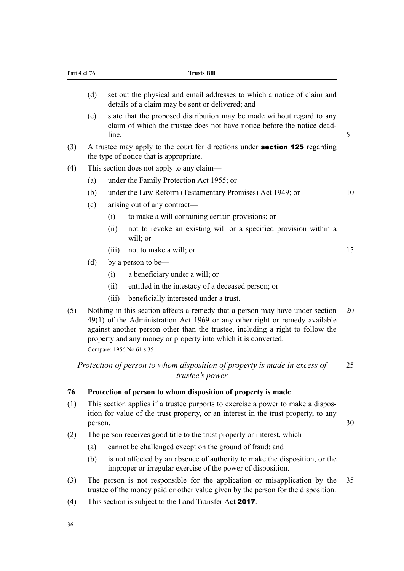| Part 4 cl 76 |         | <b>Trusts Bill</b>                                                                                                                                                                                                                                                                                                                           |    |  |  |  |
|--------------|---------|----------------------------------------------------------------------------------------------------------------------------------------------------------------------------------------------------------------------------------------------------------------------------------------------------------------------------------------------|----|--|--|--|
|              | (d)     | set out the physical and email addresses to which a notice of claim and<br>details of a claim may be sent or delivered; and                                                                                                                                                                                                                  |    |  |  |  |
|              | (e)     | state that the proposed distribution may be made without regard to any<br>claim of which the trustee does not have notice before the notice dead-<br>line.                                                                                                                                                                                   | 5  |  |  |  |
| (3)          |         | A trustee may apply to the court for directions under <b>section 125</b> regarding<br>the type of notice that is appropriate.                                                                                                                                                                                                                |    |  |  |  |
| (4)          |         | This section does not apply to any claim-                                                                                                                                                                                                                                                                                                    |    |  |  |  |
|              | (a)     | under the Family Protection Act 1955; or                                                                                                                                                                                                                                                                                                     |    |  |  |  |
|              | (b)     | under the Law Reform (Testamentary Promises) Act 1949; or                                                                                                                                                                                                                                                                                    | 10 |  |  |  |
|              | (c)     | arising out of any contract—                                                                                                                                                                                                                                                                                                                 |    |  |  |  |
|              |         | to make a will containing certain provisions; or<br>(i)                                                                                                                                                                                                                                                                                      |    |  |  |  |
|              |         | not to revoke an existing will or a specified provision within a<br>(ii)<br>will; or                                                                                                                                                                                                                                                         |    |  |  |  |
|              |         | not to make a will; or<br>(iii)                                                                                                                                                                                                                                                                                                              | 15 |  |  |  |
|              | (d)     | by a person to be—                                                                                                                                                                                                                                                                                                                           |    |  |  |  |
|              |         | a beneficiary under a will; or<br>(i)                                                                                                                                                                                                                                                                                                        |    |  |  |  |
|              |         | entitled in the intestacy of a deceased person; or<br>(ii)                                                                                                                                                                                                                                                                                   |    |  |  |  |
|              |         | beneficially interested under a trust.<br>(iii)                                                                                                                                                                                                                                                                                              |    |  |  |  |
| (5)          |         | Nothing in this section affects a remedy that a person may have under section<br>49(1) of the Administration Act 1969 or any other right or remedy available<br>against another person other than the trustee, including a right to follow the<br>property and any money or property into which it is converted.<br>Compare: 1956 No 61 s 35 | 20 |  |  |  |
|              |         | Protection of person to whom disposition of property is made in excess of<br>trustee's power                                                                                                                                                                                                                                                 | 25 |  |  |  |
| 76           |         | Protection of person to whom disposition of property is made                                                                                                                                                                                                                                                                                 |    |  |  |  |
| (1)          | person. | This section applies if a trustee purports to exercise a power to make a dispos-<br>ition for value of the trust property, or an interest in the trust property, to any                                                                                                                                                                      | 30 |  |  |  |
| (2)          |         | The person receives good title to the trust property or interest, which—                                                                                                                                                                                                                                                                     |    |  |  |  |
|              | (a)     | cannot be challenged except on the ground of fraud; and                                                                                                                                                                                                                                                                                      |    |  |  |  |

- (b) is not affected by an absence of authority to make the disposition, or the improper or irregular exercise of the power of disposition.
- (3) The person is not responsible for the application or misapplication by the 35 trustee of the money paid or other value given by the person for the disposition.
- (4) This section is subject to the Land Transfer Act 2017.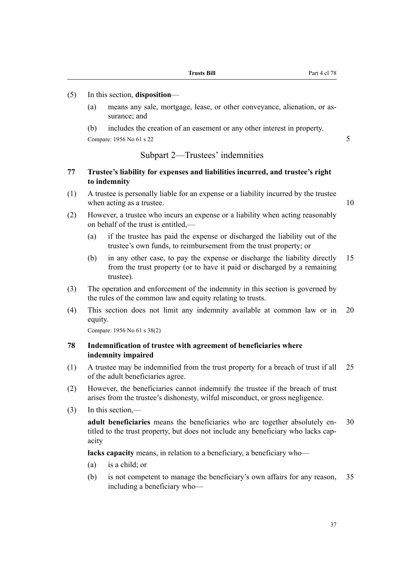#### (5) In this section, **disposition**—

(a) means any sale, mortgage, lease, or other conveyance, alienation, or assurance; and

(b) includes the creation of an easement or any other interest in property. Compare: 1956 No 61 s 22 5

# Subpart 2—Trustees' indemnities

# **77 Trustee's liability for expenses and liabilities incurred, and trustee's right to indemnity**

- (1) A trustee is personally liable for an expense or a liability incurred by the trustee when acting as a trustee. 10
- (2) However, a trustee who incurs an expense or a liability when acting reasonably on behalf of the trust is entitled,—
	- (a) if the trustee has paid the expense or discharged the liability out of the trustee's own funds, to reimbursement from the trust property; or
	- (b) in any other case, to pay the expense or discharge the liability directly 15 from the trust property (or to have it paid or discharged by a remaining trustee).
- (3) The operation and enforcement of the indemnity in this section is governed by the rules of the common law and equity relating to trusts.
- (4) This section does not limit any indemnity available at common law or in 20 equity.

Compare: 1956 No 61 s 38(2)

# **78 Indemnification of trustee with agreement of beneficiaries where indemnity impaired**

- (1) A trustee may be indemnified from the trust property for a breach of trust if all 25 of the adult beneficiaries agree.
- (2) However, the beneficiaries cannot indemnify the trustee if the breach of trust arises from the trustee's dishonesty, wilful misconduct, or gross negligence.
- (3) In this section,—

**adult beneficiaries** means the beneficiaries who are together absolutely en- 30 titled to the trust property, but does not include any beneficiary who lacks capacity

**lacks capacity** means, in relation to a beneficiary, a beneficiary who—

- (a) is a child; or
- (b) is not competent to manage the beneficiary's own affairs for any reason, 35 including a beneficiary who—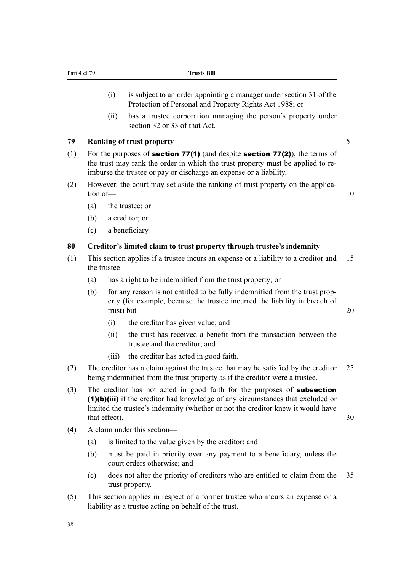- (i) is subject to an order appointing a manager under section 31 of the Protection of Personal and Property Rights Act 1988; or
- (ii) has a trustee corporation managing the person's property under section 32 or 33 of that Act.

#### **79 Ranking of trust property** 5

- 
- (1) For the purposes of **section 77(1)** (and despite **section 77(2)**), the terms of the trust may rank the order in which the trust property must be applied to reimburse the trustee or pay or discharge an expense or a liability.
- (2) However, the court may set aside the ranking of trust property on the application of — 10
	-

- (a) the trustee; or
- (b) a creditor; or
- (c) a beneficiary.

#### **80 Creditor's limited claim to trust property through trustee's indemnity**

- (1) This section applies if a trustee incurs an expense or a liability to a creditor and 15 the trustee—
	- (a) has a right to be indemnified from the trust property; or
	- (b) for any reason is not entitled to be fully indemnified from the trust property (for example, because the trustee incurred the liability in breach of trust) but— 20
		- (i) the creditor has given value; and
		- (ii) the trust has received a benefit from the transaction between the trustee and the creditor; and
		- (iii) the creditor has acted in good faith.
- (2) The creditor has a claim against the trustee that may be satisfied by the creditor 25 being indemnified from the trust property as if the creditor were a trustee.
- (3) The creditor has not acted in good faith for the purposes of **subsection** (1)(b)(iii) if the creditor had knowledge of any circumstances that excluded or limited the trustee's indemnity (whether or not the creditor knew it would have that effect). 30
- (4) A claim under this section—
	- (a) is limited to the value given by the creditor; and
	- (b) must be paid in priority over any payment to a beneficiary, unless the court orders otherwise; and
	- (c) does not alter the priority of creditors who are entitled to claim from the 35 trust property.
- (5) This section applies in respect of a former trustee who incurs an expense or a liability as a trustee acting on behalf of the trust.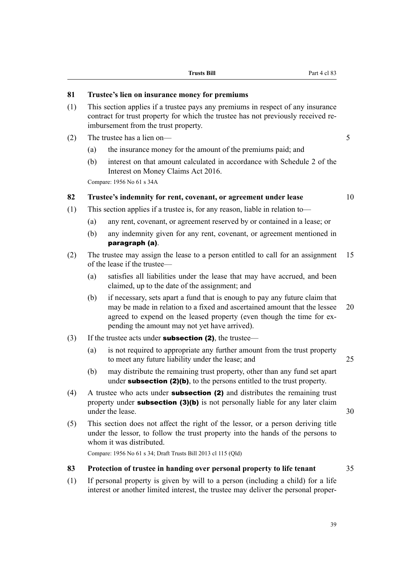- (1) This section applies if a trustee pays any premiums in respect of any insurance contract for trust property for which the trustee has not previously received reimbursement from the trust property.
- (2) The trustee has a lien on— 5
	- (a) the insurance money for the amount of the premiums paid; and
	- (b) interest on that amount calculated in accordance with Schedule 2 of the Interest on Money Claims Act 2016.

Compare: 1956 No 61 s 34A

# **82 Trustee's indemnity for rent, covenant, or agreement under lease** 10

- (1) This section applies if a trustee is, for any reason, liable in relation to—
	- (a) any rent, covenant, or agreement reserved by or contained in a lease; or
	- (b) any indemnity given for any rent, covenant, or agreement mentioned in paragraph (a).
- (2) The trustee may assign the lease to a person entitled to call for an assignment 15 of the lease if the trustee—
	- (a) satisfies all liabilities under the lease that may have accrued, and been claimed, up to the date of the assignment; and
	- (b) if necessary, sets apart a fund that is enough to pay any future claim that may be made in relation to a fixed and ascertained amount that the lessee 20 agreed to expend on the leased property (even though the time for expending the amount may not yet have arrived).
- (3) If the trustee acts under **subsection (2)**, the trustee—
	- (a) is not required to appropriate any further amount from the trust property to meet any future liability under the lease; and 25
	- (b) may distribute the remaining trust property, other than any fund set apart under **subsection (2)(b)**, to the persons entitled to the trust property.
- (4) A trustee who acts under subsection (2) and distributes the remaining trust property under **subsection (3)(b)** is not personally liable for any later claim under the lease 30
- (5) This section does not affect the right of the lessor, or a person deriving title under the lessor, to follow the trust property into the hands of the persons to whom it was distributed.

Compare: 1956 No 61 s 34; Draft Trusts Bill 2013 cl 115 (Qld)

#### **83 Protection of trustee in handing over personal property to life tenant** 35

(1) If personal property is given by will to a person (including a child) for a life interest or another limited interest, the trustee may deliver the personal proper-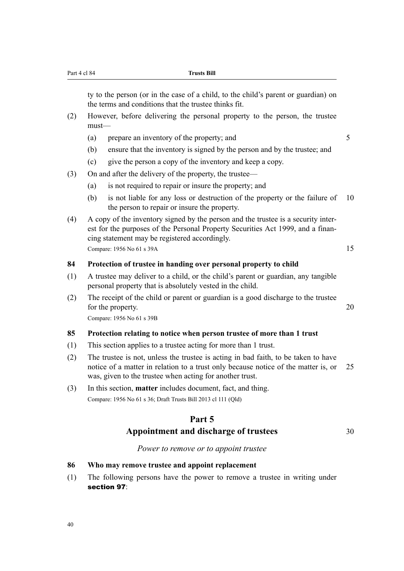ty to the person (or in the case of a child, to the child's parent or guardian) on the terms and conditions that the trustee thinks fit.

- (2) However, before delivering the personal property to the person, the trustee must—
	- (a) prepare an inventory of the property; and  $5$
	- (b) ensure that the inventory is signed by the person and by the trustee; and
	- (c) give the person a copy of the inventory and keep a copy.
- (3) On and after the delivery of the property, the trustee—
	- (a) is not required to repair or insure the property; and
	- (b) is not liable for any loss or destruction of the property or the failure of 10 the person to repair or insure the property.
- (4) A copy of the inventory signed by the person and the trustee is a security interest for the purposes of the Personal Property Securities Act 1999, and a financing statement may be registered accordingly. Compare: 1956 No 61 s 39A 15

#### **84 Protection of trustee in handing over personal property to child**

- (1) A trustee may deliver to a child, or the child's parent or guardian, any tangible personal property that is absolutely vested in the child.
- (2) The receipt of the child or parent or guardian is a good discharge to the trustee for the property. 20

Compare: 1956 No 61 s 39B

#### **85 Protection relating to notice when person trustee of more than 1 trust**

- (1) This section applies to a trustee acting for more than 1 trust.
- (2) The trustee is not, unless the trustee is acting in bad faith, to be taken to have notice of a matter in relation to a trust only because notice of the matter is, or 25 was, given to the trustee when acting for another trust.
- (3) In this section, **matter** includes document, fact, and thing. Compare: 1956 No 61 s 36; Draft Trusts Bill 2013 cl 111 (Qld)

# **Part 5**

# Appointment and discharge of trustees 30

#### *Power to remove or to appoint trustee*

#### **86 Who may remove trustee and appoint replacement**

(1) The following persons have the power to remove a trustee in writing under section 97: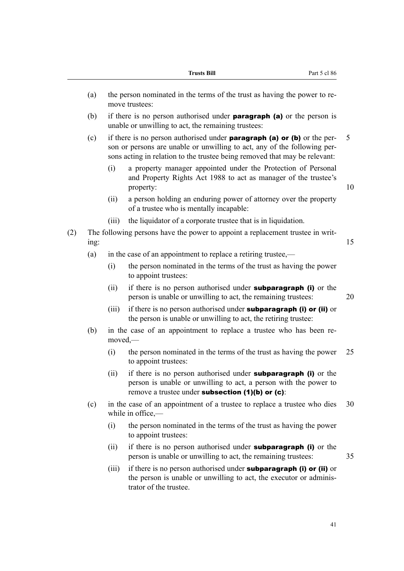|      |       | <b>Trusts Bill</b><br>Part 5 cl 86                                                                                                                                                                                                       |
|------|-------|------------------------------------------------------------------------------------------------------------------------------------------------------------------------------------------------------------------------------------------|
| (a)  |       | the person nominated in the terms of the trust as having the power to re-<br>move trustees:                                                                                                                                              |
| (b)  |       | if there is no person authorised under <b>paragraph</b> (a) or the person is<br>unable or unwilling to act, the remaining trustees:                                                                                                      |
| (c)  |       | if there is no person authorised under <b>paragraph</b> (a) or (b) or the per-<br>son or persons are unable or unwilling to act, any of the following per-<br>sons acting in relation to the trustee being removed that may be relevant: |
|      | (i)   | a property manager appointed under the Protection of Personal<br>and Property Rights Act 1988 to act as manager of the trustee's<br>property:                                                                                            |
|      | (ii)  | a person holding an enduring power of attorney over the property<br>of a trustee who is mentally incapable:                                                                                                                              |
|      | (iii) | the liquidator of a corporate trustee that is in liquidation.                                                                                                                                                                            |
| ing: |       | The following persons have the power to appoint a replacement trustee in writ-                                                                                                                                                           |
| (a)  |       | in the case of an appointment to replace a retiring trustee,—                                                                                                                                                                            |
|      | (i)   | the person nominated in the terms of the trust as having the power<br>to appoint trustees:                                                                                                                                               |
|      | (ii)  | if there is no person authorised under <b>subparagraph</b> (i) or the<br>person is unable or unwilling to act, the remaining trustees:                                                                                                   |
|      | (iii) | if there is no person authorised under <b>subparagraph (i) or (ii)</b> or<br>the person is unable or unwilling to act, the retiring trustee:                                                                                             |
| (b)  |       | in the case of an appointment to replace a trustee who has been re-<br>$moved, -$                                                                                                                                                        |
|      | (i)   | the person nominated in the terms of the trust as having the power<br>to appoint trustees:                                                                                                                                               |
|      | (ii)  | if there is no person authorised under <b>subparagraph</b> (i) or the<br>person is unable or unwilling to act, a person with the power to<br>remove a trustee under subsection $(1)(b)$ or $(c)$ :                                       |
| (c)  |       | in the case of an appointment of a trustee to replace a trustee who dies<br>while in office, $-$                                                                                                                                         |
|      | (i)   | the person nominated in the terms of the trust as having the power<br>to appoint trustees:                                                                                                                                               |
|      | (ii)  | if there is no person authorised under <b>subparagraph</b> (i) or the<br>person is unable or unwilling to act, the remaining trustees:                                                                                                   |
|      | (iii) | if there is no person authorised under <b>subparagraph (i) or (ii)</b> or<br>the person is unable or unwilling to act, the executor or adminis-<br>trator of the trustee.                                                                |
|      |       |                                                                                                                                                                                                                                          |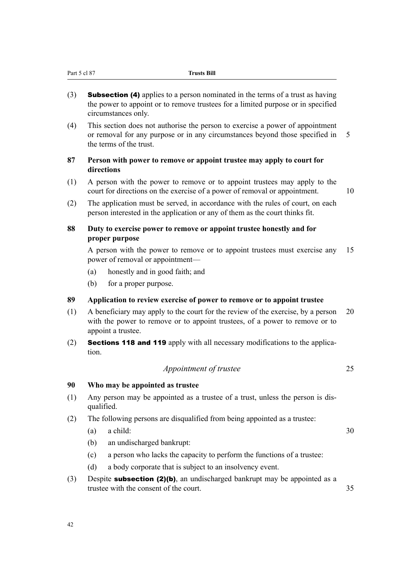- (3) **Subsection (4)** applies to a person nominated in the terms of a trust as having the power to appoint or to remove trustees for a limited purpose or in specified circumstances only.
- (4) This section does not authorise the person to exercise a power of appointment or removal for any purpose or in any circumstances beyond those specified in 5 the terms of the trust.

# **87 Person with power to remove or appoint trustee may apply to court for directions**

- (1) A person with the power to remove or to appoint trustees may apply to the court for directions on the exercise of a power of removal or appointment. 10
	-
- (2) The application must be served, in accordance with the rules of court, on each person interested in the application or any of them as the court thinks fit.

# **88 Duty to exercise power to remove or appoint trustee honestly and for proper purpose**

A person with the power to remove or to appoint trustees must exercise any 15 power of removal or appointment—

- (a) honestly and in good faith; and
- (b) for a proper purpose.

# **89 Application to review exercise of power to remove or to appoint trustee**

- (1) A beneficiary may apply to the court for the review of the exercise, by a person 20 with the power to remove or to appoint trustees, of a power to remove or to appoint a trustee.
- (2) Sections 118 and 119 apply with all necessary modifications to the application.

# *Appointment of trustee* 25

# **90 Who may be appointed as trustee**

- (1) Any person may be appointed as a trustee of a trust, unless the person is disqualified.
- (2) The following persons are disqualified from being appointed as a trustee:
	- (a) a child:  $30$

- (b) an undischarged bankrupt:
- (c) a person who lacks the capacity to perform the functions of a trustee:
- (d) a body corporate that is subject to an insolvency event.
- (3) Despite **subsection (2)(b)**, an undischarged bankrupt may be appointed as a trustee with the consent of the court.  $\frac{35}{25}$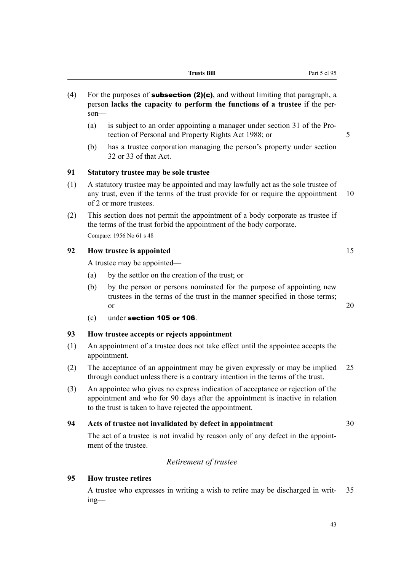- (4) For the purposes of **subsection (2)(c)**, and without limiting that paragraph, a person **lacks the capacity to perform the functions of a trustee** if the person—
	- (a) is subject to an order appointing a manager under section 31 of the Protection of Personal and Property Rights Act 1988; or 5
	- (b) has a trustee corporation managing the person's property under section 32 or 33 of that Act.

#### **91 Statutory trustee may be sole trustee**

- (1) A statutory trustee may be appointed and may lawfully act as the sole trustee of any trust, even if the terms of the trust provide for or require the appointment 10 of 2 or more trustees.
- (2) This section does not permit the appointment of a body corporate as trustee if the terms of the trust forbid the appointment of the body corporate. Compare: 1956 No 61 s 48

# **92 How trustee is appointed** 15

A trustee may be appointed—

- (a) by the settlor on the creation of the trust; or
- (b) by the person or persons nominated for the purpose of appointing new trustees in the terms of the trust in the manner specified in those terms; or  $20$
- (c) under section 105 or 106.

#### **93 How trustee accepts or rejects appointment**

- (1) An appointment of a trustee does not take effect until the appointee accepts the appointment.
- (2) The acceptance of an appointment may be given expressly or may be implied 25 through conduct unless there is a contrary intention in the terms of the trust.
- (3) An appointee who gives no express indication of acceptance or rejection of the appointment and who for 90 days after the appointment is inactive in relation to the trust is taken to have rejected the appointment.

#### **94 Acts of trustee not invalidated by defect in appointment** 30

The act of a trustee is not invalid by reason only of any defect in the appointment of the trustee.

### *Retirement of trustee*

#### **95 How trustee retires**

A trustee who expresses in writing a wish to retire may be discharged in writ- 35 ing—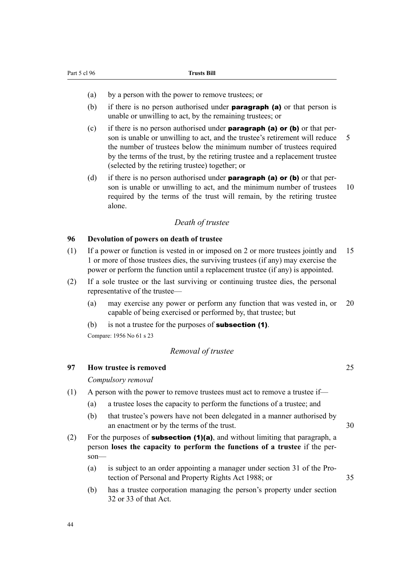- (a) by a person with the power to remove trustees; or
- (b) if there is no person authorised under **paragraph (a)** or that person is unable or unwilling to act, by the remaining trustees; or
- (c) if there is no person authorised under **paragraph (a) or (b)** or that person is unable or unwilling to act, and the trustee's retirement will reduce 5 the number of trustees below the minimum number of trustees required by the terms of the trust, by the retiring trustee and a replacement trustee (selected by the retiring trustee) together; or
- (d) if there is no person authorised under **paragraph (a) or (b)** or that person is unable or unwilling to act, and the minimum number of trustees 10 required by the terms of the trust will remain, by the retiring trustee alone.

#### *Death of trustee*

#### **96 Devolution of powers on death of trustee**

- (1) If a power or function is vested in or imposed on 2 or more trustees jointly and 15 1 or more of those trustees dies, the surviving trustees (if any) may exercise the power or perform the function until a replacement trustee (if any) is appointed.
- (2) If a sole trustee or the last surviving or continuing trustee dies, the personal representative of the trustee—
	- (a) may exercise any power or perform any function that was vested in, or 20 capable of being exercised or performed by, that trustee; but
	- (b) is not a trustee for the purposes of **subsection (1)**.

Compare: 1956 No 61 s 23

#### *Removal of trustee*

#### **97 How trustee is removed** 25

*Compulsory removal*

- (1) A person with the power to remove trustees must act to remove a trustee if—
	- (a) a trustee loses the capacity to perform the functions of a trustee; and
	- (b) that trustee's powers have not been delegated in a manner authorised by an enactment or by the terms of the trust. 30
- (2) For the purposes of **subsection (1)(a)**, and without limiting that paragraph, a person **loses the capacity to perform the functions of a trustee** if the person—
	- (a) is subject to an order appointing a manager under section 31 of the Protection of Personal and Property Rights Act 1988; or 35
	- (b) has a trustee corporation managing the person's property under section 32 or 33 of that Act.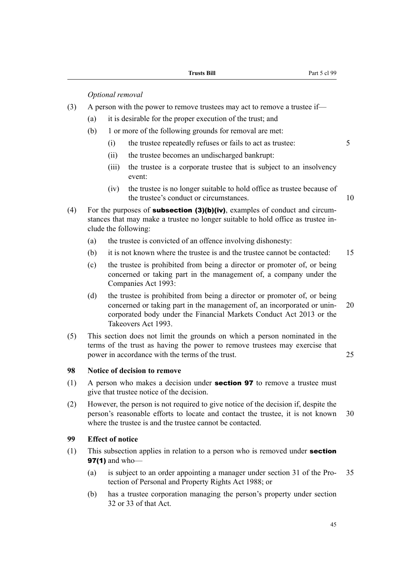*Optional removal*

- (3) A person with the power to remove trustees may act to remove a trustee if—
	- (a) it is desirable for the proper execution of the trust; and
	- (b) 1 or more of the following grounds for removal are met:
		- (i) the trustee repeatedly refuses or fails to act as trustee: 5
		- (ii) the trustee becomes an undischarged bankrupt:
		- (iii) the trustee is a corporate trustee that is subject to an insolvency event:
		- (iv) the trustee is no longer suitable to hold office as trustee because of the trustee's conduct or circumstances. 10
- (4) For the purposes of **subsection (3)(b)(iv)**, examples of conduct and circumstances that may make a trustee no longer suitable to hold office as trustee include the following:
	- (a) the trustee is convicted of an offence involving dishonesty:
	- (b) it is not known where the trustee is and the trustee cannot be contacted: 15
	- (c) the trustee is prohibited from being a director or promoter of, or being concerned or taking part in the management of, a company under the Companies Act 1993:
	- (d) the trustee is prohibited from being a director or promoter of, or being concerned or taking part in the management of, an incorporated or unin- 20 corporated body under the Financial Markets Conduct Act 2013 or the Takeovers Act 1993.
- (5) This section does not limit the grounds on which a person nominated in the terms of the trust as having the power to remove trustees may exercise that power in accordance with the terms of the trust. 25

# **98 Notice of decision to remove**

- (1) A person who makes a decision under **section 97** to remove a trustee must give that trustee notice of the decision.
- (2) However, the person is not required to give notice of the decision if, despite the person's reasonable efforts to locate and contact the trustee, it is not known 30 where the trustee is and the trustee cannot be contacted.

### **99 Effect of notice**

- (1) This subsection applies in relation to a person who is removed under **section 97(1)** and who-
	- (a) is subject to an order appointing a manager under section 31 of the Pro- 35 tection of Personal and Property Rights Act 1988; or
	- (b) has a trustee corporation managing the person's property under section 32 or 33 of that Act.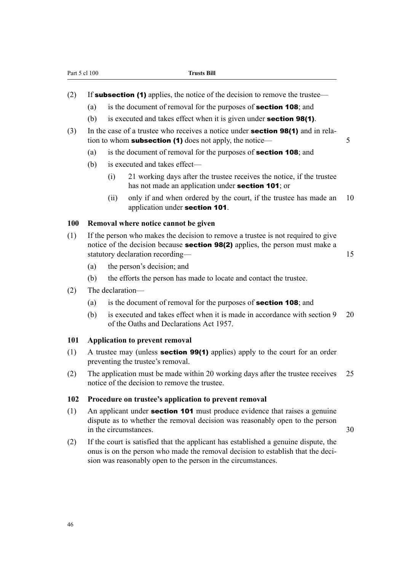|  |  |  | (2) If <b>subsection (1)</b> applies, the notice of the decision to remove the trustee— |
|--|--|--|-----------------------------------------------------------------------------------------|
|  |  |  |                                                                                         |

- (a) is the document of removal for the purposes of **section 108**; and
- (b) is executed and takes effect when it is given under **section 98(1)**.
- (3) In the case of a trustee who receives a notice under section 98(1) and in relation to whom **subsection (1)** does not apply, the notice—
	- (a) is the document of removal for the purposes of section 108; and
	- (b) is executed and takes effect—
		- (i) 21 working days after the trustee receives the notice, if the trustee has not made an application under **section 101**; or
		- (ii) only if and when ordered by the court, if the trustee has made an 10 application under section 101.

#### **100 Removal where notice cannot be given**

- (1) If the person who makes the decision to remove a trustee is not required to give notice of the decision because **section 98(2)** applies, the person must make a statutory declaration recording— 15
	- (a) the person's decision; and
	- (b) the efforts the person has made to locate and contact the trustee.
- (2) The declaration—
	- (a) is the document of removal for the purposes of section 108; and
	- (b) is executed and takes effect when it is made in accordance with section 9 20 of the Oaths and Declarations Act 1957.

#### **101 Application to prevent removal**

- (1) A trustee may (unless section 99(1) applies) apply to the court for an order preventing the trustee's removal.
- (2) The application must be made within 20 working days after the trustee receives 25 notice of the decision to remove the trustee.

#### **102 Procedure on trustee's application to prevent removal**

- (1) An applicant under **section 101** must produce evidence that raises a genuine dispute as to whether the removal decision was reasonably open to the person in the circumstances 30
- (2) If the court is satisfied that the applicant has established a genuine dispute, the onus is on the person who made the removal decision to establish that the decision was reasonably open to the person in the circumstances.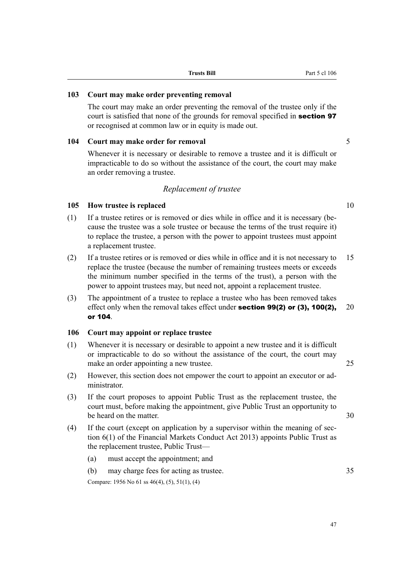#### **103 Court may make order preventing removal**

The court may make an order preventing the removal of the trustee only if the court is satisfied that none of the grounds for removal specified in **section 97** or recognised at common law or in equity is made out.

### **104 Court may make order for removal** 5

Whenever it is necessary or desirable to remove a trustee and it is difficult or impracticable to do so without the assistance of the court, the court may make an order removing a trustee.

# *Replacement of trustee*

# **105 How trustee is replaced** 10

- (1) If a trustee retires or is removed or dies while in office and it is necessary (because the trustee was a sole trustee or because the terms of the trust require it) to replace the trustee, a person with the power to appoint trustees must appoint a replacement trustee.
- (2) If a trustee retires or is removed or dies while in office and it is not necessary to 15 replace the trustee (because the number of remaining trustees meets or exceeds the minimum number specified in the terms of the trust), a person with the power to appoint trustees may, but need not, appoint a replacement trustee.
- (3) The appointment of a trustee to replace a trustee who has been removed takes effect only when the removal takes effect under **section 99(2) or (3), 100(2),** 20 or 104.

# **106 Court may appoint or replace trustee**

- (1) Whenever it is necessary or desirable to appoint a new trustee and it is difficult or impracticable to do so without the assistance of the court, the court may make an order appointing a new trustee. 25
- (2) However, this section does not empower the court to appoint an executor or administrator.
- (3) If the court proposes to appoint Public Trust as the replacement trustee, the court must, before making the appointment, give Public Trust an opportunity to be heard on the matter. 30
- (4) If the court (except on application by a supervisor within the meaning of section 6(1) of the Financial Markets Conduct Act 2013) appoints Public Trust as the replacement trustee, Public Trust—
	- (a) must accept the appointment; and
	- (b) may charge fees for acting as trustee. 35

Compare: 1956 No 61 ss 46(4), (5), 51(1), (4)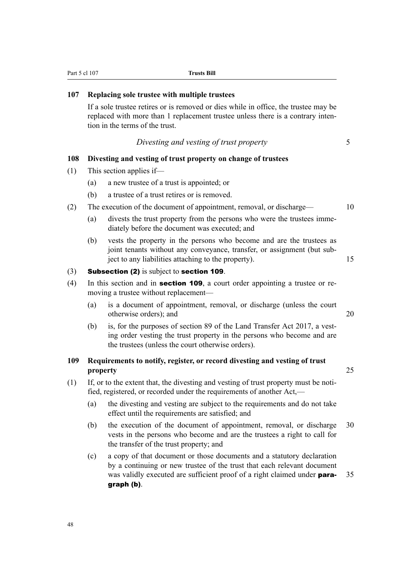| 107 |          | Replacing sole trustee with multiple trustees                                                                                                                                                             |    |
|-----|----------|-----------------------------------------------------------------------------------------------------------------------------------------------------------------------------------------------------------|----|
|     |          | If a sole trustee retires or is removed or dies while in office, the trustee may be<br>replaced with more than 1 replacement trustee unless there is a contrary inten-<br>tion in the terms of the trust. |    |
|     |          | Divesting and vesting of trust property                                                                                                                                                                   | 5  |
| 108 |          | Divesting and vesting of trust property on change of trustees                                                                                                                                             |    |
| (1) |          | This section applies if-                                                                                                                                                                                  |    |
|     | (a)      | a new trustee of a trust is appointed; or                                                                                                                                                                 |    |
|     | (b)      | a trustee of a trust retires or is removed.                                                                                                                                                               |    |
| (2) |          | The execution of the document of appointment, removal, or discharge—                                                                                                                                      | 10 |
|     | (a)      | divests the trust property from the persons who were the trustees imme-<br>diately before the document was executed; and                                                                                  |    |
|     | (b)      | vests the property in the persons who become and are the trustees as<br>joint tenants without any conveyance, transfer, or assignment (but sub-<br>ject to any liabilities attaching to the property).    | 15 |
| (3) |          | Subsection (2) is subject to section 109.                                                                                                                                                                 |    |
| (4) |          | In this section and in section 109, a court order appointing a trustee or re-<br>moving a trustee without replacement—                                                                                    |    |
|     | (a)      | is a document of appointment, removal, or discharge (unless the court<br>otherwise orders); and                                                                                                           | 20 |
|     | (b)      | is, for the purposes of section 89 of the Land Transfer Act 2017, a vest-<br>ing order vesting the trust property in the persons who become and are<br>the trustees (unless the court otherwise orders).  |    |
| 109 | property | Requirements to notify, register, or record divesting and vesting of trust                                                                                                                                | 25 |
| (1) |          | If, or to the extent that, the divesting and vesting of trust property must be noti-<br>fied, registered, or recorded under the requirements of another Act,—                                             |    |

Part 5 cl 107 **Trusts Bill** 

- (a) the divesting and vesting are subject to the requirements and do not take effect until the requirements are satisfied; and
- (b) the execution of the document of appointment, removal, or discharge 30 vests in the persons who become and are the trustees a right to call for the transfer of the trust property; and
- (c) a copy of that document or those documents and a statutory declaration by a continuing or new trustee of the trust that each relevant document was validly executed are sufficient proof of a right claimed under **para-** 35 graph (b).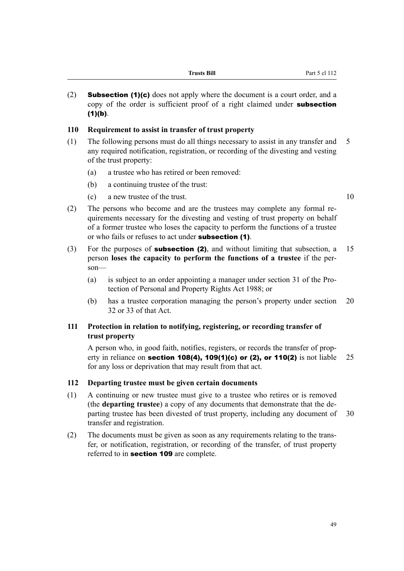(2) **Subsection (1)(c)** does not apply where the document is a court order, and a copy of the order is sufficient proof of a right claimed under **subsection**  $(1)(b)$ .

#### **110 Requirement to assist in transfer of trust property**

- (1) The following persons must do all things necessary to assist in any transfer and 5 any required notification, registration, or recording of the divesting and vesting of the trust property:
	- (a) a trustee who has retired or been removed:
	- (b) a continuing trustee of the trust:
	- (c) a new trustee of the trust. 10

Part 5 cl 112

- (2) The persons who become and are the trustees may complete any formal requirements necessary for the divesting and vesting of trust property on behalf of a former trustee who loses the capacity to perform the functions of a trustee or who fails or refuses to act under subsection (1).
- (3) For the purposes of **subsection (2)**, and without limiting that subsection, a 15 person **loses the capacity to perform the functions of a trustee** if the person—
	- (a) is subject to an order appointing a manager under section 31 of the Protection of Personal and Property Rights Act 1988; or
	- (b) has a trustee corporation managing the person's property under section 20 32 or 33 of that Act.

# **111 Protection in relation to notifying, registering, or recording transfer of trust property**

A person who, in good faith, notifies, registers, or records the transfer of property in reliance on **section 108(4), 109(1)(c) or (2), or 110(2)** is not liable 25 for any loss or deprivation that may result from that act.

#### **112 Departing trustee must be given certain documents**

- (1) A continuing or new trustee must give to a trustee who retires or is removed (the **departing trustee**) a copy of any documents that demonstrate that the departing trustee has been divested of trust property, including any document of 30 transfer and registration.
- (2) The documents must be given as soon as any requirements relating to the transfer, or notification, registration, or recording of the transfer, of trust property referred to in section 109 are complete.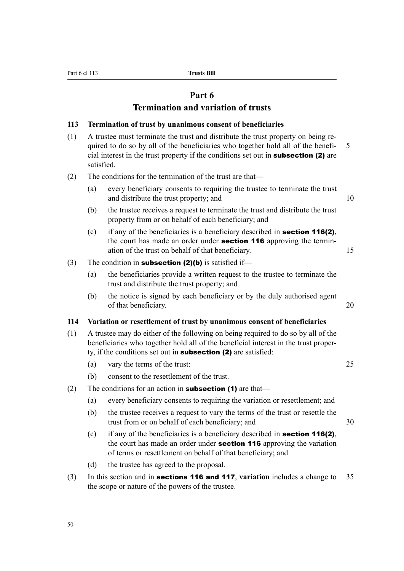# **Part 6**

# **Termination and variation of trusts**

#### **113 Termination of trust by unanimous consent of beneficiaries**

- (1) A trustee must terminate the trust and distribute the trust property on being required to do so by all of the beneficiaries who together hold all of the benefi- 5 cial interest in the trust property if the conditions set out in subsection (2) are satisfied.
- (2) The conditions for the termination of the trust are that—
	- (a) every beneficiary consents to requiring the trustee to terminate the trust and distribute the trust property; and 10
	- (b) the trustee receives a request to terminate the trust and distribute the trust property from or on behalf of each beneficiary; and
	- (c) if any of the beneficiaries is a beneficiary described in **section 116(2)**, the court has made an order under **section 116** approving the termination of the trust on behalf of that beneficiary. 15
- (3) The condition in **subsection (2)(b)** is satisfied if—
	- (a) the beneficiaries provide a written request to the trustee to terminate the trust and distribute the trust property; and
	- (b) the notice is signed by each beneficiary or by the duly authorised agent of that beneficiary. 20

#### **114 Variation or resettlement of trust by unanimous consent of beneficiaries**

- (1) A trustee may do either of the following on being required to do so by all of the beneficiaries who together hold all of the beneficial interest in the trust property, if the conditions set out in subsection (2) are satisfied:
	- (a) vary the terms of the trust: 25
	- (b) consent to the resettlement of the trust.
- (2) The conditions for an action in **subsection (1)** are that—
	- (a) every beneficiary consents to requiring the variation or resettlement; and
	- (b) the trustee receives a request to vary the terms of the trust or resettle the trust from or on behalf of each beneficiary; and 30
	- (c) if any of the beneficiaries is a beneficiary described in **section 116(2)**, the court has made an order under **section 116** approving the variation of terms or resettlement on behalf of that beneficiary; and
	- (d) the trustee has agreed to the proposal.
- (3) In this section and in sections 116 and 117, **variation** includes a change to 35 the scope or nature of the powers of the trustee.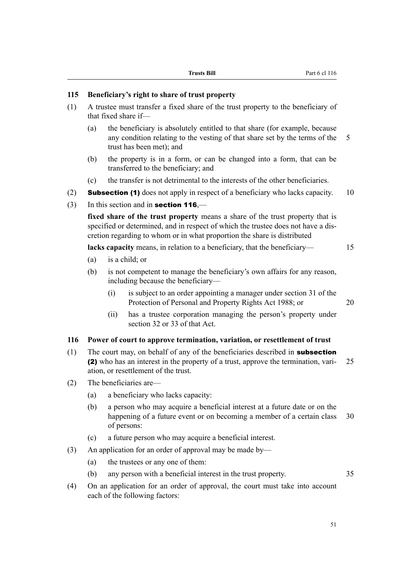| Trusts Bill |  |
|-------------|--|
|-------------|--|

#### **115 Beneficiary's right to share of trust property**

- (1) A trustee must transfer a fixed share of the trust property to the beneficiary of that fixed share if—
	- (a) the beneficiary is absolutely entitled to that share (for example, because any condition relating to the vesting of that share set by the terms of the 5 trust has been met); and
	- (b) the property is in a form, or can be changed into a form, that can be transferred to the beneficiary; and
	- (c) the transfer is not detrimental to the interests of the other beneficiaries.
- (2) **Subsection (1)** does not apply in respect of a beneficiary who lacks capacity. 10
- (3) In this section and in **section 116**.—

**fixed share of the trust property** means a share of the trust property that is specified or determined, and in respect of which the trustee does not have a discretion regarding to whom or in what proportion the share is distributed

**lacks capacity** means, in relation to a beneficiary, that the beneficiary— 15

- (a) is a child; or
- (b) is not competent to manage the beneficiary's own affairs for any reason, including because the beneficiary—
	- (i) is subject to an order appointing a manager under section 31 of the Protection of Personal and Property Rights Act 1988; or 20
	- (ii) has a trustee corporation managing the person's property under section 32 or 33 of that Act.

#### **116 Power of court to approve termination, variation, or resettlement of trust**

- (1) The court may, on behalf of any of the beneficiaries described in **subsection** (2) who has an interest in the property of a trust, approve the termination, vari- 25 ation, or resettlement of the trust.
- (2) The beneficiaries are—
	- (a) a beneficiary who lacks capacity:
	- (b) a person who may acquire a beneficial interest at a future date or on the happening of a future event or on becoming a member of a certain class 30 of persons:
	- (c) a future person who may acquire a beneficial interest.
- (3) An application for an order of approval may be made by—
	- (a) the trustees or any one of them:
	- (b) any person with a beneficial interest in the trust property. 35
- (4) On an application for an order of approval, the court must take into account each of the following factors: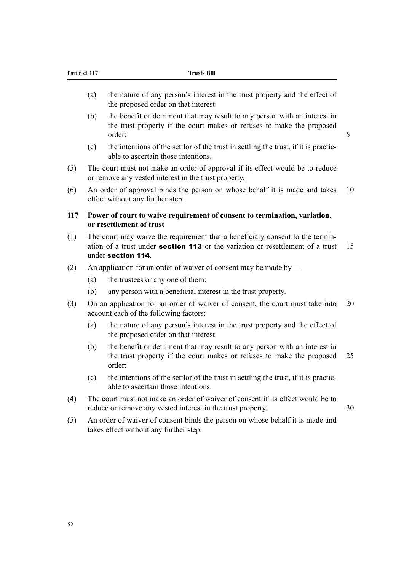- (a) the nature of any person's interest in the trust property and the effect of the proposed order on that interest:
- (b) the benefit or detriment that may result to any person with an interest in the trust property if the court makes or refuses to make the proposed order: 5

- (c) the intentions of the settlor of the trust in settling the trust, if it is practicable to ascertain those intentions.
- (5) The court must not make an order of approval if its effect would be to reduce or remove any vested interest in the trust property.
- (6) An order of approval binds the person on whose behalf it is made and takes 10 effect without any further step.
- **117 Power of court to waive requirement of consent to termination, variation, or resettlement of trust**
- (1) The court may waive the requirement that a beneficiary consent to the termination of a trust under **section 113** or the variation or resettlement of a trust  $15$ under section 114.
- (2) An application for an order of waiver of consent may be made by—
	- (a) the trustees or any one of them:
	- (b) any person with a beneficial interest in the trust property.
- (3) On an application for an order of waiver of consent, the court must take into 20 account each of the following factors:
	- (a) the nature of any person's interest in the trust property and the effect of the proposed order on that interest:
	- (b) the benefit or detriment that may result to any person with an interest in the trust property if the court makes or refuses to make the proposed 25 order:
	- (c) the intentions of the settlor of the trust in settling the trust, if it is practicable to ascertain those intentions.
- (4) The court must not make an order of waiver of consent if its effect would be to reduce or remove any vested interest in the trust property. 30
- (5) An order of waiver of consent binds the person on whose behalf it is made and takes effect without any further step.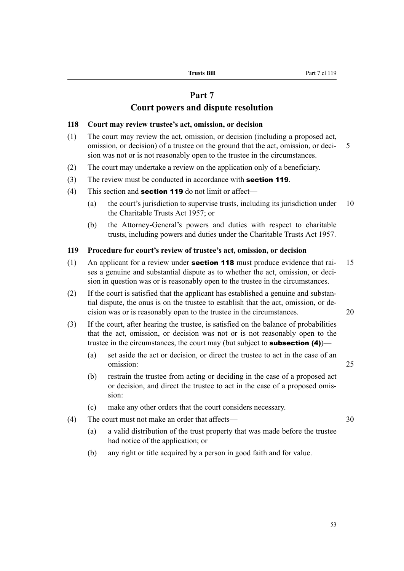# **Part 7**

# **Court powers and dispute resolution**

#### **118 Court may review trustee's act, omission, or decision**

- (1) The court may review the act, omission, or decision (including a proposed act, omission, or decision) of a trustee on the ground that the act, omission, or deci- 5 sion was not or is not reasonably open to the trustee in the circumstances.
- (2) The court may undertake a review on the application only of a beneficiary.
- (3) The review must be conducted in accordance with **section 119**.
- (4) This section and **section 119** do not limit or affect—
	- (a) the court's jurisdiction to supervise trusts, including its jurisdiction under 10 the Charitable Trusts Act 1957; or
	- (b) the Attorney-General's powers and duties with respect to charitable trusts, including powers and duties under the Charitable Trusts Act 1957.

#### **119 Procedure for court's review of trustee's act, omission, or decision**

- (1) An applicant for a review under **section 118** must produce evidence that rai-  $15$ ses a genuine and substantial dispute as to whether the act, omission, or decision in question was or is reasonably open to the trustee in the circumstances.
- (2) If the court is satisfied that the applicant has established a genuine and substantial dispute, the onus is on the trustee to establish that the act, omission, or decision was or is reasonably open to the trustee in the circumstances. 20
- (3) If the court, after hearing the trustee, is satisfied on the balance of probabilities that the act, omission, or decision was not or is not reasonably open to the trustee in the circumstances, the court may (but subject to **subsection (4)**)–
	- (a) set aside the act or decision, or direct the trustee to act in the case of an omission: 25
	- (b) restrain the trustee from acting or deciding in the case of a proposed act or decision, and direct the trustee to act in the case of a proposed omission:
	- (c) make any other orders that the court considers necessary.
- (4) The court must not make an order that affects— 30
	- (a) a valid distribution of the trust property that was made before the trustee had notice of the application; or
	- (b) any right or title acquired by a person in good faith and for value.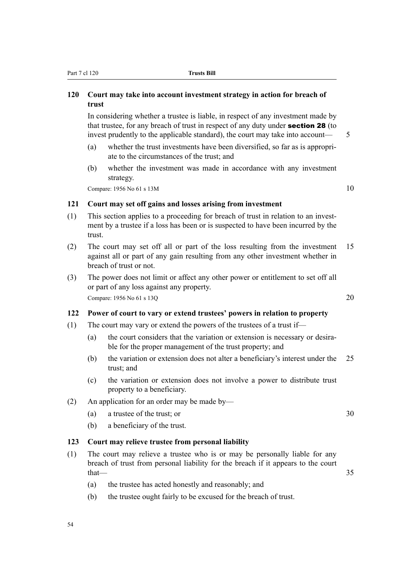#### Part 7 cl 120 **Trusts Bill**

# **120 Court may take into account investment strategy in action for breach of trust**

In considering whether a trustee is liable, in respect of any investment made by that trustee, for any breach of trust in respect of any duty under section 28 (to invest prudently to the applicable standard), the court may take into account— 5

- (a) whether the trust investments have been diversified, so far as is appropriate to the circumstances of the trust; and
- (b) whether the investment was made in accordance with any investment strategy.

Compare:  $1956$  No 61 s  $13M$  10

# **121 Court may set off gains and losses arising from investment**

- (1) This section applies to a proceeding for breach of trust in relation to an investment by a trustee if a loss has been or is suspected to have been incurred by the trust.
- (2) The court may set off all or part of the loss resulting from the investment 15 against all or part of any gain resulting from any other investment whether in breach of trust or not.
- (3) The power does not limit or affect any other power or entitlement to set off all or part of any loss against any property. Compare: 1956 No 61 s 13O 20

# **122 Power of court to vary or extend trustees' powers in relation to property**

- (1) The court may vary or extend the powers of the trustees of a trust if—
	- (a) the court considers that the variation or extension is necessary or desirable for the proper management of the trust property; and
	- (b) the variation or extension does not alter a beneficiary's interest under the 25 trust; and
	- (c) the variation or extension does not involve a power to distribute trust property to a beneficiary.
- (2) An application for an order may be made by—
	- (a) a trustee of the trust; or 30
	- (b) a beneficiary of the trust.

#### **123 Court may relieve trustee from personal liability**

- (1) The court may relieve a trustee who is or may be personally liable for any breach of trust from personal liability for the breach if it appears to the court  $that$   $-$  35
	- (a) the trustee has acted honestly and reasonably; and
	- (b) the trustee ought fairly to be excused for the breach of trust.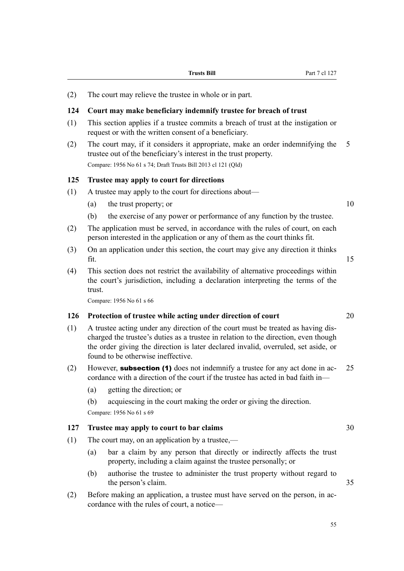(2) The court may relieve the trustee in whole or in part.

#### **124 Court may make beneficiary indemnify trustee for breach of trust**

- (1) This section applies if a trustee commits a breach of trust at the instigation or request or with the written consent of a beneficiary.
- (2) The court may, if it considers it appropriate, make an order indemnifying the 5 trustee out of the beneficiary's interest in the trust property. Compare: 1956 No 61 s 74; Draft Trusts Bill 2013 cl 121 (Qld)

#### **125 Trustee may apply to court for directions**

- (1) A trustee may apply to the court for directions about—
	- (a) the trust property; or  $10$
	- (b) the exercise of any power or performance of any function by the trustee.
- (2) The application must be served, in accordance with the rules of court, on each person interested in the application or any of them as the court thinks fit.
- (3) On an application under this section, the court may give any direction it thinks  $\int$  fit. 15
- (4) This section does not restrict the availability of alternative proceedings within the court's jurisdiction, including a declaration interpreting the terms of the trust.

Compare: 1956 No 61 s 66

#### **126 Protection of trustee while acting under direction of court** 20

- (1) A trustee acting under any direction of the court must be treated as having discharged the trustee's duties as a trustee in relation to the direction, even though the order giving the direction is later declared invalid, overruled, set aside, or found to be otherwise ineffective.
- (2) However, **subsection (1)** does not indemnify a trustee for any act done in ac- 25 cordance with a direction of the court if the trustee has acted in bad faith in—
	- (a) getting the direction; or
	- (b) acquiescing in the court making the order or giving the direction. Compare: 1956 No 61 s 69

# **127 Trustee may apply to court to bar claims** 30

- (1) The court may, on an application by a trustee,—
	- (a) bar a claim by any person that directly or indirectly affects the trust property, including a claim against the trustee personally; or
	- (b) authorise the trustee to administer the trust property without regard to the person's claim. 35
- (2) Before making an application, a trustee must have served on the person, in accordance with the rules of court, a notice—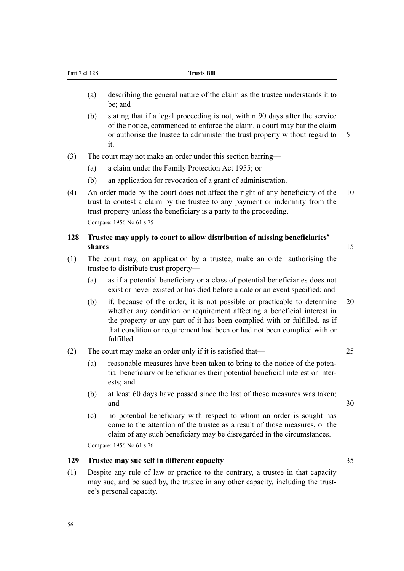- (a) describing the general nature of the claim as the trustee understands it to be; and
- (b) stating that if a legal proceeding is not, within 90 days after the service of the notice, commenced to enforce the claim, a court may bar the claim or authorise the trustee to administer the trust property without regard to 5 it.
- (3) The court may not make an order under this section barring—
	- (a) a claim under the Family Protection Act 1955; or
	- (b) an application for revocation of a grant of administration.
- (4) An order made by the court does not affect the right of any beneficiary of the 10 trust to contest a claim by the trustee to any payment or indemnity from the trust property unless the beneficiary is a party to the proceeding. Compare: 1956 No 61 s 75

#### **128 Trustee may apply to court to allow distribution of missing beneficiaries' shares** 15

- (1) The court may, on application by a trustee, make an order authorising the trustee to distribute trust property—
	- (a) as if a potential beneficiary or a class of potential beneficiaries does not exist or never existed or has died before a date or an event specified; and
	- (b) if, because of the order, it is not possible or practicable to determine 20 whether any condition or requirement affecting a beneficial interest in the property or any part of it has been complied with or fulfilled, as if that condition or requirement had been or had not been complied with or fulfilled.
- (2) The court may make an order only if it is satisfied that— 25
	- (a) reasonable measures have been taken to bring to the notice of the potential beneficiary or beneficiaries their potential beneficial interest or interests; and
	- (b) at least 60 days have passed since the last of those measures was taken; and 30
	- (c) no potential beneficiary with respect to whom an order is sought has come to the attention of the trustee as a result of those measures, or the claim of any such beneficiary may be disregarded in the circumstances.

Compare: 1956 No 61 s 76

# **129 Trustee may sue self in different capacity** 35

(1) Despite any rule of law or practice to the contrary, a trustee in that capacity may sue, and be sued by, the trustee in any other capacity, including the trustee's personal capacity.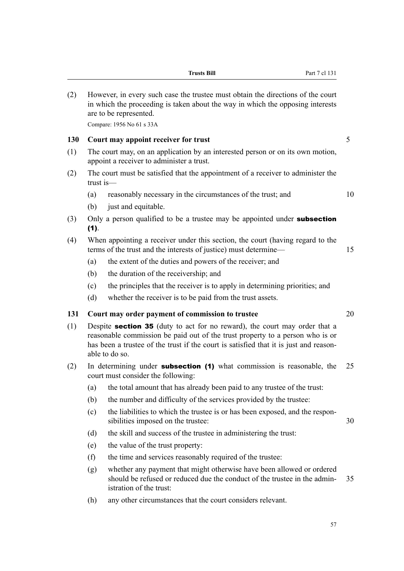|     | Compare: 1956 No 61 s 33A |                                                                                                                                                                                                                                                                               |    |  |  |
|-----|---------------------------|-------------------------------------------------------------------------------------------------------------------------------------------------------------------------------------------------------------------------------------------------------------------------------|----|--|--|
| 130 |                           | Court may appoint receiver for trust                                                                                                                                                                                                                                          | 5  |  |  |
| (1) |                           | The court may, on an application by an interested person or on its own motion,<br>appoint a receiver to administer a trust.                                                                                                                                                   |    |  |  |
| (2) | $trust$ is—               | The court must be satisfied that the appointment of a receiver to administer the                                                                                                                                                                                              |    |  |  |
|     | (a)                       | reasonably necessary in the circumstances of the trust; and                                                                                                                                                                                                                   | 10 |  |  |
|     | (b)                       | just and equitable.                                                                                                                                                                                                                                                           |    |  |  |
| (3) | (1).                      | Only a person qualified to be a trustee may be appointed under <b>subsection</b>                                                                                                                                                                                              |    |  |  |
| (4) |                           | When appointing a receiver under this section, the court (having regard to the<br>terms of the trust and the interests of justice) must determine—                                                                                                                            | 15 |  |  |
|     | (a)                       | the extent of the duties and powers of the receiver; and                                                                                                                                                                                                                      |    |  |  |
|     | (b)                       | the duration of the receivership; and                                                                                                                                                                                                                                         |    |  |  |
|     | (c)                       | the principles that the receiver is to apply in determining priorities; and                                                                                                                                                                                                   |    |  |  |
|     | (d)                       | whether the receiver is to be paid from the trust assets.                                                                                                                                                                                                                     |    |  |  |
| 131 |                           | Court may order payment of commission to trustee                                                                                                                                                                                                                              | 20 |  |  |
| (1) |                           | Despite <b>section 35</b> (duty to act for no reward), the court may order that a<br>reasonable commission be paid out of the trust property to a person who is or<br>has been a trustee of the trust if the court is satisfied that it is just and reason-<br>able to do so. |    |  |  |
| (2) |                           | In determining under <b>subsection</b> (1) what commission is reasonable, the<br>court must consider the following:                                                                                                                                                           | 25 |  |  |
|     | (a)                       | the total amount that has already been paid to any trustee of the trust:                                                                                                                                                                                                      |    |  |  |
|     | (b)                       | the number and difficulty of the services provided by the trustee:                                                                                                                                                                                                            |    |  |  |
|     | (c)                       | the liabilities to which the trustee is or has been exposed, and the respon-<br>sibilities imposed on the trustee:                                                                                                                                                            | 30 |  |  |
|     | (d)                       | the skill and success of the trustee in administering the trust:                                                                                                                                                                                                              |    |  |  |
|     | (e)                       | the value of the trust property:                                                                                                                                                                                                                                              |    |  |  |
|     | (f)                       | the time and services reasonably required of the trustee:                                                                                                                                                                                                                     |    |  |  |
|     | (g)                       | whether any payment that might otherwise have been allowed or ordered                                                                                                                                                                                                         |    |  |  |

(2) However, in every such case the trustee must obtain the directions of the court

are to be represented.

in which the proceeding is taken about the way in which the opposing interests

**Trusts Bill** Part 7 cl 131

- should be refused or reduced due the conduct of the trustee in the admin- 35 istration of the trust:
- (h) any other circumstances that the court considers relevant.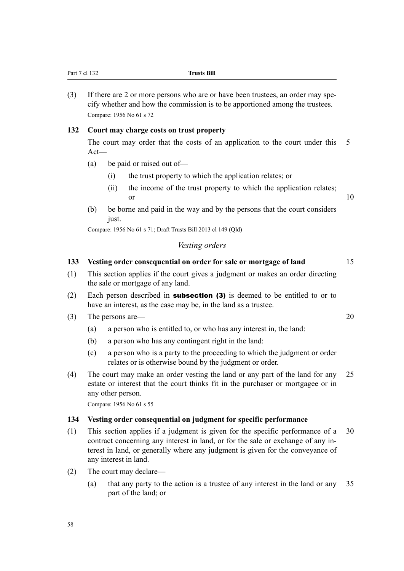| (3) | If there are 2 or more persons who are or have been trustees, an order may spe-<br>cify whether and how the commission is to be apportioned among the trustees.<br>Compare: 1956 No 61 s 72                                                                                  |    |
|-----|------------------------------------------------------------------------------------------------------------------------------------------------------------------------------------------------------------------------------------------------------------------------------|----|
| 132 | Court may charge costs on trust property                                                                                                                                                                                                                                     |    |
|     | The court may order that the costs of an application to the court under this<br>$Act-$                                                                                                                                                                                       | 5  |
|     | be paid or raised out of-<br>(a)                                                                                                                                                                                                                                             |    |
|     | the trust property to which the application relates; or<br>(i)                                                                                                                                                                                                               |    |
|     | the income of the trust property to which the application relates;<br>(ii)<br>or                                                                                                                                                                                             | 10 |
|     | (b)<br>be borne and paid in the way and by the persons that the court considers<br>just.                                                                                                                                                                                     |    |
|     | Compare: 1956 No 61 s 71; Draft Trusts Bill 2013 cl 149 (Qld)                                                                                                                                                                                                                |    |
|     | Vesting orders                                                                                                                                                                                                                                                               |    |
| 133 | Vesting order consequential on order for sale or mortgage of land                                                                                                                                                                                                            | 15 |
| (1) | This section applies if the court gives a judgment or makes an order directing<br>the sale or mortgage of any land.                                                                                                                                                          |    |
| (2) | Each person described in <b>subsection (3)</b> is deemed to be entitled to or to<br>have an interest, as the case may be, in the land as a trustee.                                                                                                                          |    |
| (3) | The persons are—                                                                                                                                                                                                                                                             | 20 |
|     | a person who is entitled to, or who has any interest in, the land:<br>(a)                                                                                                                                                                                                    |    |
|     | a person who has any contingent right in the land:<br>(b)                                                                                                                                                                                                                    |    |
|     | a person who is a party to the proceeding to which the judgment or order<br>(c)<br>relates or is otherwise bound by the judgment or order.                                                                                                                                   |    |
| (4) | The court may make an order vesting the land or any part of the land for any<br>estate or interest that the court thinks fit in the purchaser or mortgagee or in<br>any other person.                                                                                        | 25 |
|     | Compare: 1956 No 61 s 55                                                                                                                                                                                                                                                     |    |
| 134 | Vesting order consequential on judgment for specific performance                                                                                                                                                                                                             |    |
| (1) | This section applies if a judgment is given for the specific performance of a<br>contract concerning any interest in land, or for the sale or exchange of any in-<br>terest in land, or generally where any judgment is given for the conveyance of<br>any interest in land. | 30 |
| (2) | The court may declare—                                                                                                                                                                                                                                                       |    |
|     | that any party to the action is a trustee of any interest in the land or any<br>(a)<br>part of the land; or                                                                                                                                                                  | 35 |

Part 7 cl 132 **Trusts Bill**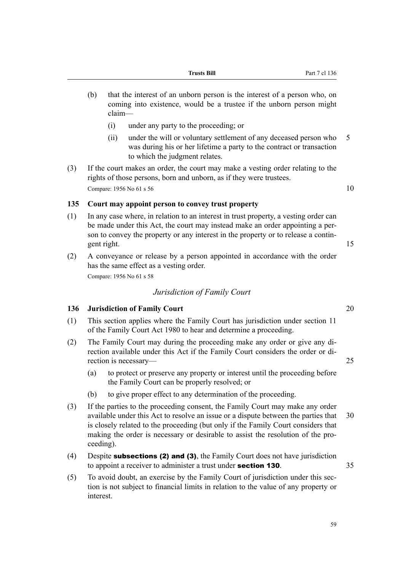- (b) that the interest of an unborn person is the interest of a person who, on coming into existence, would be a trustee if the unborn person might claim—
	- (i) under any party to the proceeding; or
	- (ii) under the will or voluntary settlement of any deceased person who 5 was during his or her lifetime a party to the contract or transaction to which the judgment relates.
- (3) If the court makes an order, the court may make a vesting order relating to the rights of those persons, born and unborn, as if they were trustees. Compare: 1956 No 61 s 56  $10$

# **135 Court may appoint person to convey trust property**

- (1) In any case where, in relation to an interest in trust property, a vesting order can be made under this Act, the court may instead make an order appointing a person to convey the property or any interest in the property or to release a contingent right. 15
- (2) A conveyance or release by a person appointed in accordance with the order has the same effect as a vesting order.

Compare: 1956 No 61 s 58

# *Jurisdiction of Family Court*

#### **136 Jurisdiction of Family Court** 20

- (1) This section applies where the Family Court has jurisdiction under section 11 of the Family Court Act 1980 to hear and determine a proceeding.
- (2) The Family Court may during the proceeding make any order or give any direction available under this Act if the Family Court considers the order or direction is necessary— 25
	- (a) to protect or preserve any property or interest until the proceeding before the Family Court can be properly resolved; or
	- (b) to give proper effect to any determination of the proceeding.
- (3) If the parties to the proceeding consent, the Family Court may make any order available under this Act to resolve an issue or a dispute between the parties that 30 is closely related to the proceeding (but only if the Family Court considers that making the order is necessary or desirable to assist the resolution of the proceeding).
- (4) Despite subsections (2) and (3), the Family Court does not have jurisdiction to appoint a receiver to administer a trust under **section 130**.  $35$
- (5) To avoid doubt, an exercise by the Family Court of jurisdiction under this section is not subject to financial limits in relation to the value of any property or interest.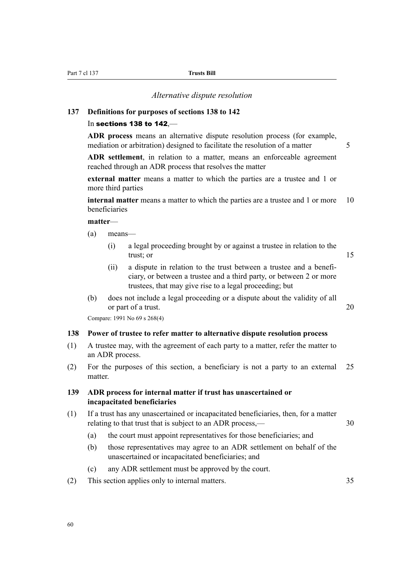*Alternative dispute resolution*

#### **137 Definitions for purposes of sections 138 to 142**

#### In sections 138 to 142,—

**ADR process** means an alternative dispute resolution process (for example, mediation or arbitration) designed to facilitate the resolution of a matter  $\frac{5}{5}$ 

**ADR settlement**, in relation to a matter, means an enforceable agreement reached through an ADR process that resolves the matter

**external matter** means a matter to which the parties are a trustee and 1 or more third parties

**internal matter** means a matter to which the parties are a trustee and 1 or more 10 beneficiaries

**matter**—

- (a) means—
	- (i) a legal proceeding brought by or against a trustee in relation to the trust; or 15
	- (ii) a dispute in relation to the trust between a trustee and a beneficiary, or between a trustee and a third party, or between 2 or more trustees, that may give rise to a legal proceeding; but
- (b) does not include a legal proceeding or a dispute about the validity of all or part of a trust. 20

Compare: 1991 No 69 s 268(4)

# **138 Power of trustee to refer matter to alternative dispute resolution process**

- (1) A trustee may, with the agreement of each party to a matter, refer the matter to an ADR process.
- (2) For the purposes of this section, a beneficiary is not a party to an external 25 matter.

#### **139 ADR process for internal matter if trust has unascertained or incapacitated beneficiaries**

- (1) If a trust has any unascertained or incapacitated beneficiaries, then, for a matter relating to that trust that is subject to an ADR process,— 30
	- (a) the court must appoint representatives for those beneficiaries; and
	- (b) those representatives may agree to an ADR settlement on behalf of the unascertained or incapacitated beneficiaries; and
	- (c) any ADR settlement must be approved by the court.
- (2) This section applies only to internal matters. 35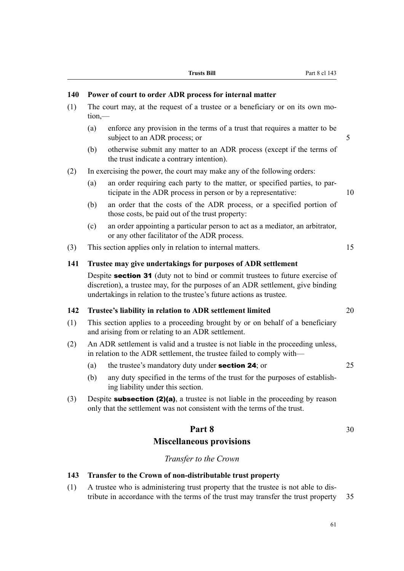# **140 Power of court to order ADR process for internal matter**

- (1) The court may, at the request of a trustee or a beneficiary or on its own motion,—
	- (a) enforce any provision in the terms of a trust that requires a matter to be subject to an ADR process; or 5
	- (b) otherwise submit any matter to an ADR process (except if the terms of the trust indicate a contrary intention).
- (2) In exercising the power, the court may make any of the following orders:
	- (a) an order requiring each party to the matter, or specified parties, to participate in the ADR process in person or by a representative: 10
	- (b) an order that the costs of the ADR process, or a specified portion of those costs, be paid out of the trust property:
	- (c) an order appointing a particular person to act as a mediator, an arbitrator, or any other facilitator of the ADR process.
- (3) This section applies only in relation to internal matters. 15

# **141 Trustee may give undertakings for purposes of ADR settlement**

Despite **section 31** (duty not to bind or commit trustees to future exercise of discretion), a trustee may, for the purposes of an ADR settlement, give binding undertakings in relation to the trustee's future actions as trustee.

# **142 Trustee's liability in relation to ADR settlement limited** 20

- (1) This section applies to a proceeding brought by or on behalf of a beneficiary and arising from or relating to an ADR settlement.
- (2) An ADR settlement is valid and a trustee is not liable in the proceeding unless, in relation to the ADR settlement, the trustee failed to comply with—
	- (a) the trustee's mandatory duty under **section 24**; or 25
	- (b) any duty specified in the terms of the trust for the purposes of establishing liability under this section.
- (3) Despite **subsection (2)(a)**, a trustee is not liable in the proceeding by reason only that the settlement was not consistent with the terms of the trust.

# **Part 8** 30

# **Miscellaneous provisions**

*Transfer to the Crown*

# **143 Transfer to the Crown of non-distributable trust property**

(1) A trustee who is administering trust property that the trustee is not able to distribute in accordance with the terms of the trust may transfer the trust property 35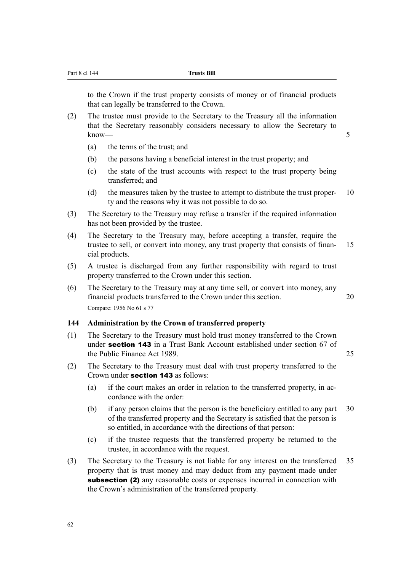to the Crown if the trust property consists of money or of financial products that can legally be transferred to the Crown.

- (2) The trustee must provide to the Secretary to the Treasury all the information that the Secretary reasonably considers necessary to allow the Secretary to know—5
	- (a) the terms of the trust; and
	- (b) the persons having a beneficial interest in the trust property; and
	- (c) the state of the trust accounts with respect to the trust property being transferred; and
	- (d) the measures taken by the trustee to attempt to distribute the trust proper- 10 ty and the reasons why it was not possible to do so.
- (3) The Secretary to the Treasury may refuse a transfer if the required information has not been provided by the trustee.
- (4) The Secretary to the Treasury may, before accepting a transfer, require the trustee to sell, or convert into money, any trust property that consists of finan- 15 cial products.
- (5) A trustee is discharged from any further responsibility with regard to trust property transferred to the Crown under this section.
- (6) The Secretary to the Treasury may at any time sell, or convert into money, any financial products transferred to the Crown under this section. 20 Compare: 1956 No 61 s 77

#### **144 Administration by the Crown of transferred property**

- (1) The Secretary to the Treasury must hold trust money transferred to the Crown under section 143 in a Trust Bank Account established under section 67 of the Public Finance Act 1989. 25
- (2) The Secretary to the Treasury must deal with trust property transferred to the Crown under section 143 as follows:
	- (a) if the court makes an order in relation to the transferred property, in accordance with the order:
	- (b) if any person claims that the person is the beneficiary entitled to any part 30 of the transferred property and the Secretary is satisfied that the person is so entitled, in accordance with the directions of that person:
	- (c) if the trustee requests that the transferred property be returned to the trustee, in accordance with the request.
- (3) The Secretary to the Treasury is not liable for any interest on the transferred 35 property that is trust money and may deduct from any payment made under subsection (2) any reasonable costs or expenses incurred in connection with the Crown's administration of the transferred property.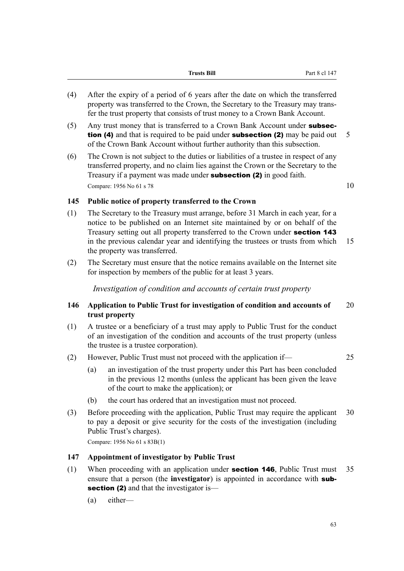|     | <b>Trusts Bill</b>                                                                                                                                                 | Part 8 cl 147 |
|-----|--------------------------------------------------------------------------------------------------------------------------------------------------------------------|---------------|
| (4) | After the expiry of a period of 6 years after the date on which the transferred<br>property was transferred to the Crown, the Secretary to the Treasury may trans- |               |

- fer the trust property that consists of trust money to a Crown Bank Account. (5) Any trust money that is transferred to a Crown Bank Account under subsec**tion (4)** and that is required to be paid under **subsection (2)** may be paid out  $5$ of the Crown Bank Account without further authority than this subsection.
- (6) The Crown is not subject to the duties or liabilities of a trustee in respect of any transferred property, and no claim lies against the Crown or the Secretary to the Treasury if a payment was made under subsection (2) in good faith. Compare: 1956 No 61 s 78  $10$

### **145 Public notice of property transferred to the Crown**

- (1) The Secretary to the Treasury must arrange, before 31 March in each year, for a notice to be published on an Internet site maintained by or on behalf of the Treasury setting out all property transferred to the Crown under section 143 in the previous calendar year and identifying the trustees or trusts from which 15 the property was transferred.
- (2) The Secretary must ensure that the notice remains available on the Internet site for inspection by members of the public for at least 3 years.

*Investigation of condition and accounts of certain trust property*

### **146 Application to Public Trust for investigation of condition and accounts of** 20 **trust property**

- (1) A trustee or a beneficiary of a trust may apply to Public Trust for the conduct of an investigation of the condition and accounts of the trust property (unless the trustee is a trustee corporation).
- (2) However, Public Trust must not proceed with the application if— 25
	- (a) an investigation of the trust property under this Part has been concluded in the previous 12 months (unless the applicant has been given the leave of the court to make the application); or
	- (b) the court has ordered that an investigation must not proceed.
- (3) Before proceeding with the application, Public Trust may require the applicant 30 to pay a deposit or give security for the costs of the investigation (including Public Trust's charges).

Compare: 1956 No 61 s 83B(1)

### **147 Appointment of investigator by Public Trust**

- (1) When proceeding with an application under section 146, Public Trust must 35 ensure that a person (the **investigator**) is appointed in accordance with subsection (2) and that the investigator is—
	- (a) either—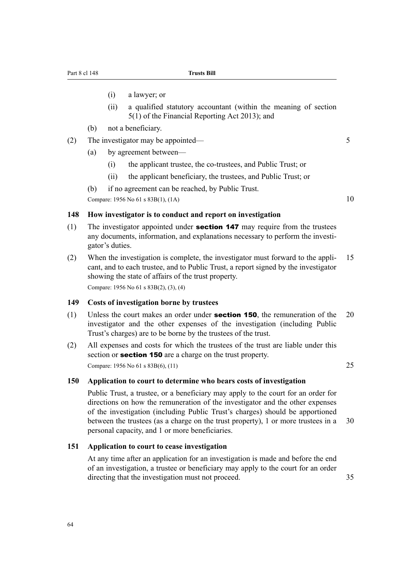- (i) a lawyer; or
- (ii) a qualified statutory accountant (within the meaning of section 5(1) of the Financial Reporting Act 2013); and
- (b) not a beneficiary.
- (2) The investigator may be appointed— 5
	- (a) by agreement between—
		- (i) the applicant trustee, the co-trustees, and Public Trust; or
		- (ii) the applicant beneficiary, the trustees, and Public Trust; or
	- (b) if no agreement can be reached, by Public Trust.

Compare:  $1956 \text{ No } 61 \text{ s } 83B(1)$ ,  $(1A)$  10

#### **148 How investigator is to conduct and report on investigation**

- (1) The investigator appointed under **section 147** may require from the trustees any documents, information, and explanations necessary to perform the investigator's duties.
- (2) When the investigation is complete, the investigator must forward to the appli- 15 cant, and to each trustee, and to Public Trust, a report signed by the investigator showing the state of affairs of the trust property. Compare: 1956 No 61 s 83B(2), (3), (4)

**149 Costs of investigation borne by trustees**

- (1) Unless the court makes an order under **section 150**, the remuneration of the  $20$ investigator and the other expenses of the investigation (including Public Trust's charges) are to be borne by the trustees of the trust.
- (2) All expenses and costs for which the trustees of the trust are liable under this section or **section 150** are a charge on the trust property. Compare: 1956 No 61 s 83B(6), (11) 25

#### **150 Application to court to determine who bears costs of investigation**

Public Trust, a trustee, or a beneficiary may apply to the court for an order for directions on how the remuneration of the investigator and the other expenses of the investigation (including Public Trust's charges) should be apportioned between the trustees (as a charge on the trust property), 1 or more trustees in a 30 personal capacity, and 1 or more beneficiaries.

#### **151 Application to court to cease investigation**

At any time after an application for an investigation is made and before the end of an investigation, a trustee or beneficiary may apply to the court for an order directing that the investigation must not proceed. 35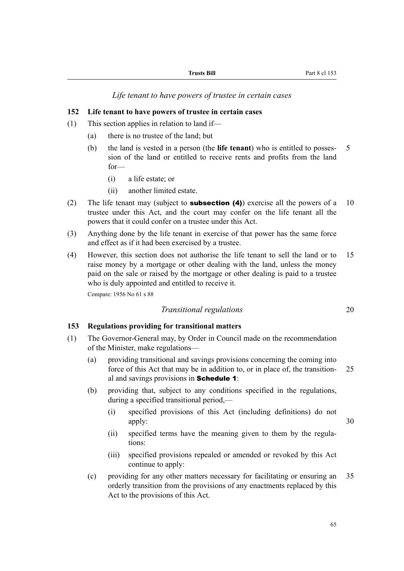*Life tenant to have powers of trustee in certain cases*

#### **152 Life tenant to have powers of trustee in certain cases**

- (1) This section applies in relation to land if—
	- (a) there is no trustee of the land; but
	- (b) the land is vested in a person (the **life tenant**) who is entitled to posses- 5 sion of the land or entitled to receive rents and profits from the land for—
		- (i) a life estate; or
		- (ii) another limited estate.
- (2) The life tenant may (subject to **subsection (4)**) exercise all the powers of a 10 trustee under this Act, and the court may confer on the life tenant all the powers that it could confer on a trustee under this Act.
- (3) Anything done by the life tenant in exercise of that power has the same force and effect as if it had been exercised by a trustee.
- (4) However, this section does not authorise the life tenant to sell the land or to 15 raise money by a mortgage or other dealing with the land, unless the money paid on the sale or raised by the mortgage or other dealing is paid to a trustee who is duly appointed and entitled to receive it. Compare: 1956 No 61 s 88

*Transitional regulations* 20

### **153 Regulations providing for transitional matters**

- (1) The Governor-General may, by Order in Council made on the recommendation of the Minister, make regulations—
	- (a) providing transitional and savings provisions concerning the coming into force of this Act that may be in addition to, or in place of, the transition- 25 al and savings provisions in Schedule 1:
	- (b) providing that, subject to any conditions specified in the regulations, during a specified transitional period,—
		- (i) specified provisions of this Act (including definitions) do not apply: 30
		- (ii) specified terms have the meaning given to them by the regulations:
		- (iii) specified provisions repealed or amended or revoked by this Act continue to apply:
	- (c) providing for any other matters necessary for facilitating or ensuring an 35 orderly transition from the provisions of any enactments replaced by this Act to the provisions of this Act.

65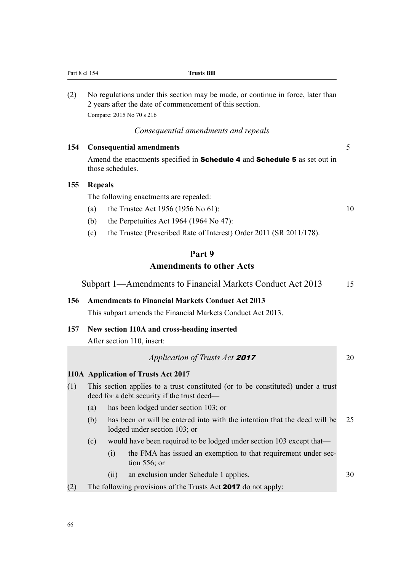| Part 8 cl 154 |                |                  | <b>Trusts Bill</b>                                                                                                                                                      |    |
|---------------|----------------|------------------|-------------------------------------------------------------------------------------------------------------------------------------------------------------------------|----|
| (2)           |                |                  | No regulations under this section may be made, or continue in force, later than<br>2 years after the date of commencement of this section.<br>Compare: 2015 No 70 s 216 |    |
|               |                |                  | Consequential amendments and repeals                                                                                                                                    |    |
| 154           |                |                  | <b>Consequential amendments</b>                                                                                                                                         | 5  |
|               |                | those schedules. | Amend the enactments specified in Schedule 4 and Schedule 5 as set out in                                                                                               |    |
| 155           | <b>Repeals</b> |                  |                                                                                                                                                                         |    |
|               |                |                  | The following enactments are repealed:                                                                                                                                  |    |
|               | (a)            |                  | the Trustee Act 1956 (1956 No 61):                                                                                                                                      | 10 |
|               | (b)            |                  | the Perpetuities Act 1964 (1964 No 47):                                                                                                                                 |    |
|               | (c)            |                  | the Trustee (Prescribed Rate of Interest) Order 2011 (SR 2011/178).                                                                                                     |    |
|               |                |                  | Part 9                                                                                                                                                                  |    |
|               |                |                  | <b>Amendments to other Acts</b>                                                                                                                                         |    |
|               |                |                  | Subpart 1—Amendments to Financial Markets Conduct Act 2013                                                                                                              | 15 |
| 156           |                |                  | <b>Amendments to Financial Markets Conduct Act 2013</b><br>This subpart amends the Financial Markets Conduct Act 2013.                                                  |    |
| 157           |                |                  | New section 110A and cross-heading inserted                                                                                                                             |    |
|               |                |                  | After section 110, insert:                                                                                                                                              |    |
|               |                |                  | Application of Trusts Act 2017                                                                                                                                          | 20 |
|               |                |                  | 110A Application of Trusts Act 2017                                                                                                                                     |    |
| (1)           |                |                  | This section applies to a trust constituted (or to be constituted) under a trust<br>deed for a debt security if the trust deed—                                         |    |
|               | (a)            |                  | has been lodged under section 103; or                                                                                                                                   |    |
|               | (b)            |                  | has been or will be entered into with the intention that the deed will be<br>lodged under section 103; or                                                               | 25 |
|               | (c)            |                  | would have been required to be lodged under section 103 except that-                                                                                                    |    |
|               |                | (i)              | the FMA has issued an exemption to that requirement under sec-<br>tion $556$ ; or                                                                                       |    |
|               |                | (ii)             | an exclusion under Schedule 1 applies.                                                                                                                                  | 30 |
| (2)           |                |                  | The following provisions of the Trusts Act 2017 do not apply:                                                                                                           |    |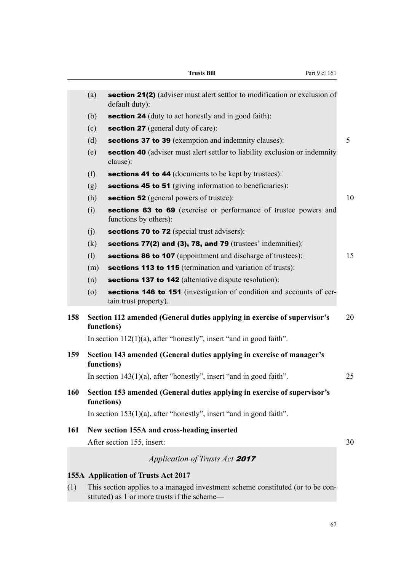|     |                                                                                     | <b>Trusts Bill</b><br>Part 9 cl 161                                                                                            |    |
|-----|-------------------------------------------------------------------------------------|--------------------------------------------------------------------------------------------------------------------------------|----|
|     | (a)                                                                                 | section 21(2) (adviser must alert settlor to modification or exclusion of<br>default duty):                                    |    |
|     | (b)                                                                                 | <b>section 24</b> (duty to act honestly and in good faith):                                                                    |    |
|     | (c)                                                                                 | <b>section 27</b> (general duty of care):                                                                                      |    |
|     | (d)                                                                                 | sections 37 to 39 (exemption and indemnity clauses):                                                                           | 5  |
|     | (e)                                                                                 | <b>section 40</b> (adviser must alert settlor to liability exclusion or indemnity<br>clause):                                  |    |
|     | (f)                                                                                 | <b>sections 41 to 44</b> (documents to be kept by trustees):                                                                   |    |
|     | (g)                                                                                 | sections 45 to 51 (giving information to beneficiaries):                                                                       |    |
|     | (h)                                                                                 | <b>section 52</b> (general powers of trustee):                                                                                 | 10 |
|     | (i)                                                                                 | sections 63 to 69 (exercise or performance of trustee powers and<br>functions by others):                                      |    |
|     | (i)                                                                                 | sections 70 to 72 (special trust advisers):                                                                                    |    |
|     | (k)                                                                                 | sections $77(2)$ and $(3)$ , 78, and 79 (trustees' indemnities):                                                               |    |
|     | (1)                                                                                 | sections 86 to 107 (appointment and discharge of trustees):                                                                    | 15 |
|     | (m)                                                                                 | sections 113 to 115 (termination and variation of trusts):                                                                     |    |
|     | (n)                                                                                 | sections 137 to 142 (alternative dispute resolution):                                                                          |    |
|     | $\left( 0\right)$                                                                   | sections 146 to 151 (investigation of condition and accounts of cer-<br>tain trust property).                                  |    |
| 158 |                                                                                     | Section 112 amended (General duties applying in exercise of supervisor's<br>functions)                                         | 20 |
|     |                                                                                     | In section $112(1)(a)$ , after "honestly", insert "and in good faith".                                                         |    |
| 159 | Section 143 amended (General duties applying in exercise of manager's<br>functions) |                                                                                                                                |    |
|     |                                                                                     | In section $143(1)(a)$ , after "honestly", insert "and in good faith".                                                         | 25 |
| 160 | functions)                                                                          | Section 153 amended (General duties applying in exercise of supervisor's                                                       |    |
|     |                                                                                     | In section $153(1)(a)$ , after "honestly", insert "and in good faith".                                                         |    |
| 161 |                                                                                     | New section 155A and cross-heading inserted                                                                                    |    |
|     |                                                                                     | After section 155, insert:                                                                                                     | 30 |
|     |                                                                                     | Application of Trusts Act 2017                                                                                                 |    |
|     |                                                                                     | 155A Application of Trusts Act 2017                                                                                            |    |
| (1) |                                                                                     | This section applies to a managed investment scheme constituted (or to be con-<br>stituted) as 1 or more trusts if the scheme- |    |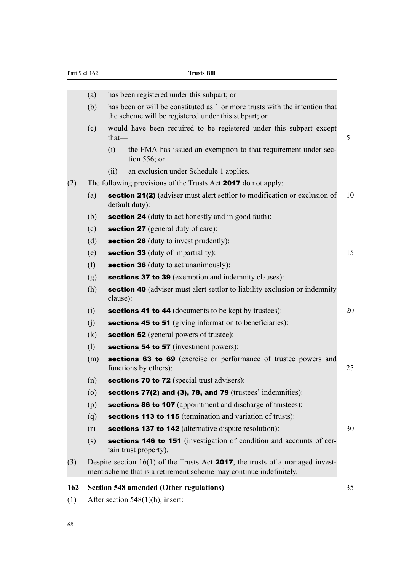| Part 9 cl 162 |                   | <b>Trusts Bill</b>                                                                                                                                            |    |
|---------------|-------------------|---------------------------------------------------------------------------------------------------------------------------------------------------------------|----|
|               |                   |                                                                                                                                                               |    |
|               | (a)               | has been registered under this subpart; or                                                                                                                    |    |
|               | (b)               | has been or will be constituted as 1 or more trusts with the intention that<br>the scheme will be registered under this subpart; or                           |    |
|               | (c)               | would have been required to be registered under this subpart except<br>that-                                                                                  | 5  |
|               |                   | the FMA has issued an exemption to that requirement under sec-<br>(i)<br>tion $556$ ; or                                                                      |    |
|               |                   | an exclusion under Schedule 1 applies.<br>(ii)                                                                                                                |    |
| (2)           |                   | The following provisions of the Trusts Act 2017 do not apply:                                                                                                 |    |
|               | (a)               | section 21(2) (adviser must alert settlor to modification or exclusion of<br>default duty):                                                                   | 10 |
|               | (b)               | <b>section 24</b> (duty to act honestly and in good faith):                                                                                                   |    |
|               | (c)               | <b>section 27</b> (general duty of care):                                                                                                                     |    |
|               | (d)               | <b>section 28</b> (duty to invest prudently):                                                                                                                 |    |
|               | (e)               | section 33 (duty of impartiality):                                                                                                                            | 15 |
|               | (f)               | section 36 (duty to act unanimously):                                                                                                                         |    |
|               | (g)               | sections 37 to 39 (exemption and indemnity clauses):                                                                                                          |    |
|               | (h)               | <b>section 40</b> (adviser must alert settlor to liability exclusion or indemnity<br>clause):                                                                 |    |
|               | (i)               | sections 41 to 44 (documents to be kept by trustees):                                                                                                         | 20 |
|               | (j)               | sections 45 to 51 (giving information to beneficiaries):                                                                                                      |    |
|               | (k)               | <b>section 52</b> (general powers of trustee):                                                                                                                |    |
|               | (1)               | sections 54 to 57 (investment powers):                                                                                                                        |    |
|               | (m)               | sections 63 to 69 (exercise or performance of trustee powers and<br>functions by others):                                                                     | 25 |
|               | (n)               | <b>sections 70 to 72</b> (special trust advisers):                                                                                                            |    |
|               | $\left( 0\right)$ | sections $77(2)$ and $(3)$ , 78, and 79 (trustees' indemnities):                                                                                              |    |
|               | (p)               | sections 86 to 107 (appointment and discharge of trustees):                                                                                                   |    |
|               | (q)               | sections 113 to 115 (termination and variation of trusts):                                                                                                    |    |
|               | (r)               | sections 137 to 142 (alternative dispute resolution):                                                                                                         | 30 |
|               | (s)               | sections 146 to 151 (investigation of condition and accounts of cer-<br>tain trust property).                                                                 |    |
| (3)           |                   | Despite section $16(1)$ of the Trusts Act <b>2017</b> , the trusts of a managed invest-<br>ment scheme that is a retirement scheme may continue indefinitely. |    |
| 162           |                   | <b>Section 548 amended (Other regulations)</b>                                                                                                                | 35 |

(1) After section 548(1)(h), insert: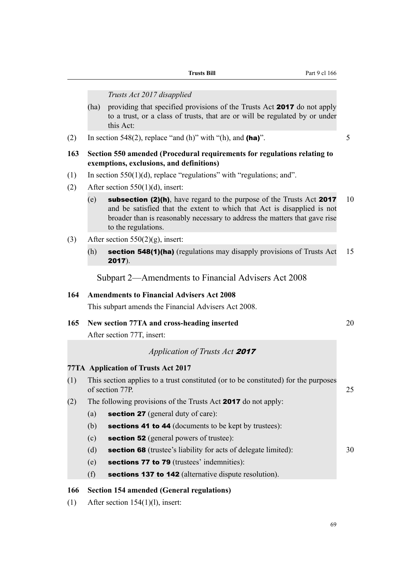|     |      | Trusts Act 2017 disapplied                                                                                                                                                                                                                                   |    |
|-----|------|--------------------------------------------------------------------------------------------------------------------------------------------------------------------------------------------------------------------------------------------------------------|----|
|     | (ha) | providing that specified provisions of the Trusts Act 2017 do not apply<br>to a trust, or a class of trusts, that are or will be regulated by or under<br>this Act:                                                                                          |    |
| (2) |      | In section 548(2), replace "and (h)" with "(h), and (ha)".                                                                                                                                                                                                   | 5  |
| 163 |      | Section 550 amended (Procedural requirements for regulations relating to<br>exemptions, exclusions, and definitions)                                                                                                                                         |    |
| (1) |      | In section $550(1)(d)$ , replace "regulations" with "regulations; and".                                                                                                                                                                                      |    |
| (2) |      | After section $550(1)(d)$ , insert:                                                                                                                                                                                                                          |    |
|     | (e)  | <b>subsection (2)(h)</b> , have regard to the purpose of the Trusts Act 2017<br>and be satisfied that the extent to which that Act is disapplied is not<br>broader than is reasonably necessary to address the matters that gave rise<br>to the regulations. | 10 |
| (3) |      | After section $550(2)(g)$ , insert:                                                                                                                                                                                                                          |    |
|     | (h)  | section 548(1)(ha) (regulations may disapply provisions of Trusts Act<br>$2017$ ).                                                                                                                                                                           | 15 |
|     |      | Subpart 2-Amendments to Financial Advisers Act 2008                                                                                                                                                                                                          |    |
| 164 |      | <b>Amendments to Financial Advisers Act 2008</b>                                                                                                                                                                                                             |    |
|     |      | This subpart amends the Financial Advisers Act 2008.                                                                                                                                                                                                         |    |
| 165 |      | New section 77TA and cross-heading inserted<br>After section 77T, insert:                                                                                                                                                                                    | 20 |
|     |      | Application of Trusts Act 2017                                                                                                                                                                                                                               |    |
|     |      | <b>77TA</b> Application of Trusts Act 2017                                                                                                                                                                                                                   |    |
| (1) |      | This section applies to a trust constituted (or to be constituted) for the purposes<br>of section 77P.                                                                                                                                                       | 25 |
| (2) |      | The following provisions of the Trusts Act 2017 do not apply:                                                                                                                                                                                                |    |
|     | (a)  | section 27 (general duty of care):                                                                                                                                                                                                                           |    |
|     | (b)  | sections 41 to 44 (documents to be kept by trustees):                                                                                                                                                                                                        |    |
|     | (c)  | section 52 (general powers of trustee):                                                                                                                                                                                                                      |    |
|     | (d)  | <b>section 68</b> (trustee's liability for acts of delegate limited):                                                                                                                                                                                        | 30 |
|     | (e)  | sections 77 to 79 (trustees' indemnities):                                                                                                                                                                                                                   |    |
|     | (f)  | sections 137 to 142 (alternative dispute resolution).                                                                                                                                                                                                        |    |
| 166 |      | <b>Section 154 amended (General regulations)</b>                                                                                                                                                                                                             |    |

**Trusts Bill** Part 9 cl 166

(1) After section 154(1)(l), insert: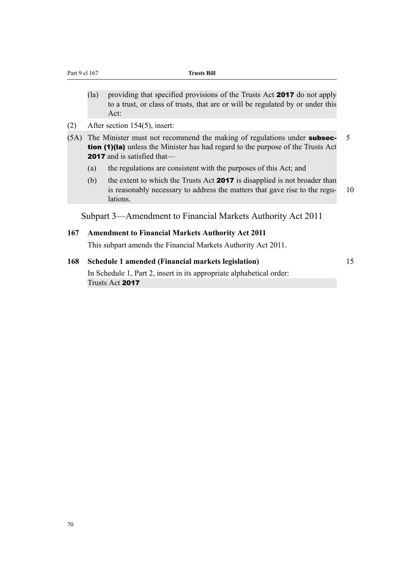- (la) providing that specified provisions of the Trusts Act 2017 do not apply to a trust, or class of trusts, that are or will be regulated by or under this Act:
- (2) After section 154(5), insert:

| (5A) The Minister must not recommend the making of regulations under <b>subsec-</b>     | - 5 |
|-----------------------------------------------------------------------------------------|-----|
| <b>tion (1)(la)</b> unless the Minister has had regard to the purpose of the Trusts Act |     |
| <b>2017</b> and is satisfied that—                                                      |     |

- (a) the regulations are consistent with the purposes of this Act; and
- (b) the extent to which the Trusts Act 2017 is disapplied is not broader than is reasonably necessary to address the matters that gave rise to the regu- 10 lations.

Subpart 3—Amendment to Financial Markets Authority Act 2011

#### **167 Amendment to Financial Markets Authority Act 2011**

This subpart amends the Financial Markets Authority Act 2011.

### **168 Schedule 1 amended (Financial markets legislation)** 15

In Schedule 1, Part 2, insert in its appropriate alphabetical order: Trusts Act 2017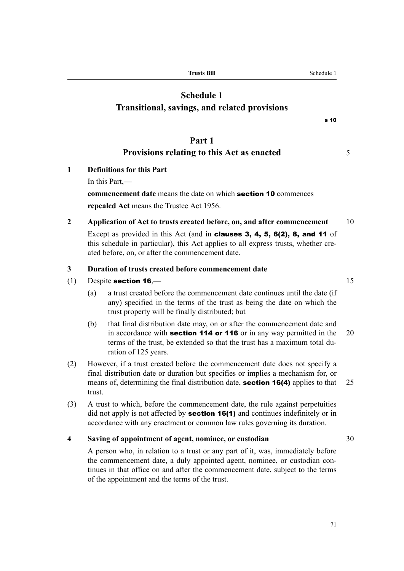**Trusts Bill** Schedule 1

# **Schedule 1**

# **Transitional, savings, and related provisions**

## **Part 1**

# **Provisions relating to this Act as enacted** 5

- **1 Definitions for this Part**
	- In this Part,—

# **commencement date** means the date on which section 10 commences **repealed Act** means the Trustee Act 1956.

**2 Application of Act to trusts created before, on, and after commencement** 10 Except as provided in this Act (and in clauses 3, 4, 5, 6(2), 8, and 11 of this schedule in particular), this Act applies to all express trusts, whether created before, on, or after the commencement date.

### **3 Duration of trusts created before commencement date**

- (1) Despite section  $16 \rightarrow 15$ 
	- (a) a trust created before the commencement date continues until the date (if any) specified in the terms of the trust as being the date on which the trust property will be finally distributed; but
	- (b) that final distribution date may, on or after the commencement date and in accordance with **section 114 or 116** or in any way permitted in the  $20$ terms of the trust, be extended so that the trust has a maximum total duration of 125 years.
- (2) However, if a trust created before the commencement date does not specify a final distribution date or duration but specifies or implies a mechanism for, or means of, determining the final distribution date, **section 16(4)** applies to that 25 trust.
- (3) A trust to which, before the commencement date, the rule against perpetuities did not apply is not affected by **section 16(1)** and continues indefinitely or in accordance with any enactment or common law rules governing its duration.

### **4 Saving of appointment of agent, nominee, or custodian** 30

A person who, in relation to a trust or any part of it, was, immediately before the commencement date, a duly appointed agent, nominee, or custodian continues in that office on and after the commencement date, subject to the terms of the appointment and the terms of the trust.

s 10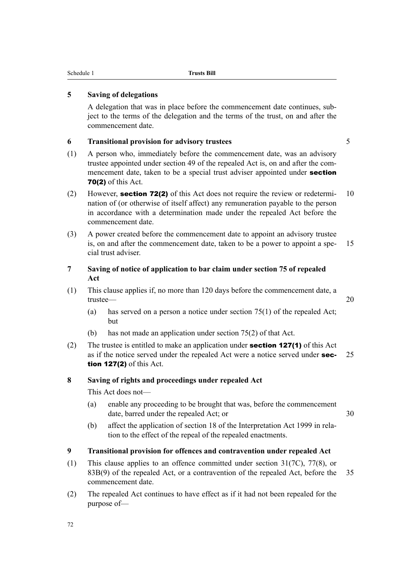### **5 Saving of delegations**

A delegation that was in place before the commencement date continues, subject to the terms of the delegation and the terms of the trust, on and after the commencement date.

#### **6 Transitional provision for advisory trustees** 5

(1) A person who, immediately before the commencement date, was an advisory trustee appointed under section 49 of the repealed Act is, on and after the commencement date, taken to be a special trust adviser appointed under **section** 70(2) of this Act.

- (2) However, **section 72(2)** of this Act does not require the review or redetermi- 10 nation of (or otherwise of itself affect) any remuneration payable to the person in accordance with a determination made under the repealed Act before the commencement date.
- (3) A power created before the commencement date to appoint an advisory trustee is, on and after the commencement date, taken to be a power to appoint a spe- 15 cial trust adviser.
- **7 Saving of notice of application to bar claim under section 75 of repealed Act**
- (1) This clause applies if, no more than 120 days before the commencement date, a trustee— 20
	- (a) has served on a person a notice under section 75(1) of the repealed Act; but
	- (b) has not made an application under section 75(2) of that Act.
- (2) The trustee is entitled to make an application under **section 127(1)** of this Act as if the notice served under the repealed Act were a notice served under  $\sec - 25$ tion 127(2) of this Act.

### **8 Saving of rights and proceedings under repealed Act**

This Act does not—

(a) enable any proceeding to be brought that was, before the commencement date, barred under the repealed Act; or 30

(b) affect the application of section 18 of the Interpretation Act 1999 in relation to the effect of the repeal of the repealed enactments.

### **9 Transitional provision for offences and contravention under repealed Act**

- (1) This clause applies to an offence committed under section 31(7C), 77(8), or 83B(9) of the repealed Act, or a contravention of the repealed Act, before the 35 commencement date.
- (2) The repealed Act continues to have effect as if it had not been repealed for the purpose of—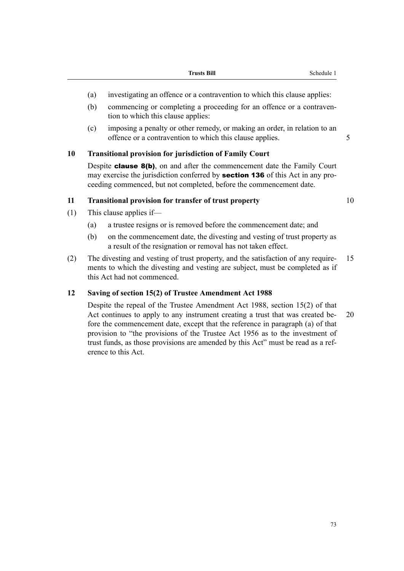- (a) investigating an offence or a contravention to which this clause applies:
- (b) commencing or completing a proceeding for an offence or a contravention to which this clause applies:
- (c) imposing a penalty or other remedy, or making an order, in relation to an offence or a contravention to which this clause applies. 5

### **10 Transitional provision for jurisdiction of Family Court**

Despite **clause 8(b)**, on and after the commencement date the Family Court may exercise the jurisdiction conferred by **section 136** of this Act in any proceeding commenced, but not completed, before the commencement date.

### **11 Transitional provision for transfer of trust property** 10

- (1) This clause applies if—
	- (a) a trustee resigns or is removed before the commencement date; and
	- (b) on the commencement date, the divesting and vesting of trust property as a result of the resignation or removal has not taken effect.
- (2) The divesting and vesting of trust property, and the satisfaction of any require- 15 ments to which the divesting and vesting are subject, must be completed as if this Act had not commenced.

### **12 Saving of section 15(2) of Trustee Amendment Act 1988**

Despite the repeal of the Trustee Amendment Act 1988, section 15(2) of that Act continues to apply to any instrument creating a trust that was created be- 20 fore the commencement date, except that the reference in paragraph (a) of that provision to "the provisions of the Trustee Act 1956 as to the investment of trust funds, as those provisions are amended by this Act" must be read as a reference to this Act.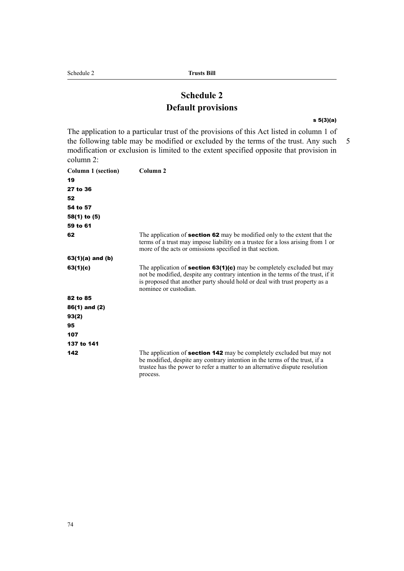# **Schedule 2 Default provisions**

#### s 5(3)(a)

The application to a particular trust of the provisions of this Act listed in column 1 of the following table may be modified or excluded by the terms of the trust. Any such 5 modification or exclusion is limited to the extent specified opposite that provision in column 2:

| <b>Column 1 (section)</b> | Column <sub>2</sub>                                                                                                                                                                                                                                                       |
|---------------------------|---------------------------------------------------------------------------------------------------------------------------------------------------------------------------------------------------------------------------------------------------------------------------|
| 19                        |                                                                                                                                                                                                                                                                           |
| 27 to 36                  |                                                                                                                                                                                                                                                                           |
| 52                        |                                                                                                                                                                                                                                                                           |
| 54 to 57                  |                                                                                                                                                                                                                                                                           |
| $58(1)$ to $(5)$          |                                                                                                                                                                                                                                                                           |
| 59 to 61                  |                                                                                                                                                                                                                                                                           |
| 62                        | The application of <b>section 62</b> may be modified only to the extent that the<br>terms of a trust may impose liability on a trustee for a loss arising from 1 or<br>more of the acts or omissions specified in that section.                                           |
| $63(1)(a)$ and $(b)$      |                                                                                                                                                                                                                                                                           |
| 63(1)(c)                  | The application of <b>section 63(1)(c)</b> may be completely excluded but may<br>not be modified, despite any contrary intention in the terms of the trust, if it<br>is proposed that another party should hold or deal with trust property as a<br>nominee or custodian. |
| 82 to 85                  |                                                                                                                                                                                                                                                                           |
| $86(1)$ and $(2)$         |                                                                                                                                                                                                                                                                           |
| 93(2)                     |                                                                                                                                                                                                                                                                           |
| 95                        |                                                                                                                                                                                                                                                                           |
| 107                       |                                                                                                                                                                                                                                                                           |
| 137 to 141                |                                                                                                                                                                                                                                                                           |
| 142                       | The application of <b>section 142</b> may be completely excluded but may not<br>be modified, despite any contrary intention in the terms of the trust, if a<br>trustee has the power to refer a matter to an alternative dispute resolution<br>process.                   |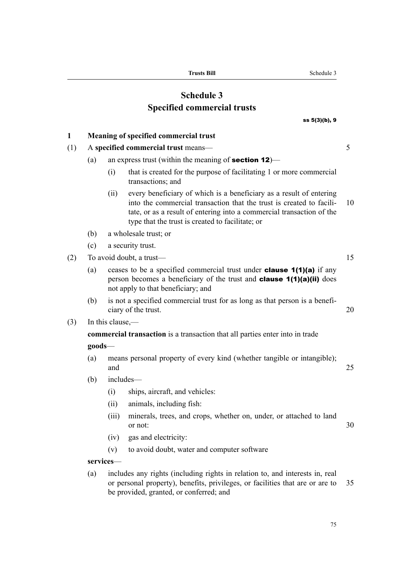**Trusts Bill** Schedule 3

# **Schedule 3 Specified commercial trusts**

# ss 5(3)(b), 9 **1 Meaning of specified commercial trust** (1) A **specified commercial trust** means— 5 (a) an express trust (within the meaning of **section 12**)— (i) that is created for the purpose of facilitating 1 or more commercial transactions; and (ii) every beneficiary of which is a beneficiary as a result of entering into the commercial transaction that the trust is created to facili- 10 tate, or as a result of entering into a commercial transaction of the type that the trust is created to facilitate; or (b) a wholesale trust; or (c) a security trust. (2) To avoid doubt, a trust— 15 (a) ceases to be a specified commercial trust under **clause 1(1)(a)** if any person becomes a beneficiary of the trust and clause 1(1)(a)(ii) does not apply to that beneficiary; and (b) is not a specified commercial trust for as long as that person is a beneficiary of the trust. 20 (3) In this clause, **commercial transaction** is a transaction that all parties enter into in trade **goods**— (a) means personal property of every kind (whether tangible or intangible); and 25 (b) includes— (i) ships, aircraft, and vehicles: (ii) animals, including fish: (iii) minerals, trees, and crops, whether on, under, or attached to land or not: 30 (iv) gas and electricity: (v) to avoid doubt, water and computer software **services**— (a) includes any rights (including rights in relation to, and interests in, real or personal property), benefits, privileges, or facilities that are or are to 35 be provided, granted, or conferred; and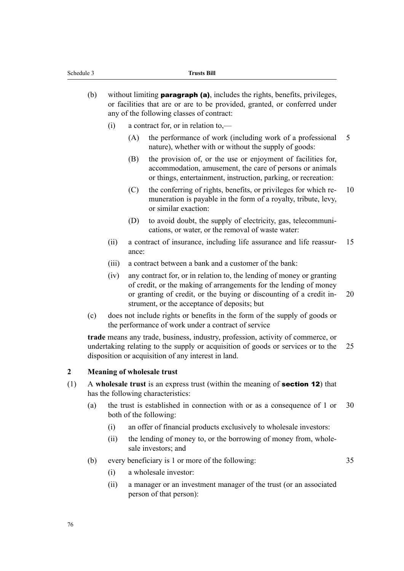| (b) | without limiting <b>paragraph (a)</b> , includes the rights, benefits, privileges, |
|-----|------------------------------------------------------------------------------------|
|     | or facilities that are or are to be provided, granted, or conferred under          |
|     | any of the following classes of contract:                                          |

- (i) a contract for, or in relation to,—
	- (A) the performance of work (including work of a professional 5 nature), whether with or without the supply of goods:
	- (B) the provision of, or the use or enjoyment of facilities for, accommodation, amusement, the care of persons or animals or things, entertainment, instruction, parking, or recreation:
	- (C) the conferring of rights, benefits, or privileges for which re- 10 muneration is payable in the form of a royalty, tribute, levy, or similar exaction:
	- (D) to avoid doubt, the supply of electricity, gas, telecommunications, or water, or the removal of waste water:
- (ii) a contract of insurance, including life assurance and life reassur- 15 ance:
- (iii) a contract between a bank and a customer of the bank:
- (iv) any contract for, or in relation to, the lending of money or granting of credit, or the making of arrangements for the lending of money or granting of credit, or the buying or discounting of a credit in- 20 strument, or the acceptance of deposits; but
- (c) does not include rights or benefits in the form of the supply of goods or the performance of work under a contract of service

**trade** means any trade, business, industry, profession, activity of commerce, or undertaking relating to the supply or acquisition of goods or services or to the 25 disposition or acquisition of any interest in land.

#### **2 Meaning of wholesale trust**

- (1) A **wholesale trust** is an express trust (within the meaning of section 12) that has the following characteristics:
	- (a) the trust is established in connection with or as a consequence of 1 or 30 both of the following:
		- (i) an offer of financial products exclusively to wholesale investors:
		- (ii) the lending of money to, or the borrowing of money from, wholesale investors; and
	- (b) every beneficiary is 1 or more of the following: 35
		-

- (i) a wholesale investor:
- (ii) a manager or an investment manager of the trust (or an associated person of that person):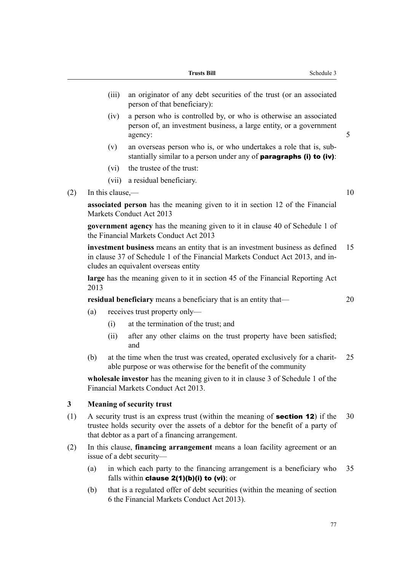|       | <b>Trusts Bill</b><br>Schedule 3                                                                                                                  |  |
|-------|---------------------------------------------------------------------------------------------------------------------------------------------------|--|
| (111) | an originator of any debt securities of the trust (or an associated<br>person of that beneficiary):                                               |  |
| (1V)  | a person who is controlled by, or who is otherwise an associated<br>person of, an investment business, a large entity, or a government<br>agency: |  |
| (v)   | an overseas person who is, or who undertakes a role that is, sub-<br>stantially similar to a person under any of <b>paragraphs (i) to (iv)</b> :  |  |

- (vi) the trustee of the trust:
- (vii) a residual beneficiary.
- (2) In this clause,  $\frac{10}{2}$

**associated person** has the meaning given to it in section 12 of the Financial Markets Conduct Act 2013

**government agency** has the meaning given to it in clause 40 of Schedule 1 of the Financial Markets Conduct Act 2013

**investment business** means an entity that is an investment business as defined 15 in clause 37 of Schedule 1 of the Financial Markets Conduct Act 2013, and includes an equivalent overseas entity

**large** has the meaning given to it in section 45 of the Financial Reporting Act 2013

**residual beneficiary** means a beneficiary that is an entity that— 20

- (a) receives trust property only—
	- (i) at the termination of the trust; and
	- (ii) after any other claims on the trust property have been satisfied; and
- (b) at the time when the trust was created, operated exclusively for a charit- 25 able purpose or was otherwise for the benefit of the community

**wholesale investor** has the meaning given to it in clause 3 of Schedule 1 of the Financial Markets Conduct Act 2013.

### **3 Meaning of security trust**

- (1) A security trust is an express trust (within the meaning of **section 12**) if the  $30$ trustee holds security over the assets of a debtor for the benefit of a party of that debtor as a part of a financing arrangement.
- (2) In this clause, **financing arrangement** means a loan facility agreement or an issue of a debt security—
	- (a) in which each party to the financing arrangement is a beneficiary who 35 falls within clause 2(1)(b)(i) to (vi); or
	- (b) that is a regulated offer of debt securities (within the meaning of section 6 the Financial Markets Conduct Act 2013).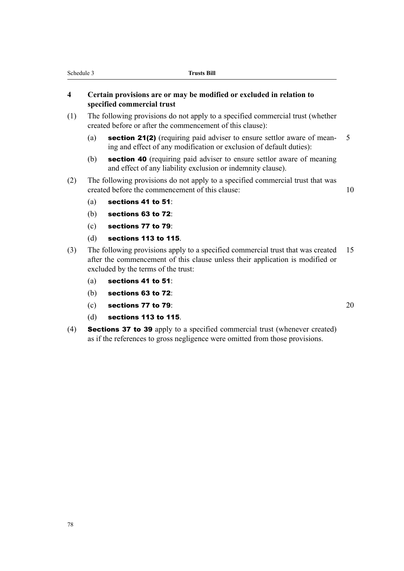### **4 Certain provisions are or may be modified or excluded in relation to specified commercial trust**

- (1) The following provisions do not apply to a specified commercial trust (whether created before or after the commencement of this clause):
	- (a) section 21(2) (requiring paid adviser to ensure settlor aware of mean- 5 ing and effect of any modification or exclusion of default duties):
	- (b) section 40 (requiring paid adviser to ensure settlor aware of meaning and effect of any liability exclusion or indemnity clause).
- (2) The following provisions do not apply to a specified commercial trust that was created before the commencement of this clause: 10
	- (a) sections 41 to 51:
	- (b) sections 63 to 72:
	- (c) sections 77 to 79:
	- (d) sections 113 to 115.
- (3) The following provisions apply to a specified commercial trust that was created 15 after the commencement of this clause unless their application is modified or excluded by the terms of the trust:
	- (a) sections 41 to 51:
	- (b) sections 63 to 72:
	- (c) sections  $77$  to  $79$ :  $20$
	- (d) sections 113 to 115.
- (4) Sections 37 to 39 apply to a specified commercial trust (whenever created) as if the references to gross negligence were omitted from those provisions.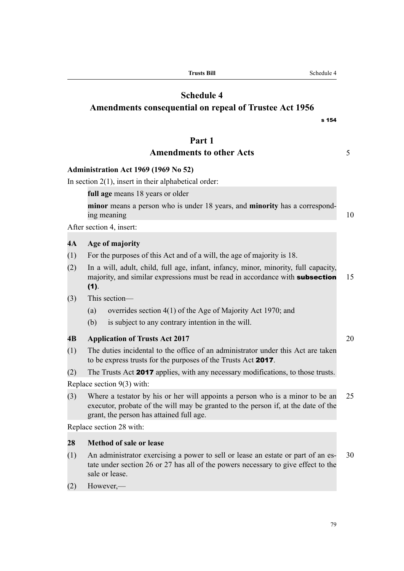|     | <b>Schedule 4</b><br><b>Amendments consequential on repeal of Trustee Act 1956</b><br>s 154                                                                                                                    |    |
|-----|----------------------------------------------------------------------------------------------------------------------------------------------------------------------------------------------------------------|----|
|     | Part 1                                                                                                                                                                                                         |    |
|     | <b>Amendments to other Acts</b>                                                                                                                                                                                | 5  |
|     | <b>Administration Act 1969 (1969 No 52)</b>                                                                                                                                                                    |    |
|     | In section $2(1)$ , insert in their alphabetical order:                                                                                                                                                        |    |
|     | full age means 18 years or older                                                                                                                                                                               |    |
|     | minor means a person who is under 18 years, and minority has a correspond-<br>ing meaning                                                                                                                      | 10 |
|     | After section 4, insert:                                                                                                                                                                                       |    |
| 4A  | Age of majority                                                                                                                                                                                                |    |
| (1) | For the purposes of this Act and of a will, the age of majority is 18.                                                                                                                                         |    |
| (2) | In a will, adult, child, full age, infant, infancy, minor, minority, full capacity,<br>majority, and similar expressions must be read in accordance with subsection<br>(1).                                    | 15 |
| (3) | This section-                                                                                                                                                                                                  |    |
|     | overrides section 4(1) of the Age of Majority Act 1970; and<br>(a)                                                                                                                                             |    |
|     | is subject to any contrary intention in the will.<br>(b)                                                                                                                                                       |    |
| 4B  | <b>Application of Trusts Act 2017</b>                                                                                                                                                                          | 20 |
| (1) | The duties incidental to the office of an administrator under this Act are taken<br>to be express trusts for the purposes of the Trusts Act 2017.                                                              |    |
| (2) | The Trusts Act 2017 applies, with any necessary modifications, to those trusts.                                                                                                                                |    |
|     | Replace section 9(3) with:                                                                                                                                                                                     |    |
| (3) | Where a testator by his or her will appoints a person who is a minor to be an<br>executor, probate of the will may be granted to the person if, at the date of the<br>grant, the person has attained full age. | 25 |
|     | Replace section 28 with:                                                                                                                                                                                       |    |
| 28  | <b>Method of sale or lease</b>                                                                                                                                                                                 |    |
| (1) | An administrator exercising a power to sell or lease an estate or part of an es-<br>tate under section 26 or 27 has all of the powers necessary to give effect to the<br>sale or lease.                        | 30 |
|     |                                                                                                                                                                                                                |    |

**Trusts Bill** Schedule 4

(2) However,—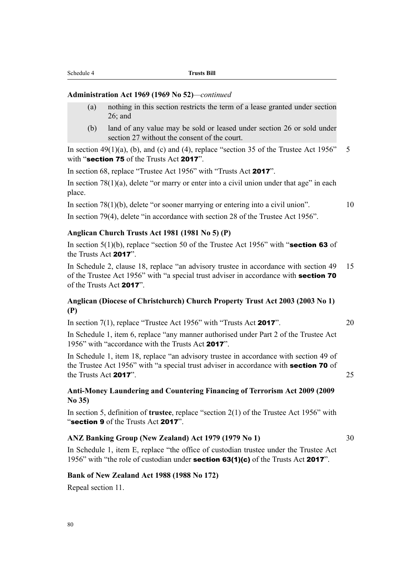#### **Administration Act 1969 (1969 No 52)***—continued*

- (a) nothing in this section restricts the term of a lease granted under section  $26$ ; and
- (b) land of any value may be sold or leased under section 26 or sold under section 27 without the consent of the court.

In section 49(1)(a), (b), and (c) and (4), replace "section 35 of the Trustee Act 1956"  $\overline{5}$ with "section 75 of the Trusts Act 2017".

In section 68, replace "Trustee Act 1956" with "Trusts Act 2017".

In section  $78(1)(a)$ , delete "or marry or enter into a civil union under that age" in each place.

In section 78(1)(b), delete "or sooner marrying or entering into a civil union".  $10$ 

In section 79(4), delete "in accordance with section 28 of the Trustee Act 1956".

#### **Anglican Church Trusts Act 1981 (1981 No 5) (P)**

In section  $5(1)(b)$ , replace "section 50 of the Trustee Act 1956" with "section 63 of the Trusts Act 2017".

In Schedule 2, clause 18, replace "an advisory trustee in accordance with section 49 15 of the Trustee Act 1956" with "a special trust adviser in accordance with **section 70** of the Trusts Act 2017".

### **Anglican (Diocese of Christchurch) Church Property Trust Act 2003 (2003 No 1) (P)**

In section  $7(1)$ , replace "Trustee Act 1956" with "Trusts Act **2017**".  $20$ 

In Schedule 1, item 6, replace "any manner authorised under Part 2 of the Trustee Act 1956" with "accordance with the Trusts Act 2017".

In Schedule 1, item 18, replace "an advisory trustee in accordance with section 49 of the Trustee Act 1956" with "a special trust adviser in accordance with **section 70** of the Trusts Act 2017". 25

### **Anti-Money Laundering and Countering Financing of Terrorism Act 2009 (2009 No 35)**

In section 5, definition of **trustee**, replace "section 2(1) of the Trustee Act 1956" with "section 9 of the Trusts Act 2017".

#### **ANZ Banking Group (New Zealand) Act 1979 (1979 No 1)** 30

In Schedule 1, item E, replace "the office of custodian trustee under the Trustee Act 1956" with "the role of custodian under section 63(1)(c) of the Trusts Act 2017".

#### **Bank of New Zealand Act 1988 (1988 No 172)**

Repeal section 11.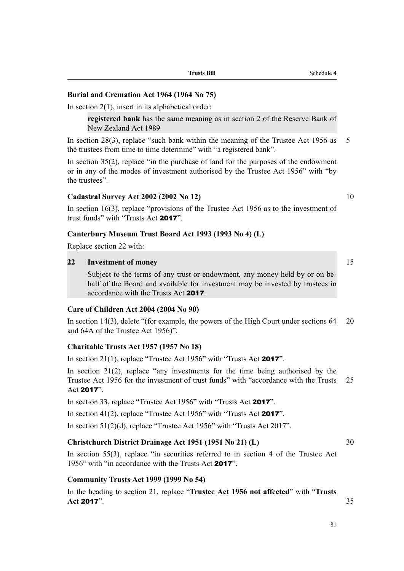### **Burial and Cremation Act 1964 (1964 No 75)**

In section  $2(1)$ , insert in its alphabetical order:

**registered bank** has the same meaning as in section 2 of the Reserve Bank of New Zealand Act 1989

In section 28(3), replace "such bank within the meaning of the Trustee Act 1956 as 5 the trustees from time to time determine" with "a registered bank".

In section 35(2), replace "in the purchase of land for the purposes of the endowment or in any of the modes of investment authorised by the Trustee Act 1956" with "by the trustees".

#### **Cadastral Survey Act 2002 (2002 No 12)** 10

In section 16(3), replace "provisions of the Trustee Act 1956 as to the investment of trust funds" with "Trusts Act 2017".

### **Canterbury Museum Trust Board Act 1993 (1993 No 4) (L)**

Replace section 22 with:

### **22 Investment of money** 15

Subject to the terms of any trust or endowment, any money held by or on behalf of the Board and available for investment may be invested by trustees in accordance with the Trusts Act 2017.

### **Care of Children Act 2004 (2004 No 90)**

In section 14(3), delete "(for example, the powers of the High Court under sections 64 20 and 64A of the Trustee Act 1956)".

### **Charitable Trusts Act 1957 (1957 No 18)**

In section 21(1), replace "Trustee Act 1956" with "Trusts Act 2017".

In section  $21(2)$ , replace "any investments for the time being authorised by the Trustee Act 1956 for the investment of trust funds" with "accordance with the Trusts 25 Act 2017".

In section 33, replace "Trustee Act 1956" with "Trusts Act 2017".

In section 41(2), replace "Trustee Act 1956" with "Trusts Act 2017".

In section 51(2)(d), replace "Trustee Act 1956" with "Trusts Act 2017".

#### **Christchurch District Drainage Act 1951 (1951 No 21) (L)** 30

In section 55(3), replace "in securities referred to in section 4 of the Trustee Act 1956" with "in accordance with the Trusts Act 2017".

### **Community Trusts Act 1999 (1999 No 54)**

In the heading to section 21, replace "**Trustee Act 1956 not affected**" with "**Trusts Act** 2017". 35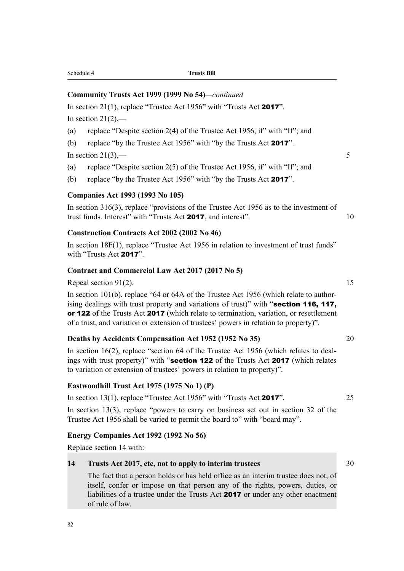82

#### Schedule 4 **Trusts Bill**

### **Community Trusts Act 1999 (1999 No 54)***—continued*

In section 21(1), replace "Trustee Act 1956" with "Trusts Act 2017".

In section  $21(2)$ ,—

- (a) replace "Despite section 2(4) of the Trustee Act 1956, if" with "If"; and
- (b) replace "by the Trustee Act 1956" with "by the Trusts Act 2017".

In section  $21(3)$ ,  $-$ 

- (a) replace "Despite section 2(5) of the Trustee Act 1956, if" with "If"; and
- (b) replace "by the Trustee Act 1956" with "by the Trusts Act 2017".

#### **Companies Act 1993 (1993 No 105)**

In section 316(3), replace "provisions of the Trustee Act 1956 as to the investment of trust funds. Interest" with "Trusts Act 2017, and interest". 10

#### **Construction Contracts Act 2002 (2002 No 46)**

In section 18F(1), replace "Trustee Act 1956 in relation to investment of trust funds" with "Trusts Act 2017".

#### **Contract and Commercial Law Act 2017 (2017 No 5)**

Repeal section  $91(2)$ . 15

In section 101(b), replace "64 or 64A of the Trustee Act 1956 (which relate to authorising dealings with trust property and variations of trust)" with "section 116, 117, or 122 of the Trusts Act 2017 (which relate to termination, variation, or resettlement of a trust, and variation or extension of trustees' powers in relation to property)".

#### **Deaths by Accidents Compensation Act 1952 (1952 No 35)** 20

In section 16(2), replace "section 64 of the Trustee Act 1956 (which relates to dealings with trust property)" with "**section 122** of the Trusts Act **2017** (which relates to variation or extension of trustees' powers in relation to property)".

#### **Eastwoodhill Trust Act 1975 (1975 No 1) (P)**

In section  $13(1)$ , replace "Trustee Act  $1956$ " with "Trusts Act **2017**". 25

In section 13(3), replace "powers to carry on business set out in section 32 of the Trustee Act 1956 shall be varied to permit the board to" with "board may".

### **Energy Companies Act 1992 (1992 No 56)**

Replace section 14 with:

### **14 Trusts Act 2017, etc, not to apply to interim trustees** 30

The fact that a person holds or has held office as an interim trustee does not, of itself, confer or impose on that person any of the rights, powers, duties, or liabilities of a trustee under the Trusts Act 2017 or under any other enactment of rule of law.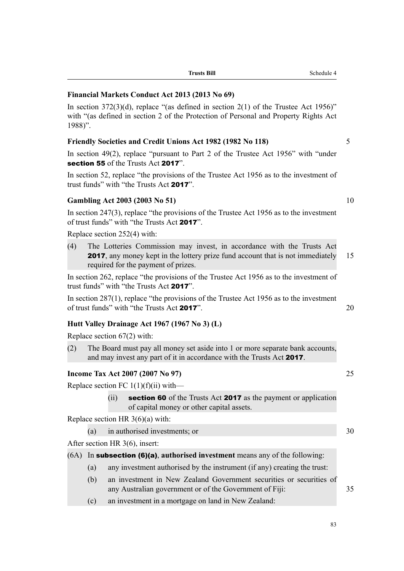|           |     | Financial Markets Conduct Act 2013 (2013 No 69)                                                                                                                                                         |    |
|-----------|-----|---------------------------------------------------------------------------------------------------------------------------------------------------------------------------------------------------------|----|
| $1988$ ". |     | In section $372(3)(d)$ , replace "(as defined in section 2(1) of the Trustee Act 1956)"<br>with "(as defined in section 2 of the Protection of Personal and Property Rights Act                         |    |
|           |     | <b>Friendly Societies and Credit Unions Act 1982 (1982 No 118)</b>                                                                                                                                      | 5  |
|           |     | In section 49(2), replace "pursuant to Part 2 of the Trustee Act 1956" with "under<br>section 55 of the Trusts Act 2017".                                                                               |    |
|           |     | In section 52, replace "the provisions of the Trustee Act 1956 as to the investment of<br>trust funds" with "the Trusts Act 2017".                                                                      |    |
|           |     | <b>Gambling Act 2003 (2003 No 51)</b>                                                                                                                                                                   | 10 |
|           |     | In section $247(3)$ , replace "the provisions of the Trustee Act 1956 as to the investment<br>of trust funds" with "the Trusts Act 2017".                                                               |    |
|           |     | Replace section 252(4) with:                                                                                                                                                                            |    |
| (4)       |     | The Lotteries Commission may invest, in accordance with the Trusts Act<br><b>2017</b> , any money kept in the lottery prize fund account that is not immediately<br>required for the payment of prizes. | 15 |
|           |     | In section 262, replace "the provisions of the Trustee Act 1956 as to the investment of<br>trust funds" with "the Trusts Act 2017".                                                                     |    |
|           |     | In section $287(1)$ , replace "the provisions of the Trustee Act 1956 as to the investment<br>of trust funds" with "the Trusts Act 2017".                                                               | 20 |
|           |     | Hutt Valley Drainage Act 1967 (1967 No 3) (L)                                                                                                                                                           |    |
|           |     | Replace section $67(2)$ with:                                                                                                                                                                           |    |
| (2)       |     | The Board must pay all money set aside into 1 or more separate bank accounts,<br>and may invest any part of it in accordance with the Trusts Act 2017.                                                  |    |
|           |     | Income Tax Act 2007 (2007 No 97)                                                                                                                                                                        | 25 |
|           |     | Replace section FC $1(1)(f)(ii)$ with—                                                                                                                                                                  |    |
|           |     | <b>section 60</b> of the Trusts Act <b>2017</b> as the payment or application<br>(ii)<br>of capital money or other capital assets.                                                                      |    |
|           |     | Replace section HR $3(6)(a)$ with:                                                                                                                                                                      |    |
|           | (a) | in authorised investments; or                                                                                                                                                                           | 30 |
|           |     | After section HR $3(6)$ , insert:                                                                                                                                                                       |    |
| (6A)      |     | In subsection (6)(a), authorised investment means any of the following:                                                                                                                                 |    |
|           | (a) | any investment authorised by the instrument (if any) creating the trust:                                                                                                                                |    |
|           | (h) | an investment in New Zealand Government securities or securities of                                                                                                                                     |    |

- (b) an investment in New Zealand Government securities or securities of any Australian government or of the Government of Fiji: 35
- (c) an investment in a mortgage on land in New Zealand:

**Trusts Bill** Schedule 4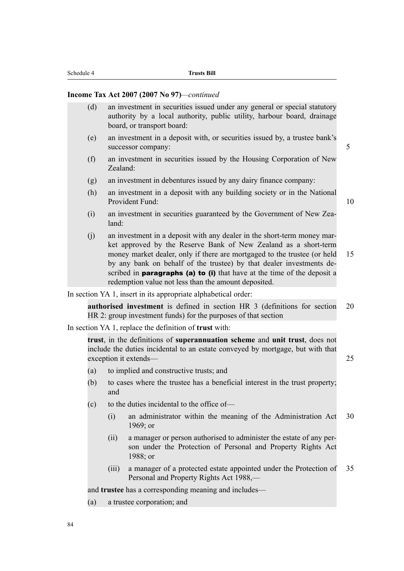#### **Income Tax Act 2007 (2007 No 97)***—continued*

| (d) | an investment in securities issued under any general or special statutory<br>authority by a local authority, public utility, harbour board, drainage<br>board, or transport board:                                                                                                                                                                                                                                                       |    |
|-----|------------------------------------------------------------------------------------------------------------------------------------------------------------------------------------------------------------------------------------------------------------------------------------------------------------------------------------------------------------------------------------------------------------------------------------------|----|
| (e) | an investment in a deposit with, or securities issued by, a trustee bank's<br>successor company:                                                                                                                                                                                                                                                                                                                                         | 5  |
| (f) | an investment in securities issued by the Housing Corporation of New<br>Zealand:                                                                                                                                                                                                                                                                                                                                                         |    |
| (g) | an investment in debentures issued by any dairy finance company:                                                                                                                                                                                                                                                                                                                                                                         |    |
| (h) | an investment in a deposit with any building society or in the National<br>Provident Fund:                                                                                                                                                                                                                                                                                                                                               | 10 |
| (i) | an investment in securities guaranteed by the Government of New Zea-<br>land:                                                                                                                                                                                                                                                                                                                                                            |    |
| (j) | an investment in a deposit with any dealer in the short-term money mar-<br>ket approved by the Reserve Bank of New Zealand as a short-term<br>money market dealer, only if there are mortgaged to the trustee (or held<br>by any bank on behalf of the trustee) by that dealer investments de-<br>scribed in <b>paragraphs</b> (a) to (i) that have at the time of the deposit a<br>redemption value not less than the amount deposited. | 15 |
|     |                                                                                                                                                                                                                                                                                                                                                                                                                                          |    |

In section YA 1, insert in its appropriate alphabetical order:

**authorised investment** is defined in section HR 3 (definitions for section 20 HR 2: group investment funds) for the purposes of that section

In section YA 1, replace the definition of **trust** with:

**trust**, in the definitions of **superannuation scheme** and **unit trust**, does not include the duties incidental to an estate conveyed by mortgage, but with that exception it extends— 25

- (a) to implied and constructive trusts; and
- (b) to cases where the trustee has a beneficial interest in the trust property; and
- (c) to the duties incidental to the office of—
	- (i) an administrator within the meaning of the Administration Act 30 1969; or
	- (ii) a manager or person authorised to administer the estate of any person under the Protection of Personal and Property Rights Act 1988; or
	- (iii) a manager of a protected estate appointed under the Protection of 35 Personal and Property Rights Act 1988,—

and **trustee** has a corresponding meaning and includes—

(a) a trustee corporation; and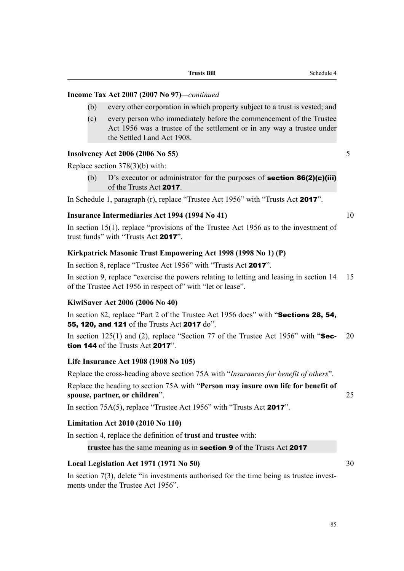### **Income Tax Act 2007 (2007 No 97)***—continued*

- (b) every other corporation in which property subject to a trust is vested; and
- (c) every person who immediately before the commencement of the Trustee Act 1956 was a trustee of the settlement or in any way a trustee under the Settled Land Act 1908.

### **Insolvency Act 2006 (2006 No 55)** 5

Replace section 378(3)(b) with:

(b)  $D$ 's executor or administrator for the purposes of **section 86(2)(c)(iii)** of the Trusts Act 2017.

In Schedule 1, paragraph (r), replace "Trustee Act 1956" with "Trusts Act 2017".

### **Insurance Intermediaries Act 1994 (1994 No 41)** 10

In section 15(1), replace "provisions of the Trustee Act 1956 as to the investment of trust funds" with "Trusts Act 2017".

### **Kirkpatrick Masonic Trust Empowering Act 1998 (1998 No 1) (P)**

In section 8, replace "Trustee Act 1956" with "Trusts Act 2017".

In section 9, replace "exercise the powers relating to letting and leasing in section 14 15 of the Trustee Act 1956 in respect of" with "let or lease".

### **KiwiSaver Act 2006 (2006 No 40)**

In section 82, replace "Part 2 of the Trustee Act 1956 does" with "Sections 28, 54, 55, 120, and 121 of the Trusts Act 2017 do".

In section  $125(1)$  and (2), replace "Section 77 of the Trustee Act 1956" with "Sec- 20 tion 144 of the Trusts Act 2017".

### **Life Insurance Act 1908 (1908 No 105)**

Replace the cross-heading above section 75A with "*Insurances for benefit of others*".

Replace the heading to section 75A with "**Person may insure own life for benefit of spouse, partner, or children**". 25

In section 75A(5), replace "Trustee Act 1956" with "Trusts Act 2017".

### **Limitation Act 2010 (2010 No 110)**

In section 4, replace the definition of **trust** and **trustee** with:

**trustee** has the same meaning as in section 9 of the Trusts Act 2017

### **Local Legislation Act 1971 (1971 No 50)** 30

In section 7(3), delete "in investments authorised for the time being as trustee investments under the Trustee Act 1956".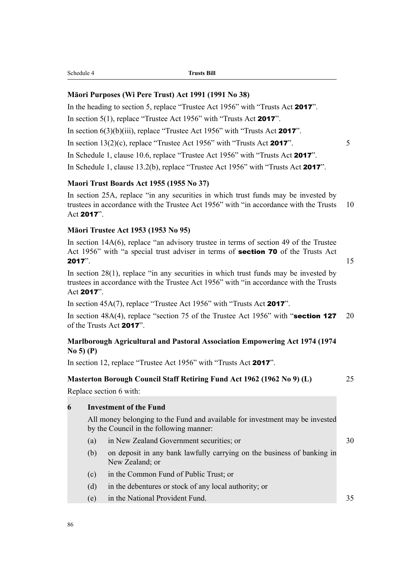#### **Māori Purposes (Wi Pere Trust) Act 1991 (1991 No 38)**

In the heading to section 5, replace "Trustee Act 1956" with "Trusts Act 2017". In section 5(1), replace "Trustee Act 1956" with "Trusts Act 2017". In section  $6(3)(b)(iii)$ , replace "Trustee Act 1956" with "Trusts Act 2017". In section  $13(2)(c)$ , replace "Trustee Act 1956" with "Trusts Act **2017**".  $5$ In Schedule 1, clause 10.6, replace "Trustee Act 1956" with "Trusts Act 2017".

In Schedule 1, clause 13.2(b), replace "Trustee Act 1956" with "Trusts Act 2017".

### **Maori Trust Boards Act 1955 (1955 No 37)**

In section 25A, replace "in any securities in which trust funds may be invested by trustees in accordance with the Trustee Act 1956" with "in accordance with the Trusts 10 Act 2017".

#### **Māori Trustee Act 1953 (1953 No 95)**

In section 14A(6), replace "an advisory trustee in terms of section 49 of the Trustee Act 1956" with "a special trust adviser in terms of section 70 of the Trusts Act **2017**".  $15$ 

In section 28(1), replace "in any securities in which trust funds may be invested by trustees in accordance with the Trustee Act 1956" with "in accordance with the Trusts Act 2017".

In section 45A(7), replace "Trustee Act 1956" with "Trusts Act 2017".

In section 48A(4), replace "section 75 of the Trustee Act 1956" with "section 127 20 of the Trusts Act 2017".

### **Marlborough Agricultural and Pastoral Association Empowering Act 1974 (1974 No 5) (P)**

In section 12, replace "Trustee Act 1956" with "Trusts Act 2017".

### **Masterton Borough Council Staff Retiring Fund Act 1962 (1962 No 9) (L)** 25

Replace section 6 with:

|   |     | INCLUATE SCULTUIT O WILLE.                                                                                              |    |
|---|-----|-------------------------------------------------------------------------------------------------------------------------|----|
| 6 |     | <b>Investment of the Fund</b>                                                                                           |    |
|   |     | All money belonging to the Fund and available for investment may be invested<br>by the Council in the following manner: |    |
|   | (a) | in New Zealand Government securities; or                                                                                | 30 |
|   | (b) | on deposit in any bank lawfully carrying on the business of banking in<br>New Zealand; or                               |    |
|   | (c) | in the Common Fund of Public Trust; or                                                                                  |    |
|   | (d) | in the debentures or stock of any local authority; or                                                                   |    |
|   |     |                                                                                                                         |    |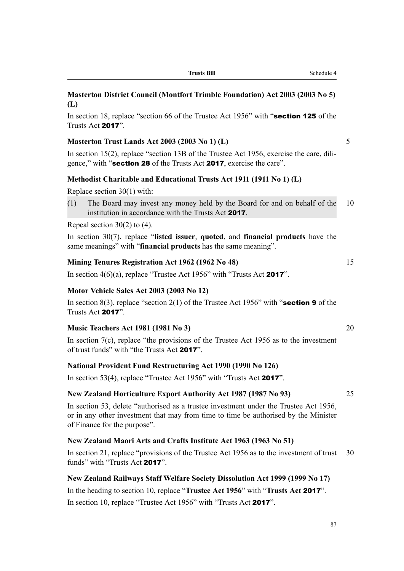#### **Trusts Bill** Schedule 4

### **Masterton District Council (Montfort Trimble Foundation) Act 2003 (2003 No 5) (L)**

In section 18, replace "section 66 of the Trustee Act 1956" with "**section 125** of the Trusts Act 2017".

### **Masterton Trust Lands Act 2003 (2003 No 1) (L)** 5

In section 15(2), replace "section 13B of the Trustee Act 1956, exercise the care, diligence," with "section 28 of the Trusts Act 2017, exercise the care".

#### **Methodist Charitable and Educational Trusts Act 1911 (1911 No 1) (L)**

Replace section 30(1) with:

(1) The Board may invest any money held by the Board for and on behalf of the 10 institution in accordance with the Trusts Act 2017.

#### Repeal section 30(2) to (4).

In section 30(7), replace "**listed issuer**, **quoted**, and **financial products** have the same meanings" with "**financial products** has the same meaning".

#### **Mining Tenures Registration Act 1962 (1962 No 48)** 15

In section  $4(6)(a)$ , replace "Trustee Act 1956" with "Trusts Act 2017".

#### **Motor Vehicle Sales Act 2003 (2003 No 12)**

In section 8(3), replace "section 2(1) of the Trustee Act 1956" with "section 9 of the Trusts Act 2017".

#### **Music Teachers Act 1981 (1981 No 3)** 20

In section 7(c), replace "the provisions of the Trustee Act 1956 as to the investment of trust funds" with "the Trusts Act 2017".

#### **National Provident Fund Restructuring Act 1990 (1990 No 126)**

In section 53(4), replace "Trustee Act 1956" with "Trusts Act 2017".

#### **New Zealand Horticulture Export Authority Act 1987 (1987 No 93)** 25

In section 53, delete "authorised as a trustee investment under the Trustee Act 1956, or in any other investment that may from time to time be authorised by the Minister of Finance for the purpose".

#### **New Zealand Maori Arts and Crafts Institute Act 1963 (1963 No 51)**

In section 21, replace "provisions of the Trustee Act 1956 as to the investment of trust 30 funds" with "Trusts Act 2017".

#### **New Zealand Railways Staff Welfare Society Dissolution Act 1999 (1999 No 17)**

In the heading to section 10, replace "**Trustee Act 1956**" with "**Trusts Act** 2017". In section 10, replace "Trustee Act 1956" with "Trusts Act 2017".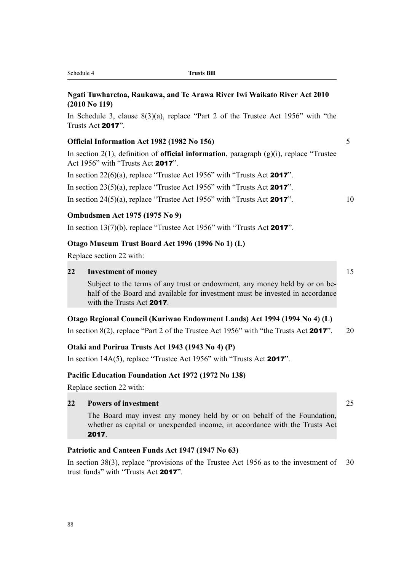|    | Ngati Tuwharetoa, Raukawa, and Te Arawa River Iwi Waikato River Act 2010<br>$(2010$ No 119)                                                                                               |    |
|----|-------------------------------------------------------------------------------------------------------------------------------------------------------------------------------------------|----|
|    | In Schedule 3, clause $8(3)(a)$ , replace "Part 2 of the Trustee Act 1956" with "the<br>Trusts Act 2017".                                                                                 |    |
|    | Official Information Act 1982 (1982 No 156)                                                                                                                                               | 5  |
|    | In section $2(1)$ , definition of <b>official information</b> , paragraph $(g)(i)$ , replace "Trustee<br>Act 1956" with "Trusts Act 2017".                                                |    |
|    | In section $22(6)(a)$ , replace "Trustee Act 1956" with "Trusts Act 2017".                                                                                                                |    |
|    | In section $23(5)(a)$ , replace "Trustee Act 1956" with "Trusts Act 2017".                                                                                                                |    |
|    | In section 24(5)(a), replace "Trustee Act 1956" with "Trusts Act 2017".                                                                                                                   | 10 |
|    | <b>Ombudsmen Act 1975 (1975 No 9)</b>                                                                                                                                                     |    |
|    | In section $13(7)(b)$ , replace "Trustee Act 1956" with "Trusts Act 2017".                                                                                                                |    |
|    | Otago Museum Trust Board Act 1996 (1996 No 1) (L)                                                                                                                                         |    |
|    | Replace section 22 with:                                                                                                                                                                  |    |
| 22 | <b>Investment of money</b>                                                                                                                                                                | 15 |
|    | Subject to the terms of any trust or endowment, any money held by or on be-<br>half of the Board and available for investment must be invested in accordance<br>with the Trusts Act 2017. |    |
|    | Otago Regional Council (Kuriwao Endowment Lands) Act 1994 (1994 No 4) (L)                                                                                                                 |    |
|    | In section 8(2), replace "Part 2 of the Trustee Act 1956" with "the Trusts Act 2017".                                                                                                     | 20 |
|    | Otaki and Porirua Trusts Act 1943 (1943 No 4) (P)                                                                                                                                         |    |
|    | In section $14A(5)$ , replace "Trustee Act 1956" with "Trusts Act 2017".                                                                                                                  |    |
|    | Pacific Education Foundation Act 1972 (1972 No 138)                                                                                                                                       |    |
|    | Replace section $22$ with:                                                                                                                                                                |    |

Replace section 22 with:

## **22 Powers of investment** 25

The Board may invest any money held by or on behalf of the Foundation, whether as capital or unexpended income, in accordance with the Trusts Act 2017.

# **Patriotic and Canteen Funds Act 1947 (1947 No 63)**

Schedule 4 **Trusts Bill**

In section 38(3), replace "provisions of the Trustee Act 1956 as to the investment of 30 trust funds" with "Trusts Act 2017".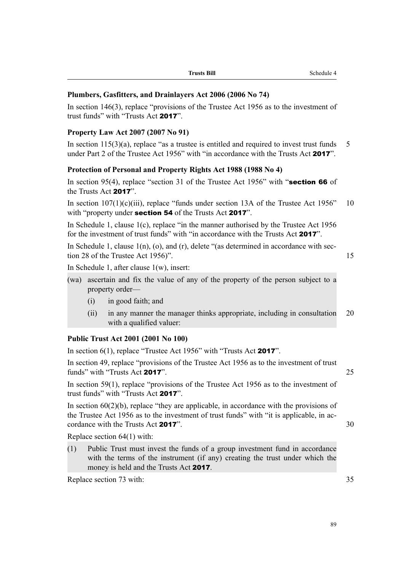| <b>Trusts Bill</b><br>$- - -$ |  |
|-------------------------------|--|
|                               |  |

### **Plumbers, Gasfitters, and Drainlayers Act 2006 (2006 No 74)**

In section 146(3), replace "provisions of the Trustee Act 1956 as to the investment of trust funds" with "Trusts Act 2017".

### **Property Law Act 2007 (2007 No 91)**

In section  $115(3)(a)$ , replace "as a trustee is entitled and required to invest trust funds 5 under Part 2 of the Trustee Act 1956" with "in accordance with the Trusts Act 2017".

### **Protection of Personal and Property Rights Act 1988 (1988 No 4)**

In section 95(4), replace "section 31 of the Trustee Act 1956" with "**section 66** of the Trusts Act 2017".

In section  $107(1)(c)(iii)$ , replace "funds under section 13A of the Trustee Act 1956" 10 with "property under **section 54** of the Trusts Act **2017**".

In Schedule 1, clause 1(c), replace "in the manner authorised by the Trustee Act 1956 for the investment of trust funds" with "in accordance with the Trusts Act 2017".

In Schedule 1, clause  $1(n)$ , (o), and (r), delete "(as determined in accordance with section 28 of the Trustee Act 1956)". 15

In Schedule 1, after clause 1(w), insert:

- (wa) ascertain and fix the value of any of the property of the person subject to a property order—
	- (i) in good faith; and
	- (ii) in any manner the manager thinks appropriate, including in consultation 20 with a qualified valuer:

#### **Public Trust Act 2001 (2001 No 100)**

In section 6(1), replace "Trustee Act 1956" with "Trusts Act 2017".

In section 49, replace "provisions of the Trustee Act 1956 as to the investment of trust funds" with "Trusts Act 2017". 25

In section 59(1), replace "provisions of the Trustee Act 1956 as to the investment of trust funds" with "Trusts Act 2017".

In section  $60(2)(b)$ , replace "they are applicable, in accordance with the provisions of the Trustee Act 1956 as to the investment of trust funds" with "it is applicable, in accordance with the Trusts Act **2017**". 30

Replace section 64(1) with:

(1) Public Trust must invest the funds of a group investment fund in accordance with the terms of the instrument (if any) creating the trust under which the money is held and the Trusts Act 2017.

Replace section 73 with: 35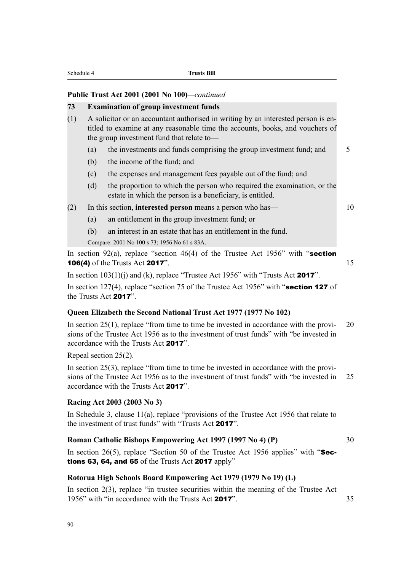#### **Public Trust Act 2001 (2001 No 100)***—continued*

#### **73 Examination of group investment funds**

- (1) A solicitor or an accountant authorised in writing by an interested person is entitled to examine at any reasonable time the accounts, books, and vouchers of the group investment fund that relate to—
	- (a) the investments and funds comprising the group investment fund; and  $\overline{5}$
	- (b) the income of the fund; and
	- (c) the expenses and management fees payable out of the fund; and
	- (d) the proportion to which the person who required the examination, or the estate in which the person is a beneficiary, is entitled.
- (2) In this section, **interested person** means a person who has— 10

- (a) an entitlement in the group investment fund; or
- (b) an interest in an estate that has an entitlement in the fund.

Compare: 2001 No 100 s 73; 1956 No 61 s 83A.

In section 92(a), replace "section 46(4) of the Trustee Act 1956" with "section **106(4)** of the Trusts Act **2017**". 15

In section  $103(1)(i)$  and (k), replace "Trustee Act 1956" with "Trusts Act 2017".

In section 127(4), replace "section 75 of the Trustee Act 1956" with "**section 127** of the Trusts Act 2017".

#### **Queen Elizabeth the Second National Trust Act 1977 (1977 No 102)**

In section  $25(1)$ , replace "from time to time be invested in accordance with the provi- 20 sions of the Trustee Act 1956 as to the investment of trust funds" with "be invested in accordance with the Trusts Act 2017".

Repeal section 25(2).

In section 25(3), replace "from time to time be invested in accordance with the provisions of the Trustee Act 1956 as to the investment of trust funds" with "be invested in 25 accordance with the Trusts Act 2017".

#### **Racing Act 2003 (2003 No 3)**

In Schedule 3, clause 11(a), replace "provisions of the Trustee Act 1956 that relate to the investment of trust funds" with "Trusts Act 2017".

#### **Roman Catholic Bishops Empowering Act 1997 (1997 No 4) (P)** 30

In section 26(5), replace "Section 50 of the Trustee Act 1956 applies" with " $\text{Sec-}$ tions 63, 64, and 65 of the Trusts Act 2017 apply"

#### **Rotorua High Schools Board Empowering Act 1979 (1979 No 19) (L)**

In section 2(3), replace "in trustee securities within the meaning of the Trustee Act 1956" with "in accordance with the Trusts Act **2017**" 35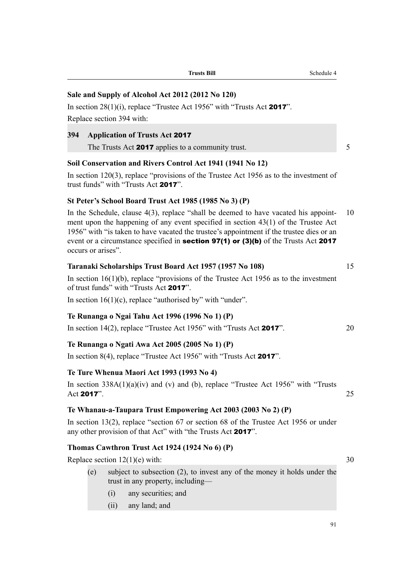| ١ |  |  |  |
|---|--|--|--|

In section 13(2), replace "section 67 or section 68 of the Trustee Act 1956 or under

### **Thomas Cawthron Trust Act 1924 (1924 No 6) (P)**

Replace section  $12(1)(e)$  with:  $30$ 

- (e) subject to subsection (2), to invest any of the money it holds under the trust in any property, including—
	- (i) any securities; and
	- (ii) any land; and

# **Soil Conservation and Rivers Control Act 1941 (1941 No 12)**

Replace section 394 with:

**394 Application of Trusts Act** 2017

In section 120(3), replace "provisions of the Trustee Act 1956 as to the investment of trust funds" with "Trusts Act 2017".

The Trusts Act 2017 applies to a community trust.

### **St Peter's School Board Trust Act 1985 (1985 No 3) (P)**

In the Schedule, clause 4(3), replace "shall be deemed to have vacated his appoint- 10 ment upon the happening of any event specified in section 43(1) of the Trustee Act 1956" with "is taken to have vacated the trustee's appointment if the trustee dies or an event or a circumstance specified in **section 97(1)** or (3)(b) of the Trusts Act 2017 occurs or arises".

### **Taranaki Scholarships Trust Board Act 1957 (1957 No 108)** 15

In section  $16(1)(b)$ , replace "provisions of the Trustee Act 1956 as to the investment of trust funds" with "Trusts Act 2017".

In section  $16(1)(c)$ , replace "authorised by" with "under".

### **Te Runanga o Ngai Tahu Act 1996 (1996 No 1) (P)**

In section 14(2), replace "Trustee Act 1956" with "Trusts Act 2017". 20

### **Te Runanga o Ngati Awa Act 2005 (2005 No 1) (P)**

In section 8(4), replace "Trustee Act 1956" with "Trusts Act 2017".

### **Te Ture Whenua Maori Act 1993 (1993 No 4)**

In section  $338A(1)(a)(iv)$  and (v) and (b), replace "Trustee Act 1956" with "Trusts" Act 2017".  $25$ 

### **Te Whanau-a-Taupara Trust Empowering Act 2003 (2003 No 2) (P)**

any other provision of that Act" with "the Trusts Act 2017".

# In section 28(1)(i), replace "Trustee Act 1956" with "Trusts Act 2017".

**Sale and Supply of Alcohol Act 2012 (2012 No 120)**

**Trusts Bill** Schedule 4

91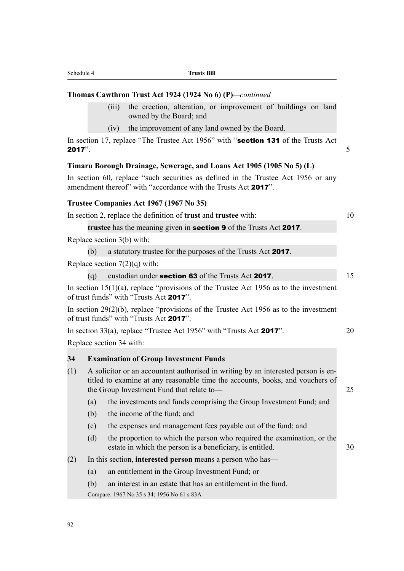|           | (1V) | the improvement of any land owned by the Board.                |                                                                                   |  |
|-----------|------|----------------------------------------------------------------|-----------------------------------------------------------------------------------|--|
| $2017$ ". |      |                                                                | In section 17, replace "The Trustee Act 1956" with "section 131 of the Trusts Act |  |
|           |      |                                                                | Timaru Borough Drainage, Sewerage, and Loans Act 1905 (1905 No 5) (L)             |  |
|           |      | amendment thereof" with "accordance with the Trusts Act 2017". | In section 60, replace "such securities as defined in the Trustee Act 1956 or any |  |
|           |      | Trustee Companies Act 1967 (1967 No 35)                        |                                                                                   |  |

#### **Trustee Companies Act 1967 (1967 No 35)**

In section 2, replace the definition of **trust** and **trustee** with: 10

**Thomas Cawthron Trust Act 1924 (1924 No 6) (P)***—continued*

owned by the Board; and

**trustee** has the meaning given in section 9 of the Trusts Act 2017.

Replace section 3(b) with:

(b) a statutory trustee for the purposes of the Trusts Act 2017.

Replace section  $7(2)(q)$  with:

(a) custodian under **section 63** of the Trusts Act **2017**. 15

(iii) the erection, alteration, or improvement of buildings on land

In section  $15(1)(a)$ , replace "provisions of the Trustee Act 1956 as to the investment of trust funds" with "Trusts Act 2017".

In section 29(2)(b), replace "provisions of the Trustee Act 1956 as to the investment of trust funds" with "Trusts Act 2017".

In section 33(a), replace "Trustee Act 1956" with "Trusts Act **2017**".  $20$ 

Replace section 34 with:

#### **34 Examination of Group Investment Funds**

(1) A solicitor or an accountant authorised in writing by an interested person is entitled to examine at any reasonable time the accounts, books, and vouchers of the Group Investment Fund that relate to— 25

(a) the investments and funds comprising the Group Investment Fund; and

- (b) the income of the fund; and
- (c) the expenses and management fees payable out of the fund; and
- (d) the proportion to which the person who required the examination, or the estate in which the person is a beneficiary, is entitled. 30
- (2) In this section, **interested person** means a person who has—
	- (a) an entitlement in the Group Investment Fund; or
	- (b) an interest in an estate that has an entitlement in the fund.

Compare: 1967 No 35 s 34; 1956 No 61 s 83A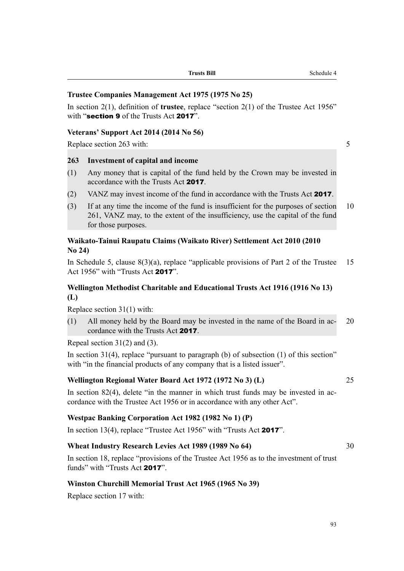| <b>Trusts Bill</b><br>Trusts - | - -<br>Scnequie |
|--------------------------------|-----------------|
|                                |                 |

### **Trustee Companies Management Act 1975 (1975 No 25)**

In section 2(1), definition of **trustee**, replace "section 2(1) of the Trustee Act 1956" with "section 9 of the Trusts Act 2017"

#### **Veterans' Support Act 2014 (2014 No 56)**

Replace section 263 with: 5

### **263 Investment of capital and income**

- (1) Any money that is capital of the fund held by the Crown may be invested in accordance with the Trusts Act 2017.
- (2) VANZ may invest income of the fund in accordance with the Trusts Act 2017.
- (3) If at any time the income of the fund is insufficient for the purposes of section 10 261, VANZ may, to the extent of the insufficiency, use the capital of the fund for those purposes.

### **Waikato-Tainui Raupatu Claims (Waikato River) Settlement Act 2010 (2010 No 24)**

In Schedule 5, clause  $8(3)(a)$ , replace "applicable provisions of Part 2 of the Trustee 15 Act 1956" with "Trusts Act 2017".

### **Wellington Methodist Charitable and Educational Trusts Act 1916 (1916 No 13) (L)**

Replace section 31(1) with:

(1) All money held by the Board may be invested in the name of the Board in ac- 20 cordance with the Trusts Act 2017.

Repeal section 31(2) and (3).

In section 31(4), replace "pursuant to paragraph (b) of subsection (1) of this section" with "in the financial products of any company that is a listed issuer".

#### **Wellington Regional Water Board Act 1972 (1972 No 3) (L)** 25

In section 82(4), delete "in the manner in which trust funds may be invested in accordance with the Trustee Act 1956 or in accordance with any other Act".

#### **Westpac Banking Corporation Act 1982 (1982 No 1) (P)**

In section 13(4), replace "Trustee Act 1956" with "Trusts Act 2017".

### **Wheat Industry Research Levies Act 1989 (1989 No 64)** 30

In section 18, replace "provisions of the Trustee Act 1956 as to the investment of trust funds" with "Trusts Act 2017".

#### **Winston Churchill Memorial Trust Act 1965 (1965 No 39)**

Replace section 17 with: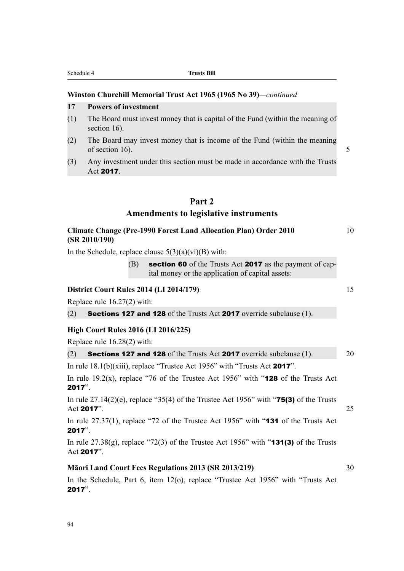### **Winston Churchill Memorial Trust Act 1965 (1965 No 39)***—continued*

### **17 Powers of investment**

- (1) The Board must invest money that is capital of the Fund (within the meaning of section 16).
- (2) The Board may invest money that is income of the Fund (within the meaning of section 16).  $\sim$  5
- (3) Any investment under this section must be made in accordance with the Trusts Act 2017.

### **Part 2**

### **Amendments to legislative instruments**

### **Climate Change (Pre-1990 Forest Land Allocation Plan) Order 2010** 10 **(SR 2010/190)**

In the Schedule, replace clause  $5(3)(a)(vi)(B)$  with:

 $(B)$  section 60 of the Trusts Act 2017 as the payment of capital money or the application of capital assets:

### **District Court Rules 2014 (LI 2014/179)** 15

Replace rule 16.27(2) with:

(2) Sections 127 and 128 of the Trusts Act 2017 override subclause (1).

### **High Court Rules 2016 (LI 2016/225)**

Replace rule 16.28(2) with:

| <b>Sections 127 and 128</b> of the Trusts Act <b>2017</b> override subclause (1).<br>(2)<br>20 |
|------------------------------------------------------------------------------------------------|
|------------------------------------------------------------------------------------------------|

In rule 18.1(b)(xiii), replace "Trustee Act 1956" with "Trusts Act 2017".

In rule 19.2(x), replace "76 of the Trustee Act 1956" with " $128$  of the Trusts Act 2017".

In rule  $27.14(2)(e)$ , replace "35(4) of the Trustee Act 1956" with "**75(3)** of the Trusts Act 2017".  $25$ 

In rule 27.37(1), replace "72 of the Trustee Act 1956" with "**131** of the Trusts Act 2017".

In rule  $27.38(g)$ , replace "72(3) of the Trustee Act 1956" with "**131(3)** of the Trusts Act 2017".

### **Māori Land Court Fees Regulations 2013 (SR 2013/219)** 30

In the Schedule, Part 6, item 12(o), replace "Trustee Act 1956" with "Trusts Act 2017".

- 
-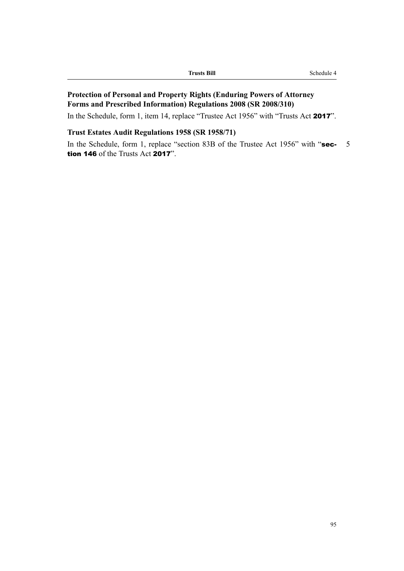| <b>Trusts Bill</b> | Schedule- |
|--------------------|-----------|
|                    |           |

### **Protection of Personal and Property Rights (Enduring Powers of Attorney Forms and Prescribed Information) Regulations 2008 (SR 2008/310)**

In the Schedule, form 1, item 14, replace "Trustee Act 1956" with "Trusts Act 2017".

### **Trust Estates Audit Regulations 1958 (SR 1958/71)**

In the Schedule, form 1, replace "section 83B of the Trustee Act 1956" with "sec- 5 tion 146 of the Trusts Act 2017".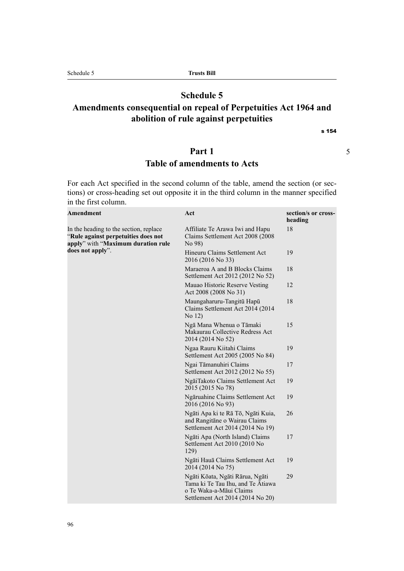### **Schedule 5**

# **Amendments consequential on repeal of Perpetuities Act 1964 and abolition of rule against perpetuities**

s 154

### **Part 1** 5

## **Table of amendments to Acts**

For each Act specified in the second column of the table, amend the section (or sections) or cross-heading set out opposite it in the third column in the manner specified in the first column.

| <b>Amendment</b>                                                                                                    | Act                                                                                                                                 | section/s or cross-<br>heading |
|---------------------------------------------------------------------------------------------------------------------|-------------------------------------------------------------------------------------------------------------------------------------|--------------------------------|
| In the heading to the section, replace<br>"Rule against perpetuities does not<br>apply" with "Maximum duration rule | Affiliate Te Arawa Iwi and Hapu<br>Claims Settlement Act 2008 (2008)<br>No 98)                                                      | 18                             |
| does not apply".                                                                                                    | Hineuru Claims Settlement Act<br>2016 (2016 No 33)                                                                                  | 19                             |
|                                                                                                                     | Maraeroa A and B Blocks Claims<br>Settlement Act 2012 (2012 No 52)                                                                  | 18                             |
|                                                                                                                     | Mauao Historic Reserve Vesting<br>Act 2008 (2008 No 31)                                                                             | 12                             |
|                                                                                                                     | Maungaharuru-Tangitū Hapū<br>Claims Settlement Act 2014 (2014<br>No 12)                                                             | 18                             |
|                                                                                                                     | Ngā Mana Whenua o Tāmaki<br>Makaurau Collective Redress Act<br>2014 (2014 No 52)                                                    | 15                             |
|                                                                                                                     | Ngaa Rauru Kiitahi Claims<br>Settlement Act 2005 (2005 No 84)                                                                       | 19                             |
|                                                                                                                     | Ngai Tāmanuhiri Claims<br>Settlement Act 2012 (2012 No 55)                                                                          | 17                             |
|                                                                                                                     | NgāiTakoto Claims Settlement Act<br>2015 (2015 No 78)                                                                               | 19                             |
|                                                                                                                     | Ngāruahine Claims Settlement Act<br>2016 (2016 No 93)                                                                               | 19                             |
|                                                                                                                     | Ngāti Apa ki te Rā Tō, Ngāti Kuia,<br>and Rangitāne o Wairau Claims<br>Settlement Act 2014 (2014 No 19)                             | 26                             |
|                                                                                                                     | Ngāti Apa (North Island) Claims<br>Settlement Act 2010 (2010 No<br>129)                                                             | 17                             |
|                                                                                                                     | Ngāti Hauā Claims Settlement Act<br>2014 (2014 No 75)                                                                               | 19                             |
|                                                                                                                     | Ngāti Kōata, Ngāti Rārua, Ngāti<br>Tama ki Te Tau Ihu, and Te Atiawa<br>o Te Waka-a-Māui Claims<br>Settlement Act 2014 (2014 No 20) | 29                             |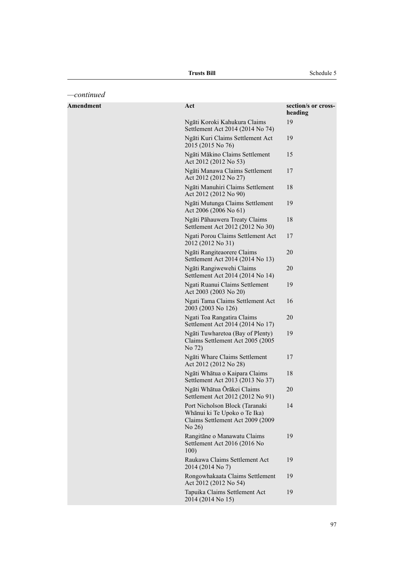**Trusts Bill** Schedule 5

| -continued       |                                                                                                              |                                |
|------------------|--------------------------------------------------------------------------------------------------------------|--------------------------------|
| <b>Amendment</b> | Act                                                                                                          | section/s or cross-<br>heading |
|                  | Ngāti Koroki Kahukura Claims<br>Settlement Act 2014 (2014 No 74)                                             | 19                             |
|                  | Ngāti Kuri Claims Settlement Act<br>2015 (2015 No 76)                                                        | 19                             |
|                  | Ngāti Mākino Claims Settlement<br>Act 2012 (2012 No 53)                                                      | 15                             |
|                  | Ngāti Manawa Claims Settlement<br>Act 2012 (2012 No 27)                                                      | 17                             |
|                  | Ngāti Manuhiri Claims Settlement<br>Act 2012 (2012 No 90)                                                    | 18                             |
|                  | Ngāti Mutunga Claims Settlement<br>Act 2006 (2006 No 61)                                                     | 19                             |
|                  | Ngāti Pāhauwera Treaty Claims<br>Settlement Act 2012 (2012 No 30)                                            | 18                             |
|                  | Ngati Porou Claims Settlement Act<br>2012 (2012 No 31)                                                       | 17                             |
|                  | Ngāti Rangiteaorere Claims<br>Settlement Act 2014 (2014 No 13)                                               | 20                             |
|                  | Ngāti Rangiwewehi Claims<br>Settlement Act 2014 (2014 No 14)                                                 | 20                             |
|                  | Ngati Ruanui Claims Settlement<br>Act 2003 (2003 No 20)                                                      | 19                             |
|                  | Ngati Tama Claims Settlement Act<br>2003 (2003 No 126)                                                       | 16                             |
|                  | Ngati Toa Rangatira Claims<br>Settlement Act 2014 (2014 No 17)                                               | 20                             |
|                  | Ngāti Tuwharetoa (Bay of Plenty)<br>Claims Settlement Act 2005 (2005<br>No 72)                               | 19                             |
|                  | Ngāti Whare Claims Settlement<br>Act 2012 (2012 No 28)                                                       | 17                             |
|                  | Ngāti Whātua o Kaipara Claims<br>Settlement Act 2013 (2013 No 37)                                            | 18                             |
|                  | Ngāti Whātua Ōrākei Claims<br>Settlement Act 2012 (2012 No 91)                                               | 20                             |
|                  | Port Nicholson Block (Taranaki<br>Whānui ki Te Upoko o Te Ika)<br>Claims Settlement Act 2009 (2009<br>No 26) | 14                             |
|                  | Rangitāne o Manawatu Claims<br>Settlement Act 2016 (2016 No<br>100)                                          | 19                             |
|                  | Raukawa Claims Settlement Act<br>2014 (2014 No 7)                                                            | 19                             |
|                  | Rongowhakaata Claims Settlement<br>Act 2012 (2012 No 54)                                                     | 19                             |
|                  | Tapuika Claims Settlement Act<br>2014 (2014 No 15)                                                           | 19                             |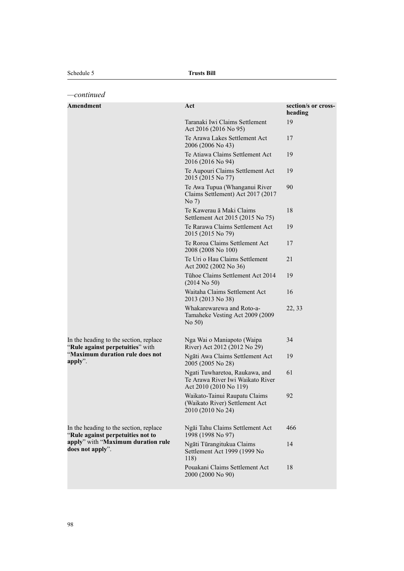| -continued                                                                                                                            |                                                                                              |                                |
|---------------------------------------------------------------------------------------------------------------------------------------|----------------------------------------------------------------------------------------------|--------------------------------|
| <b>Amendment</b>                                                                                                                      | Act                                                                                          | section/s or cross-<br>heading |
|                                                                                                                                       | Taranaki Iwi Claims Settlement<br>Act 2016 (2016 No 95)                                      | 19                             |
|                                                                                                                                       | Te Arawa Lakes Settlement Act<br>2006 (2006 No 43)                                           | 17                             |
|                                                                                                                                       | Te Atiawa Claims Settlement Act<br>2016 (2016 No 94)                                         | 19                             |
|                                                                                                                                       | Te Aupouri Claims Settlement Act<br>2015 (2015 No 77)                                        | 19                             |
|                                                                                                                                       | Te Awa Tupua (Whanganui River<br>Claims Settlement) Act 2017 (2017<br>No 7)                  | 90                             |
|                                                                                                                                       | Te Kawerau ā Maki Claims<br>Settlement Act 2015 (2015 No 75)                                 | 18                             |
|                                                                                                                                       | Te Rarawa Claims Settlement Act<br>2015 (2015 No 79)                                         | 19                             |
|                                                                                                                                       | Te Roroa Claims Settlement Act<br>2008 (2008 No 100)                                         | 17                             |
|                                                                                                                                       | Te Uri o Hau Claims Settlement<br>Act 2002 (2002 No 36)                                      | 21                             |
|                                                                                                                                       | Tühoe Claims Settlement Act 2014<br>$(2014$ No 50)                                           | 19                             |
|                                                                                                                                       | Waitaha Claims Settlement Act<br>2013 (2013 No 38)                                           | 16                             |
|                                                                                                                                       | Whakarewarewa and Roto-a-<br>Tamaheke Vesting Act 2009 (2009<br>No 50)                       | 22, 33                         |
| In the heading to the section, replace<br>"Rule against perpetuities" with<br>"Maximum duration rule does not<br>apply".              | Nga Wai o Maniapoto (Waipa<br>River) Act 2012 (2012 No 29)                                   | 34                             |
|                                                                                                                                       | Ngāti Awa Claims Settlement Act<br>2005 (2005 No 28)                                         | 19                             |
|                                                                                                                                       | Ngati Tuwharetoa, Raukawa, and<br>Te Arawa River Iwi Waikato River<br>Act 2010 (2010 No 119) | 61                             |
|                                                                                                                                       | Waikato-Tainui Raupatu Claims<br>(Waikato River) Settlement Act<br>2010 (2010 No 24)         | 92                             |
| In the heading to the section, replace<br>"Rule against perpetuities not to<br>apply" with "Maximum duration rule<br>does not apply". | Ngāi Tahu Claims Settlement Act<br>1998 (1998 No 97)                                         | 466                            |
|                                                                                                                                       | Ngāti Tūrangitukua Claims<br>Settlement Act 1999 (1999 No<br>118)                            | 14                             |
|                                                                                                                                       | Pouakani Claims Settlement Act<br>2000 (2000 No 90)                                          | 18                             |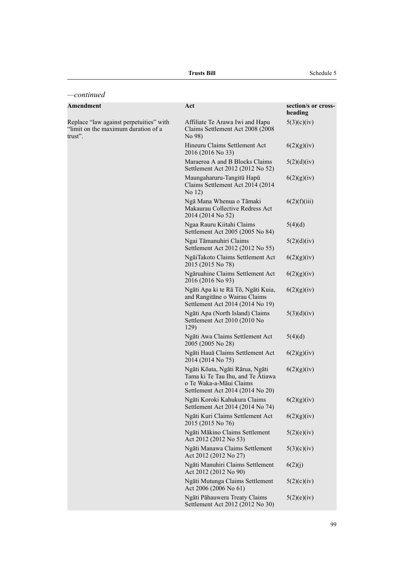| -continued                                                                                |                                                                                                                                     |                                |
|-------------------------------------------------------------------------------------------|-------------------------------------------------------------------------------------------------------------------------------------|--------------------------------|
| <b>Amendment</b>                                                                          | Act                                                                                                                                 | section/s or cross-<br>heading |
| Replace "law against perpetuities" with<br>"limit on the maximum duration of a<br>trust". | Affiliate Te Arawa Iwi and Hapu<br>Claims Settlement Act 2008 (2008<br>No 98)                                                       | 5(3)(c)(iv)                    |
|                                                                                           | Hineuru Claims Settlement Act<br>2016 (2016 No 33)                                                                                  | 6(2)(g)(iv)                    |
|                                                                                           | Maraeroa A and B Blocks Claims<br>Settlement Act 2012 (2012 No 52)                                                                  | 5(2)(d)(iv)                    |
|                                                                                           | Maungaharuru-Tangitū Hapū<br>Claims Settlement Act 2014 (2014<br>No 12)                                                             | 6(2)(g)(iv)                    |
|                                                                                           | Ngā Mana Whenua o Tāmaki<br>Makaurau Collective Redress Act<br>2014 (2014 No 52)                                                    | 6(2)(f)(iii)                   |
|                                                                                           | Ngaa Rauru Kiitahi Claims<br>Settlement Act 2005 (2005 No 84)                                                                       | 5(4)(d)                        |
|                                                                                           | Ngai Tāmanuhiri Claims<br>Settlement Act 2012 (2012 No 55)                                                                          | 5(2)(d)(iv)                    |
|                                                                                           | NgāiTakoto Claims Settlement Act<br>2015 (2015 No 78)                                                                               | 6(2)(g)(iv)                    |
|                                                                                           | Ngāruahine Claims Settlement Act<br>2016 (2016 No 93)                                                                               | 6(2)(g)(iv)                    |
|                                                                                           | Ngāti Apa ki te Rā Tō, Ngāti Kuia,<br>and Rangitāne o Wairau Claims<br>Settlement Act 2014 (2014 No 19)                             | 6(2)(g)(iv)                    |
|                                                                                           | Ngāti Apa (North Island) Claims<br>Settlement Act 2010 (2010 No<br>129)                                                             | 5(3)(d)(iv)                    |
|                                                                                           | Ngāti Awa Claims Settlement Act<br>2005 (2005 No 28)                                                                                | 5(4)(d)                        |
|                                                                                           | Ngāti Hauā Claims Settlement Act<br>2014 (2014 No 75)                                                                               | 6(2)(g)(iv)                    |
|                                                                                           | Ngāti Kōata, Ngāti Rārua, Ngāti<br>Tama ki Te Tau Ihu, and Te Atiawa<br>o Te Waka-a-Māui Claims<br>Settlement Act 2014 (2014 No 20) | 6(2)(g)(iv)                    |
|                                                                                           | Ngāti Koroki Kahukura Claims<br>Settlement Act 2014 (2014 No 74)                                                                    | 6(2)(g)(iv)                    |
|                                                                                           | Ngāti Kuri Claims Settlement Act<br>2015 (2015 No 76)                                                                               | 6(2)(g)(iv)                    |
|                                                                                           | Ngāti Mākino Claims Settlement<br>Act 2012 (2012 No 53)                                                                             | 5(2)(e)(iv)                    |
|                                                                                           | Ngāti Manawa Claims Settlement<br>Act 2012 (2012 No 27)                                                                             | 5(3)(c)(iv)                    |
|                                                                                           | Ngāti Manuhiri Claims Settlement<br>Act 2012 (2012 No 90)                                                                           | 6(2)(j)                        |
|                                                                                           | Ngāti Mutunga Claims Settlement<br>Act 2006 (2006 No 61)                                                                            | 5(2)(c)(iv)                    |
|                                                                                           | Ngāti Pāhauwera Treaty Claims<br>Settlement Act 2012 (2012 No 30)                                                                   | 5(2)(e)(iv)                    |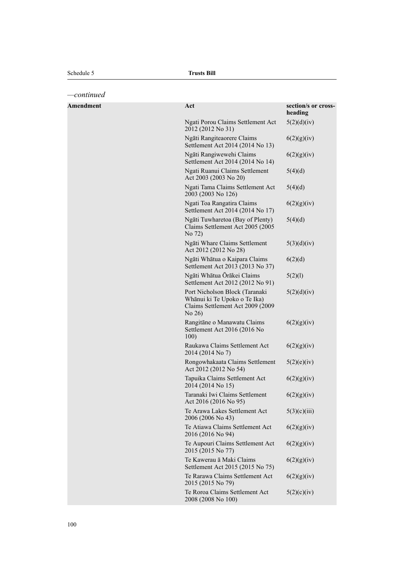*—continued*

| Amendment | Act                                                                                                          | section/s or cross-<br>heading |
|-----------|--------------------------------------------------------------------------------------------------------------|--------------------------------|
|           | Ngati Porou Claims Settlement Act<br>2012 (2012 No 31)                                                       | 5(2)(d)(iv)                    |
|           | Ngāti Rangiteaorere Claims<br>Settlement Act 2014 (2014 No 13)                                               | 6(2)(g)(iv)                    |
|           | Ngāti Rangiwewehi Claims<br>Settlement Act 2014 (2014 No 14)                                                 | 6(2)(g)(iv)                    |
|           | Ngati Ruanui Claims Settlement<br>Act 2003 (2003 No 20)                                                      | 5(4)(d)                        |
|           | Ngati Tama Claims Settlement Act<br>2003 (2003 No 126)                                                       | 5(4)(d)                        |
|           | Ngati Toa Rangatira Claims<br>Settlement Act 2014 (2014 No 17)                                               | 6(2)(g)(iv)                    |
|           | Ngāti Tuwharetoa (Bay of Plenty)<br>Claims Settlement Act 2005 (2005)<br>No 72)                              | 5(4)(d)                        |
|           | Ngāti Whare Claims Settlement<br>Act 2012 (2012 No 28)                                                       | 5(3)(d)(iv)                    |
|           | Ngāti Whātua o Kaipara Claims<br>Settlement Act 2013 (2013 No 37)                                            | 6(2)(d)                        |
|           | Ngāti Whātua Ōrākei Claims<br>Settlement Act 2012 (2012 No 91)                                               | 5(2)(1)                        |
|           | Port Nicholson Block (Taranaki<br>Whānui ki Te Upoko o Te Ika)<br>Claims Settlement Act 2009 (2009<br>No 26) | 5(2)(d)(iv)                    |
|           | Rangitāne o Manawatu Claims<br>Settlement Act 2016 (2016 No<br>100)                                          | 6(2)(g)(iv)                    |
|           | Raukawa Claims Settlement Act<br>2014 (2014 No 7)                                                            | 6(2)(g)(iv)                    |
|           | Rongowhakaata Claims Settlement<br>Act 2012 (2012 No 54)                                                     | 5(2)(e)(iv)                    |
|           | Tapuika Claims Settlement Act<br>2014 (2014 No 15)                                                           | 6(2)(g)(iv)                    |
|           | Taranaki Iwi Claims Settlement<br>Act 2016 (2016 No 95)                                                      | 6(2)(g)(iv)                    |
|           | Te Arawa Lakes Settlement Act<br>2006 (2006 No 43)                                                           | 5(3)(c)(iii)                   |
|           | Te Atiawa Claims Settlement Act<br>2016 (2016 No 94)                                                         | 6(2)(g)(iv)                    |
|           | Te Aupouri Claims Settlement Act<br>2015 (2015 No 77)                                                        | 6(2)(g)(iv)                    |
|           | Te Kawerau ā Maki Claims<br>Settlement Act 2015 (2015 No 75)                                                 | 6(2)(g)(iv)                    |
|           | Te Rarawa Claims Settlement Act<br>2015 (2015 No 79)                                                         | 6(2)(g)(iv)                    |
|           | Te Roroa Claims Settlement Act<br>2008 (2008 No 100)                                                         | 5(2)(c)(iv)                    |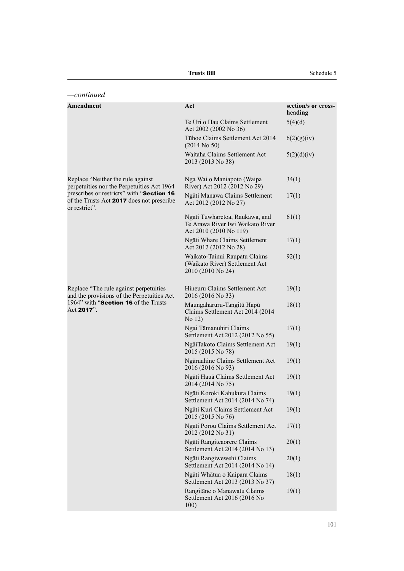| continued—                                                                                              |                                                                                              |                                |
|---------------------------------------------------------------------------------------------------------|----------------------------------------------------------------------------------------------|--------------------------------|
| Amendment                                                                                               | Act                                                                                          | section/s or cross-<br>heading |
|                                                                                                         | Te Uri o Hau Claims Settlement<br>Act 2002 (2002 No 36)                                      | 5(4)(d)                        |
|                                                                                                         | Tühoe Claims Settlement Act 2014<br>$(2014$ No 50)                                           | 6(2)(g)(iv)                    |
|                                                                                                         | Waitaha Claims Settlement Act<br>2013 (2013 No 38)                                           | 5(2)(d)(iv)                    |
| Replace "Neither the rule against<br>perpetuities nor the Perpetuities Act 1964                         | Nga Wai o Maniapoto (Waipa<br>River) Act 2012 (2012 No 29)                                   | 34(1)                          |
| prescribes or restricts" with "Section 16<br>of the Trusts Act 2017 does not prescribe<br>or restrict". | Ngāti Manawa Claims Settlement<br>Act 2012 (2012 No 27)                                      | 17(1)                          |
|                                                                                                         | Ngati Tuwharetoa, Raukawa, and<br>Te Arawa River Iwi Waikato River<br>Act 2010 (2010 No 119) | 61(1)                          |
|                                                                                                         | Ngāti Whare Claims Settlement<br>Act 2012 (2012 No 28)                                       | 17(1)                          |
|                                                                                                         | Waikato-Tainui Raupatu Claims<br>(Waikato River) Settlement Act<br>2010 (2010 No 24)         | 92(1)                          |
| Replace "The rule against perpetuities<br>and the provisions of the Perpetuities Act                    | Hineuru Claims Settlement Act<br>2016 (2016 No 33)                                           | 19(1)                          |
| 1964" with "Section 16 of the Trusts<br>Act 2017".                                                      | Maungaharuru-Tangitū Hapū<br>Claims Settlement Act 2014 (2014<br>No 12)                      | 18(1)                          |
|                                                                                                         | Ngai Tāmanuhiri Claims<br>Settlement Act 2012 (2012 No 55)                                   | 17(1)                          |
|                                                                                                         | NgāiTakoto Claims Settlement Act<br>2015 (2015 No 78)                                        | 19(1)                          |
|                                                                                                         | Ngāruahine Claims Settlement Act<br>2016 (2016 No 93)                                        | 19(1)                          |
|                                                                                                         | Ngāti Hauā Claims Settlement Act<br>2014 (2014 No 75)                                        | 19(1)                          |
|                                                                                                         | Ngāti Koroki Kahukura Claims<br>Settlement Act 2014 (2014 No 74)                             | 19(1)                          |
|                                                                                                         | Ngāti Kuri Claims Settlement Act<br>2015 (2015 No 76)                                        | 19(1)                          |
|                                                                                                         | Ngati Porou Claims Settlement Act<br>2012 (2012 No 31)                                       | 17(1)                          |
|                                                                                                         | Ngāti Rangiteaorere Claims<br>Settlement Act 2014 (2014 No 13)                               | 20(1)                          |
|                                                                                                         | Ngāti Rangiwewehi Claims<br>Settlement Act 2014 (2014 No 14)                                 | 20(1)                          |
|                                                                                                         | Ngāti Whātua o Kaipara Claims<br>Settlement Act 2013 (2013 No 37)                            | 18(1)                          |
|                                                                                                         | Rangitāne o Manawatu Claims<br>Settlement Act 2016 (2016 No<br>100)                          | 19(1)                          |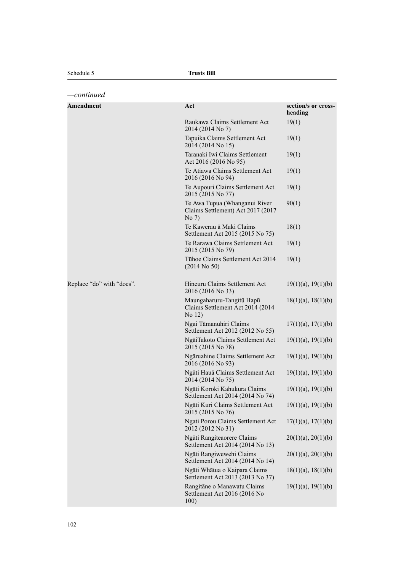| continued                 |                                                                             |                                |
|---------------------------|-----------------------------------------------------------------------------|--------------------------------|
| <b>Amendment</b>          | Act                                                                         | section/s or cross-<br>heading |
|                           | Raukawa Claims Settlement Act<br>2014 (2014 No 7)                           | 19(1)                          |
|                           | Tapuika Claims Settlement Act<br>2014 (2014 No 15)                          | 19(1)                          |
|                           | Taranaki Iwi Claims Settlement<br>Act 2016 (2016 No 95)                     | 19(1)                          |
|                           | Te Atiawa Claims Settlement Act<br>2016 (2016 No 94)                        | 19(1)                          |
|                           | Te Aupouri Claims Settlement Act<br>2015 (2015 No 77)                       | 19(1)                          |
|                           | Te Awa Tupua (Whanganui River<br>Claims Settlement) Act 2017 (2017<br>No 7) | 90(1)                          |
|                           | Te Kawerau ā Maki Claims<br>Settlement Act 2015 (2015 No 75)                | 18(1)                          |
|                           | Te Rarawa Claims Settlement Act<br>2015 (2015 No 79)                        | 19(1)                          |
|                           | Tühoe Claims Settlement Act 2014<br>$(2014$ No 50)                          | 19(1)                          |
| Replace "do" with "does". | Hineuru Claims Settlement Act<br>2016 (2016 No 33)                          | $19(1)(a)$ , $19(1)(b)$        |
|                           | Maungaharuru-Tangitū Hapū<br>Claims Settlement Act 2014 (2014<br>No 12)     | $18(1)(a)$ , $18(1)(b)$        |
|                           | Ngai Tāmanuhiri Claims<br>Settlement Act 2012 (2012 No 55)                  | $17(1)(a)$ , $17(1)(b)$        |
|                           | NgāiTakoto Claims Settlement Act<br>2015 (2015 No 78)                       | $19(1)(a)$ , $19(1)(b)$        |
|                           | Ngāruahine Claims Settlement Act<br>2016 (2016 No 93)                       | $19(1)(a)$ , $19(1)(b)$        |
|                           | Ngāti Hauā Claims Settlement Act<br>2014 (2014 No 75)                       | $19(1)(a)$ , $19(1)(b)$        |
|                           | Ngāti Koroki Kahukura Claims<br>Settlement Act 2014 (2014 No 74)            | $19(1)(a)$ , $19(1)(b)$        |
|                           | Ngāti Kuri Claims Settlement Act<br>2015 (2015 No 76)                       | $19(1)(a)$ , $19(1)(b)$        |
|                           | Ngati Porou Claims Settlement Act<br>2012 (2012 No 31)                      | $17(1)(a)$ , $17(1)(b)$        |
|                           | Ngāti Rangiteaorere Claims<br>Settlement Act 2014 (2014 No 13)              | $20(1)(a)$ , $20(1)(b)$        |
|                           | Ngāti Rangiwewehi Claims<br>Settlement Act 2014 (2014 No 14)                | $20(1)(a)$ , $20(1)(b)$        |
|                           | Ngāti Whātua o Kaipara Claims<br>Settlement Act 2013 (2013 No 37)           | $18(1)(a)$ , $18(1)(b)$        |
|                           | Rangitāne o Manawatu Claims<br>Settlement Act 2016 (2016 No<br>100)         | $19(1)(a)$ , $19(1)(b)$        |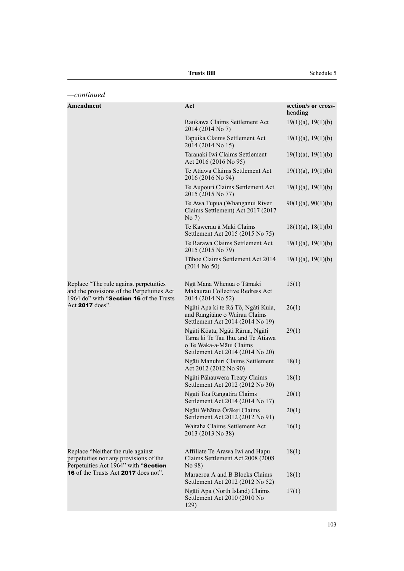| -continued                                                                                                                      |                                                                                                                                     |                                |
|---------------------------------------------------------------------------------------------------------------------------------|-------------------------------------------------------------------------------------------------------------------------------------|--------------------------------|
| <b>Amendment</b>                                                                                                                | Act                                                                                                                                 | section/s or cross-<br>heading |
|                                                                                                                                 | Raukawa Claims Settlement Act<br>2014 (2014 No 7)                                                                                   | $19(1)(a)$ , $19(1)(b)$        |
|                                                                                                                                 | Tapuika Claims Settlement Act<br>2014 (2014 No 15)                                                                                  | $19(1)(a)$ , $19(1)(b)$        |
|                                                                                                                                 | Taranaki Iwi Claims Settlement<br>Act 2016 (2016 No 95)                                                                             | $19(1)(a)$ , $19(1)(b)$        |
|                                                                                                                                 | Te Atiawa Claims Settlement Act<br>2016 (2016 No 94)                                                                                | $19(1)(a)$ , $19(1)(b)$        |
|                                                                                                                                 | Te Aupouri Claims Settlement Act<br>2015 (2015 No 77)                                                                               | $19(1)(a)$ , $19(1)(b)$        |
|                                                                                                                                 | Te Awa Tupua (Whanganui River<br>Claims Settlement) Act 2017 (2017<br>No 7)                                                         | $90(1)(a)$ , $90(1)(b)$        |
|                                                                                                                                 | Te Kawerau ā Maki Claims<br>Settlement Act 2015 (2015 No 75)                                                                        | $18(1)(a)$ , $18(1)(b)$        |
|                                                                                                                                 | Te Rarawa Claims Settlement Act<br>2015 (2015 No 79)                                                                                | $19(1)(a)$ , $19(1)(b)$        |
|                                                                                                                                 | Tühoe Claims Settlement Act 2014<br>$(2014$ No 50)                                                                                  | $19(1)(a)$ , $19(1)(b)$        |
| Replace "The rule against perpetuities<br>and the provisions of the Perpetuities Act<br>1964 do" with "Section 16 of the Trusts | Ngā Mana Whenua o Tāmaki<br>Makaurau Collective Redress Act<br>2014 (2014 No 52)                                                    | 15(1)                          |
| Act <b>2017</b> does".                                                                                                          | Ngāti Apa ki te Rā Tō, Ngāti Kuia,<br>and Rangitāne o Wairau Claims<br>Settlement Act 2014 (2014 No 19)                             | 26(1)                          |
|                                                                                                                                 | Ngāti Kōata, Ngāti Rārua, Ngāti<br>Tama ki Te Tau Ihu, and Te Atiawa<br>o Te Waka-a-Māui Claims<br>Settlement Act 2014 (2014 No 20) | 29(1)                          |
|                                                                                                                                 | Ngāti Manuhiri Claims Settlement<br>Act 2012 (2012 No 90)                                                                           | 18(1)                          |
|                                                                                                                                 | Ngāti Pāhauwera Treaty Claims<br>Settlement Act 2012 (2012 No 30)                                                                   | 18(1)                          |
|                                                                                                                                 | Ngati Toa Rangatira Claims<br>Settlement Act 2014 (2014 No 17)                                                                      | 20(1)                          |
|                                                                                                                                 | Ngāti Whātua Ōrākei Claims<br>Settlement Act 2012 (2012 No 91)                                                                      | 20(1)                          |
|                                                                                                                                 | Waitaha Claims Settlement Act<br>2013 (2013 No 38)                                                                                  | 16(1)                          |
| Replace "Neither the rule against<br>perpetuities nor any provisions of the<br>Perpetuities Act 1964" with "Section             | Affiliate Te Arawa Iwi and Hapu<br>Claims Settlement Act 2008 (2008<br>No 98)                                                       | 18(1)                          |
| <b>16</b> of the Trusts Act <b>2017</b> does not".                                                                              | Maraeroa A and B Blocks Claims<br>Settlement Act 2012 (2012 No 52)                                                                  | 18(1)                          |
|                                                                                                                                 | Ngāti Apa (North Island) Claims<br>Settlement Act 2010 (2010 No<br>129)                                                             | 17(1)                          |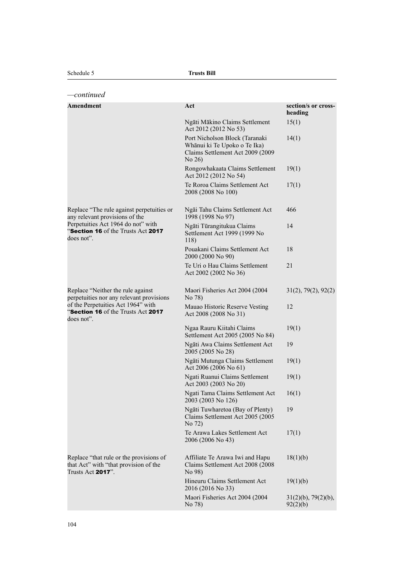| continued                                                                                             |                                                                                                              |                                        |
|-------------------------------------------------------------------------------------------------------|--------------------------------------------------------------------------------------------------------------|----------------------------------------|
| Amendment                                                                                             | Act                                                                                                          | section/s or cross-<br>heading         |
|                                                                                                       | Ngāti Mākino Claims Settlement<br>Act 2012 (2012 No 53)                                                      | 15(1)                                  |
|                                                                                                       | Port Nicholson Block (Taranaki<br>Whānui ki Te Upoko o Te Ika)<br>Claims Settlement Act 2009 (2009<br>No 26) | 14(1)                                  |
|                                                                                                       | Rongowhakaata Claims Settlement<br>Act 2012 (2012 No 54)                                                     | 19(1)                                  |
|                                                                                                       | Te Roroa Claims Settlement Act<br>2008 (2008 No 100)                                                         | 17(1)                                  |
| Replace "The rule against perpetuities or<br>any relevant provisions of the                           | Ngāi Tahu Claims Settlement Act<br>1998 (1998 No 97)                                                         | 466                                    |
| Perpetuities Act 1964 do not" with<br>"Section 16 of the Trusts Act 2017<br>does not".                | Ngāti Tūrangitukua Claims<br>Settlement Act 1999 (1999 No<br>118)                                            | 14                                     |
|                                                                                                       | Pouakani Claims Settlement Act<br>2000 (2000 No 90)                                                          | 18                                     |
|                                                                                                       | Te Uri o Hau Claims Settlement<br>Act 2002 (2002 No 36)                                                      | 21                                     |
| Replace "Neither the rule against"<br>perpetuities nor any relevant provisions                        | Maori Fisheries Act 2004 (2004)<br>No 78)                                                                    | 31(2), 79(2), 92(2)                    |
| of the Perpetuities Act 1964" with<br>"Section 16 of the Trusts Act 2017<br>does not".                | Mauao Historic Reserve Vesting<br>Act 2008 (2008 No 31)                                                      | 12                                     |
|                                                                                                       | Ngaa Rauru Kiitahi Claims<br>Settlement Act 2005 (2005 No 84)                                                | 19(1)                                  |
|                                                                                                       | Ngāti Awa Claims Settlement Act<br>2005 (2005 No 28)                                                         | 19                                     |
|                                                                                                       | Ngāti Mutunga Claims Settlement<br>Act 2006 (2006 No 61)                                                     | 19(1)                                  |
|                                                                                                       | Ngati Ruanui Claims Settlement<br>Act 2003 (2003 No 20)                                                      | 19(1)                                  |
|                                                                                                       | Ngati Tama Claims Settlement Act<br>2003 (2003 No 126)                                                       | 16(1)                                  |
|                                                                                                       | Ngāti Tuwharetoa (Bay of Plenty)<br>Claims Settlement Act 2005 (2005<br>No 72)                               | 19                                     |
|                                                                                                       | Te Arawa Lakes Settlement Act<br>2006 (2006 No 43)                                                           | 17(1)                                  |
| Replace "that rule or the provisions of<br>that Act" with "that provision of the<br>Trusts Act 2017". | Affiliate Te Arawa Iwi and Hapu<br>Claims Settlement Act 2008 (2008<br>No 98)                                | 18(1)(b)                               |
|                                                                                                       | Hineuru Claims Settlement Act<br>2016 (2016 No 33)                                                           | 19(1)(b)                               |
|                                                                                                       | Maori Fisheries Act 2004 (2004<br>No 78)                                                                     | $31(2)(b)$ , 79 $(2)(b)$ ,<br>92(2)(b) |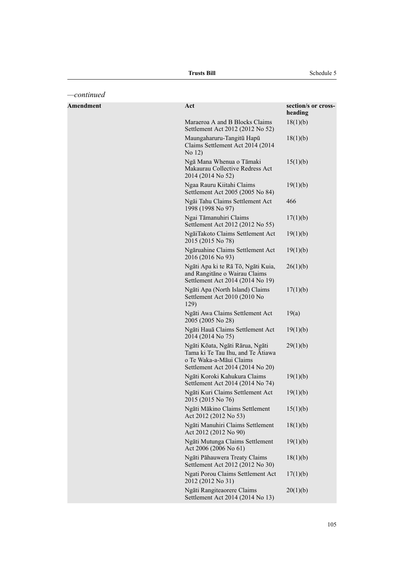| -continued       |                                                                                                                                     |                                |
|------------------|-------------------------------------------------------------------------------------------------------------------------------------|--------------------------------|
| <b>Amendment</b> | Act                                                                                                                                 | section/s or cross-<br>heading |
|                  | Maraeroa A and B Blocks Claims<br>Settlement Act 2012 (2012 No 52)                                                                  | 18(1)(b)                       |
|                  | Maungaharuru-Tangitū Hapū<br>Claims Settlement Act 2014 (2014<br>No 12)                                                             | 18(1)(b)                       |
|                  | Ngā Mana Whenua o Tāmaki<br>Makaurau Collective Redress Act<br>2014 (2014 No 52)                                                    | 15(1)(b)                       |
|                  | Ngaa Rauru Kiitahi Claims<br>Settlement Act 2005 (2005 No 84)                                                                       | 19(1)(b)                       |
|                  | Ngāi Tahu Claims Settlement Act<br>1998 (1998 No 97)                                                                                | 466                            |
|                  | Ngai Tāmanuhiri Claims<br>Settlement Act 2012 (2012 No 55)                                                                          | 17(1)(b)                       |
|                  | NgāiTakoto Claims Settlement Act<br>2015 (2015 No 78)                                                                               | 19(1)(b)                       |
|                  | Ngāruahine Claims Settlement Act<br>2016 (2016 No 93)                                                                               | 19(1)(b)                       |
|                  | Ngāti Apa ki te Rā Tō, Ngāti Kuia,<br>and Rangitāne o Wairau Claims<br>Settlement Act 2014 (2014 No 19)                             | 26(1)(b)                       |
|                  | Ngāti Apa (North Island) Claims<br>Settlement Act 2010 (2010 No<br>129)                                                             | 17(1)(b)                       |
|                  | Ngāti Awa Claims Settlement Act<br>2005 (2005 No 28)                                                                                | 19(a)                          |
|                  | Ngāti Hauā Claims Settlement Act<br>2014 (2014 No 75)                                                                               | 19(1)(b)                       |
|                  | Ngāti Kōata, Ngāti Rārua, Ngāti<br>Tama ki Te Tau Ihu, and Te Ātiawa<br>o Te Waka-a-Māui Claims<br>Settlement Act 2014 (2014 No 20) | 29(1)(b)                       |
|                  | Ngāti Koroki Kahukura Claims<br>Settlement Act 2014 (2014 No 74)                                                                    | 19(1)(b)                       |
|                  | Ngāti Kuri Claims Settlement Act<br>2015 (2015 No 76)                                                                               | 19(1)(b)                       |
|                  | Ngāti Mākino Claims Settlement<br>Act 2012 (2012 No 53)                                                                             | 15(1)(b)                       |
|                  | Ngāti Manuhiri Claims Settlement<br>Act 2012 (2012 No 90)                                                                           | 18(1)(b)                       |
|                  | Ngāti Mutunga Claims Settlement<br>Act 2006 (2006 No 61)                                                                            | 19(1)(b)                       |
|                  | Ngāti Pāhauwera Treaty Claims<br>Settlement Act 2012 (2012 No 30)                                                                   | 18(1)(b)                       |
|                  | Ngati Porou Claims Settlement Act<br>2012 (2012 No 31)                                                                              | 17(1)(b)                       |
|                  | Ngāti Rangiteaorere Claims<br>Settlement Act 2014 (2014 No 13)                                                                      | 20(1)(b)                       |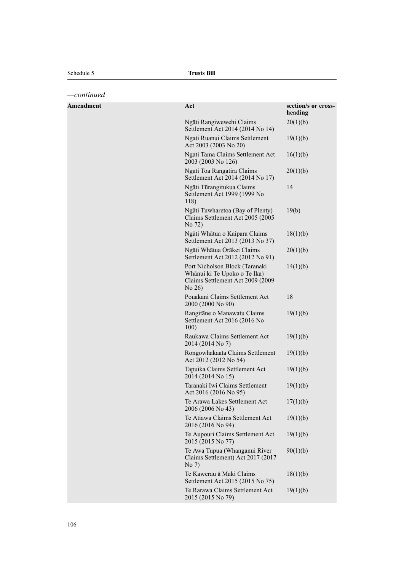*—continued*

| <b>Amendment</b> | Act                                                                                                         | section/s or cross-<br>heading |
|------------------|-------------------------------------------------------------------------------------------------------------|--------------------------------|
|                  | Ngāti Rangiwewehi Claims<br>Settlement Act 2014 (2014 No 14)                                                | 20(1)(b)                       |
|                  | Ngati Ruanui Claims Settlement<br>Act 2003 (2003 No 20)                                                     | 19(1)(b)                       |
|                  | Ngati Tama Claims Settlement Act<br>2003 (2003 No 126)                                                      | 16(1)(b)                       |
|                  | Ngati Toa Rangatira Claims<br>Settlement Act 2014 (2014 No 17)                                              | 20(1)(b)                       |
|                  | Ngāti Tūrangitukua Claims<br>Settlement Act 1999 (1999 No<br>118)                                           | 14                             |
|                  | Ngāti Tuwharetoa (Bay of Plenty)<br>Claims Settlement Act 2005 (2005<br>No 72)                              | 19(b)                          |
|                  | Ngāti Whātua o Kaipara Claims<br>Settlement Act 2013 (2013 No 37)                                           | 18(1)(b)                       |
|                  | Ngāti Whātua Ōrākei Claims<br>Settlement Act 2012 (2012 No 91)                                              | 20(1)(b)                       |
|                  | Port Nicholson Block (Taranaki<br>Whānui ki Te Upoko o Te Ika)<br>Claims Settlement Act 2009 (2009<br>No 26 | 14(1)(b)                       |
|                  | Pouakani Claims Settlement Act<br>2000 (2000 No 90)                                                         | 18                             |
|                  | Rangitāne o Manawatu Claims<br>Settlement Act 2016 (2016 No<br>100)                                         | 19(1)(b)                       |
|                  | Raukawa Claims Settlement Act<br>2014 (2014 No 7)                                                           | 19(1)(b)                       |
|                  | Rongowhakaata Claims Settlement<br>Act 2012 (2012 No 54)                                                    | 19(1)(b)                       |
|                  | Tapuika Claims Settlement Act<br>2014 (2014 No 15)                                                          | 19(1)(b)                       |
|                  | Taranaki Iwi Claims Settlement<br>Act 2016 (2016 No 95)                                                     | 19(1)(b)                       |
|                  | Te Arawa Lakes Settlement Act<br>2006 (2006 No 43)                                                          | 17(1)(b)                       |
|                  | Te Atiawa Claims Settlement Act<br>2016 (2016 No 94)                                                        | 19(1)(b)                       |
|                  | Te Aupouri Claims Settlement Act<br>2015 (2015 No 77)                                                       | 19(1)(b)                       |
|                  | Te Awa Tupua (Whanganui River<br>Claims Settlement) Act 2017 (2017<br>No 7)                                 | 90(1)(b)                       |
|                  | Te Kawerau ā Maki Claims<br>Settlement Act 2015 (2015 No 75)                                                | 18(1)(b)                       |
|                  | Te Rarawa Claims Settlement Act<br>2015 (2015 No 79)                                                        | 19(1)(b)                       |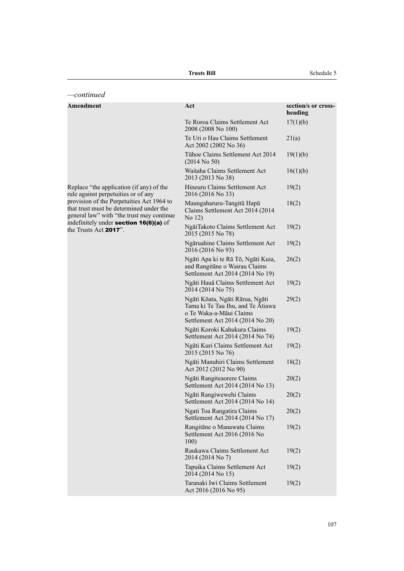| continued                                                                                                                         |                                                                                                                                     |                                |
|-----------------------------------------------------------------------------------------------------------------------------------|-------------------------------------------------------------------------------------------------------------------------------------|--------------------------------|
| <b>Amendment</b>                                                                                                                  | Act                                                                                                                                 | section/s or cross-<br>heading |
|                                                                                                                                   | Te Roroa Claims Settlement Act<br>2008 (2008 No 100)                                                                                | 17(1)(b)                       |
|                                                                                                                                   | Te Uri o Hau Claims Settlement<br>Act 2002 (2002 No 36)                                                                             | 21(a)                          |
|                                                                                                                                   | Tühoe Claims Settlement Act 2014<br>$(2014$ No 50)                                                                                  | 19(1)(b)                       |
|                                                                                                                                   | Waitaha Claims Settlement Act<br>2013 (2013 No 38)                                                                                  | 16(1)(b)                       |
| Replace "the application (if any) of the<br>rule against perpetuities or of any                                                   | Hineuru Claims Settlement Act<br>2016 (2016 No 33)                                                                                  | 19(2)                          |
| provision of the Perpetuities Act 1964 to<br>that trust must be determined under the<br>general law" with "the trust may continue | Maungaharuru-Tangitū Hapū<br>Claims Settlement Act 2014 (2014)<br>No 12)                                                            | 18(2)                          |
| indefinitely under section 16(6)(a) of<br>the Trusts Act 2017".                                                                   | NgāiTakoto Claims Settlement Act<br>2015 (2015 No 78)                                                                               | 19(2)                          |
|                                                                                                                                   | Ngāruahine Claims Settlement Act<br>2016 (2016 No 93)                                                                               | 19(2)                          |
|                                                                                                                                   | Ngāti Apa ki te Rā Tō, Ngāti Kuia,<br>and Rangitāne o Wairau Claims<br>Settlement Act 2014 (2014 No 19)                             | 26(2)                          |
|                                                                                                                                   | Ngāti Hauā Claims Settlement Act<br>2014 (2014 No 75)                                                                               | 19(2)                          |
|                                                                                                                                   | Ngāti Kōata, Ngāti Rārua, Ngāti<br>Tama ki Te Tau Ihu, and Te Atiawa<br>o Te Waka-a-Māui Claims<br>Settlement Act 2014 (2014 No 20) | 29(2)                          |
|                                                                                                                                   | Ngāti Koroki Kahukura Claims<br>Settlement Act 2014 (2014 No 74)                                                                    | 19(2)                          |
|                                                                                                                                   | Ngāti Kuri Claims Settlement Act<br>2015 (2015 No 76)                                                                               | 19(2)                          |
|                                                                                                                                   | Ngāti Manuhiri Claims Settlement<br>Act 2012 (2012 No 90)                                                                           | 18(2)                          |
|                                                                                                                                   | Ngāti Rangiteaorere Claims<br>Settlement Act 2014 (2014 No 13)                                                                      | 20(2)                          |
|                                                                                                                                   | Ngāti Rangiwewehi Claims<br>Settlement Act 2014 (2014 No 14)                                                                        | 20(2)                          |
|                                                                                                                                   | Ngati Toa Rangatira Claims<br>Settlement Act 2014 (2014 No 17)                                                                      | 20(2)                          |
|                                                                                                                                   | Rangitāne o Manawatu Claims<br>Settlement Act 2016 (2016 No<br>100)                                                                 | 19(2)                          |
|                                                                                                                                   | Raukawa Claims Settlement Act<br>2014 (2014 No 7)                                                                                   | 19(2)                          |
|                                                                                                                                   | Tapuika Claims Settlement Act<br>2014 (2014 No 15)                                                                                  | 19(2)                          |
|                                                                                                                                   | Taranaki Iwi Claims Settlement<br>Act 2016 (2016 No 95)                                                                             | 19(2)                          |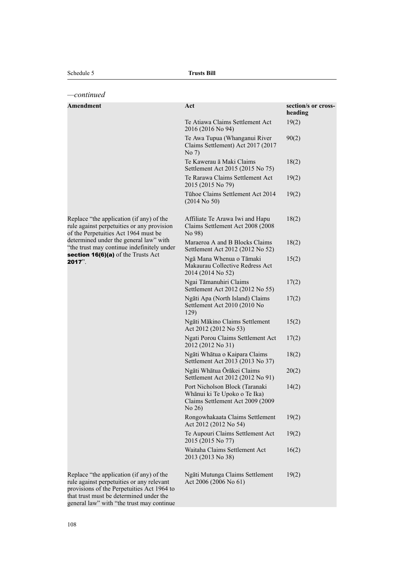| -continued                                                                                                                          |                                                                                                              |                                |
|-------------------------------------------------------------------------------------------------------------------------------------|--------------------------------------------------------------------------------------------------------------|--------------------------------|
| <b>Amendment</b>                                                                                                                    | Act                                                                                                          | section/s or cross-<br>heading |
|                                                                                                                                     | Te Atiawa Claims Settlement Act<br>2016 (2016 No 94)                                                         | 19(2)                          |
|                                                                                                                                     | Te Awa Tupua (Whanganui River<br>Claims Settlement) Act 2017 (2017<br>No 7)                                  | 90(2)                          |
|                                                                                                                                     | Te Kawerau ā Maki Claims<br>Settlement Act 2015 (2015 No 75)                                                 | 18(2)                          |
|                                                                                                                                     | Te Rarawa Claims Settlement Act<br>2015 (2015 No 79)                                                         | 19(2)                          |
|                                                                                                                                     | Tühoe Claims Settlement Act 2014<br>$(2014$ No 50)                                                           | 19(2)                          |
| Replace "the application (if any) of the<br>rule against perpetuities or any provision<br>of the Perpetuities Act 1964 must be      | Affiliate Te Arawa Iwi and Hapu<br>Claims Settlement Act 2008 (2008)<br>No 98)                               | 18(2)                          |
| determined under the general law" with<br>"the trust may continue indefinitely under                                                | Maraeroa A and B Blocks Claims<br>Settlement Act 2012 (2012 No 52)                                           | 18(2)                          |
| section 16(6)(a) of the Trusts Act<br>$2017$ ".                                                                                     | Ngā Mana Whenua o Tāmaki<br>Makaurau Collective Redress Act<br>2014 (2014 No 52)                             | 15(2)                          |
|                                                                                                                                     | Ngai Tāmanuhiri Claims<br>Settlement Act 2012 (2012 No 55)                                                   | 17(2)                          |
|                                                                                                                                     | Ngāti Apa (North Island) Claims<br>Settlement Act 2010 (2010 No<br>129)                                      | 17(2)                          |
|                                                                                                                                     | Ngāti Mākino Claims Settlement<br>Act 2012 (2012 No 53)                                                      | 15(2)                          |
|                                                                                                                                     | Ngati Porou Claims Settlement Act<br>2012 (2012 No 31)                                                       | 17(2)                          |
|                                                                                                                                     | Ngāti Whātua o Kaipara Claims<br>Settlement Act 2013 (2013 No 37)                                            | 18(2)                          |
|                                                                                                                                     | Ngāti Whātua Ōrākei Claims<br>Settlement Act 2012 (2012 No 91)                                               | 20(2)                          |
|                                                                                                                                     | Port Nicholson Block (Taranaki<br>Whānui ki Te Upoko o Te Ika)<br>Claims Settlement Act 2009 (2009<br>No 26) | 14(2)                          |
|                                                                                                                                     | Rongowhakaata Claims Settlement<br>Act 2012 (2012 No 54)                                                     | 19(2)                          |
|                                                                                                                                     | Te Aupouri Claims Settlement Act<br>2015 (2015 No 77)                                                        | 19(2)                          |
|                                                                                                                                     | Waitaha Claims Settlement Act<br>2013 (2013 No 38)                                                           | 16(2)                          |
| Replace "the application (if any) of the<br>rule against perpetuities or any relevant<br>provisions of the Perpetuities Act 1964 to | Ngāti Mutunga Claims Settlement<br>Act 2006 (2006 No 61)                                                     | 19(2)                          |

that trust must be determined under the general law" with "the trust may continue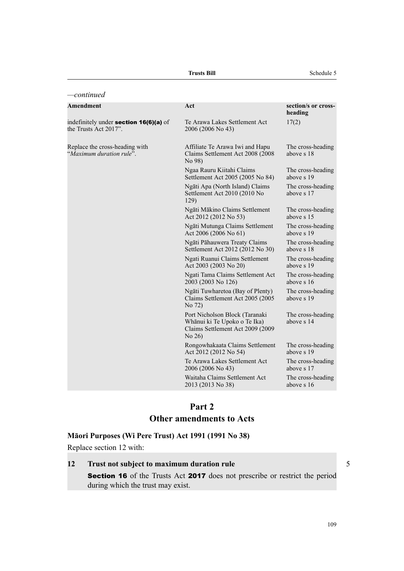| -continued                                                             |                                                                                                                 |                                 |
|------------------------------------------------------------------------|-----------------------------------------------------------------------------------------------------------------|---------------------------------|
| <b>Amendment</b>                                                       | Act                                                                                                             | section/s or cross-<br>heading  |
| indefinitely under <b>section 16(6)(a)</b> of<br>the Trusts Act 2017". | Te Arawa Lakes Settlement Act<br>2006 (2006 No 43)                                                              | 17(2)                           |
| Replace the cross-heading with<br>"Maximum duration rule".             | Affiliate Te Arawa Iwi and Hapu<br>Claims Settlement Act 2008 (2008<br>No 98)                                   | The cross-heading<br>above s 18 |
|                                                                        | Ngaa Rauru Kiitahi Claims<br>Settlement Act 2005 (2005 No 84)                                                   | The cross-heading<br>above s 19 |
|                                                                        | Ngāti Apa (North Island) Claims<br>Settlement Act 2010 (2010 No<br>129)                                         | The cross-heading<br>above s 17 |
|                                                                        | Ngāti Mākino Claims Settlement<br>Act 2012 (2012 No 53)                                                         | The cross-heading<br>above s 15 |
|                                                                        | Ngāti Mutunga Claims Settlement<br>Act 2006 (2006 No 61)                                                        | The cross-heading<br>above s 19 |
|                                                                        | Ngāti Pāhauwera Treaty Claims<br>Settlement Act 2012 (2012 No 30)                                               | The cross-heading<br>above s 18 |
|                                                                        | Ngati Ruanui Claims Settlement<br>Act 2003 (2003 No 20)                                                         | The cross-heading<br>above s 19 |
|                                                                        | Ngati Tama Claims Settlement Act<br>2003 (2003 No 126)                                                          | The cross-heading<br>above s 16 |
|                                                                        | Ngāti Tuwharetoa (Bay of Plenty)<br>Claims Settlement Act 2005 (2005<br>No 72)                                  | The cross-heading<br>above s 19 |
|                                                                        | Port Nicholson Block (Taranaki<br>Whānui ki Te Upoko o Te Ika)<br>Claims Settlement Act 2009 (2009)<br>No $26)$ | The cross-heading<br>above s 14 |
|                                                                        | Rongowhakaata Claims Settlement<br>Act 2012 (2012 No 54)                                                        | The cross-heading<br>above s 19 |
|                                                                        | Te Arawa Lakes Settlement Act<br>2006 (2006 No 43)                                                              | The cross-heading<br>above s 17 |
|                                                                        | Waitaha Claims Settlement Act<br>2013 (2013 No 38)                                                              | The cross-heading<br>above s 16 |

# **Part 2**

### **Other amendments to Acts**

### **Māori Purposes (Wi Pere Trust) Act 1991 (1991 No 38)**

Replace section 12 with:

### **12 Trust not subject to maximum duration rule** 5

Section 16 of the Trusts Act 2017 does not prescribe or restrict the period during which the trust may exist.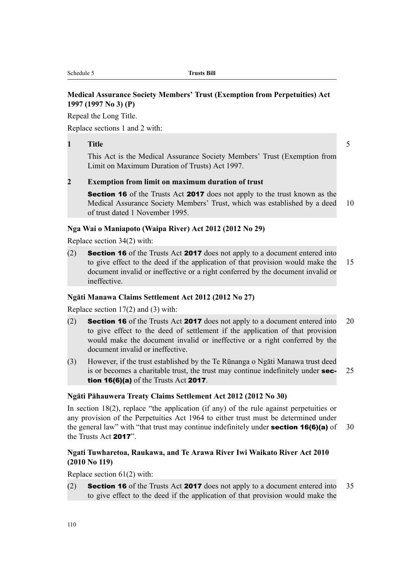#### **Medical Assurance Society Members' Trust (Exemption from Perpetuities) Act 1997 (1997 No 3) (P)**

Repeal the Long Title.

Replace sections 1 and 2 with:

#### **1 Title** 5

This Act is the Medical Assurance Society Members' Trust (Exemption from Limit on Maximum Duration of Trusts) Act 1997.

#### **2 Exemption from limit on maximum duration of trust**

**Section 16** of the Trusts Act **2017** does not apply to the trust known as the Medical Assurance Society Members' Trust, which was established by a deed 10 of trust dated 1 November 1995.

#### **Nga Wai o Maniapoto (Waipa River) Act 2012 (2012 No 29)**

Replace section 34(2) with:

(2) Section 16 of the Trusts Act 2017 does not apply to a document entered into to give effect to the deed if the application of that provision would make the 15 document invalid or ineffective or a right conferred by the document invalid or ineffective.

#### **Ngāti Manawa Claims Settlement Act 2012 (2012 No 27)**

Replace section 17(2) and (3) with:

- (2) Section 16 of the Trusts Act 2017 does not apply to a document entered into 20 to give effect to the deed of settlement if the application of that provision would make the document invalid or ineffective or a right conferred by the document invalid or ineffective.
- (3) However, if the trust established by the Te Rūnanga o Ngāti Manawa trust deed is or becomes a charitable trust, the trust may continue indefinitely under **sec-** 25 tion 16(6)(a) of the Trusts Act 2017.

#### **Ngāti Pāhauwera Treaty Claims Settlement Act 2012 (2012 No 30)**

In section 18(2), replace "the application (if any) of the rule against perpetuities or any provision of the Perpetuities Act 1964 to either trust must be determined under the general law" with "that trust may continue indefinitely under **section 16(6)(a)** of 30 the Trusts Act 2017".

#### **Ngati Tuwharetoa, Raukawa, and Te Arawa River Iwi Waikato River Act 2010 (2010 No 119)**

Replace section 61(2) with:

(2) Section 16 of the Trusts Act 2017 does not apply to a document entered into 35 to give effect to the deed if the application of that provision would make the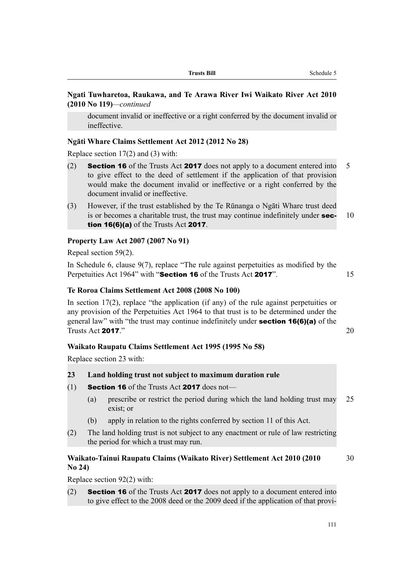#### **Ngati Tuwharetoa, Raukawa, and Te Arawa River Iwi Waikato River Act 2010 (2010 No 119)***—continued*

document invalid or ineffective or a right conferred by the document invalid or ineffective.

#### **Ngāti Whare Claims Settlement Act 2012 (2012 No 28)**

Replace section 17(2) and (3) with:

- (2) Section 16 of the Trusts Act 2017 does not apply to a document entered into 5 to give effect to the deed of settlement if the application of that provision would make the document invalid or ineffective or a right conferred by the document invalid or ineffective.
- (3) However, if the trust established by the Te Rūnanga o Ngāti Whare trust deed is or becomes a charitable trust, the trust may continue indefinitely under  $\sec - 10$ tion 16(6)(a) of the Trusts Act 2017.

#### **Property Law Act 2007 (2007 No 91)**

Repeal section 59(2).

In Schedule 6, clause 9(7), replace "The rule against perpetuities as modified by the Perpetuities Act 1964" with "Section 16 of the Trusts Act 2017". 15

## **Te Roroa Claims Settlement Act 2008 (2008 No 100)**

In section  $17(2)$ , replace "the application (if any) of the rule against perpetuities or any provision of the Perpetuities Act 1964 to that trust is to be determined under the general law" with "the trust may continue indefinitely under section 16(6)(a) of the Trusts Act 2017."  $20$ 

#### **Waikato Raupatu Claims Settlement Act 1995 (1995 No 58)**

Replace section 23 with:

#### **23 Land holding trust not subject to maximum duration rule**

- (1) Section 16 of the Trusts Act 2017 does not—
	- (a) prescribe or restrict the period during which the land holding trust may 25 exist; or
	- (b) apply in relation to the rights conferred by section 11 of this Act.
- (2) The land holding trust is not subject to any enactment or rule of law restricting the period for which a trust may run.

#### **Waikato-Tainui Raupatu Claims (Waikato River) Settlement Act 2010 (2010** 30 **No 24)**

Replace section 92(2) with:

(2) Section 16 of the Trusts Act 2017 does not apply to a document entered into to give effect to the 2008 deed or the 2009 deed if the application of that provi-